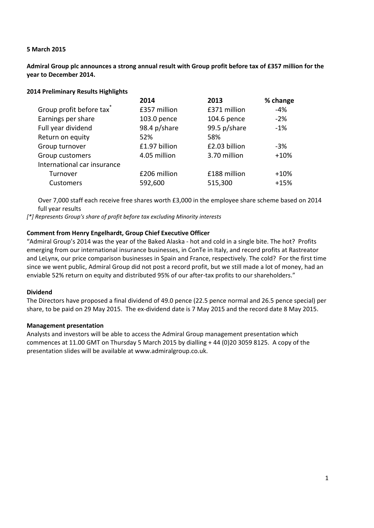## **5 March 2015**

Admiral Group plc announces a strong annual result with Group profit before tax of £357 million for the **year to December 2014.** 

#### **2014 Preliminary Results Highlights**

|                                      | 2014          | 2013          | % change |
|--------------------------------------|---------------|---------------|----------|
| Group profit before tax <sup>®</sup> | £357 million  | £371 million  | $-4%$    |
| Earnings per share                   | 103.0 pence   | 104.6 pence   | $-2\%$   |
| Full year dividend                   | 98.4 p/share  | 99.5 p/share  | $-1%$    |
| Return on equity                     | 52%           | 58%           |          |
| Group turnover                       | £1.97 billion | £2.03 billion | -3%      |
| Group customers                      | 4.05 million  | 3.70 million  | $+10%$   |
| International car insurance          |               |               |          |
| Turnover                             | £206 million  | £188 million  | $+10%$   |
| <b>Customers</b>                     | 592,600       | 515,300       | $+15%$   |
|                                      |               |               |          |

Over 7,000 staff each receive free shares worth £3,000 in the employee share scheme based on 2014 full year results

*[\*] Represents Group's share of profit before tax excluding Minority interests*

#### **Comment from Henry Engelhardt, Group Chief Executive Officer**

"Admiral Group's 2014 was the year of the Baked Alaska ‐ hot and cold in a single bite. The hot? Profits emerging from our international insurance businesses, in ConTe in Italy, and record profits at Rastreator and LeLynx, our price comparison businesses in Spain and France, respectively. The cold? For the first time since we went public, Admiral Group did not post a record profit, but we still made a lot of money, had an enviable 52% return on equity and distributed 95% of our after-tax profits to our shareholders."

#### **Dividend**

The Directors have proposed a final dividend of 49.0 pence (22.5 pence normal and 26.5 pence special) per share, to be paid on 29 May 2015. The ex-dividend date is 7 May 2015 and the record date 8 May 2015.

#### **Management presentation**

Analysts and investors will be able to access the Admiral Group management presentation which commences at 11.00 GMT on Thursday 5 March 2015 by dialling + 44 (0)20 3059 8125. A copy of the presentation slides will be available at www.admiralgroup.co.uk.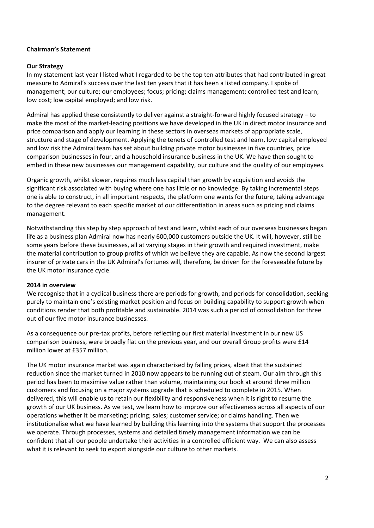## **Chairman's Statement**

#### **Our Strategy**

In my statement last year I listed what I regarded to be the top ten attributes that had contributed in great measure to Admiral's success over the last ten years that it has been a listed company. I spoke of management; our culture; our employees; focus; pricing; claims management; controlled test and learn; low cost; low capital employed; and low risk.

Admiral has applied these consistently to deliver against a straight‐forward highly focused strategy – to make the most of the market-leading positions we have developed in the UK in direct motor insurance and price comparison and apply our learning in these sectors in overseas markets of appropriate scale, structure and stage of development. Applying the tenets of controlled test and learn, low capital employed and low risk the Admiral team has set about building private motor businesses in five countries, price comparison businesses in four, and a household insurance business in the UK. We have then sought to embed in these new businesses our management capability, our culture and the quality of our employees.

Organic growth, whilst slower, requires much less capital than growth by acquisition and avoids the significant risk associated with buying where one has little or no knowledge. By taking incremental steps one is able to construct, in all important respects, the platform one wants for the future, taking advantage to the degree relevant to each specific market of our differentiation in areas such as pricing and claims management.

Notwithstanding this step by step approach of test and learn, whilst each of our overseas businesses began life as a business plan Admiral now has nearly 600,000 customers outside the UK. It will, however, still be some years before these businesses, all at varying stages in their growth and required investment, make the material contribution to group profits of which we believe they are capable. As now the second largest insurer of private cars in the UK Admiral's fortunes will, therefore, be driven for the foreseeable future by the UK motor insurance cycle.

#### **2014 in overview**

We recognise that in a cyclical business there are periods for growth, and periods for consolidation, seeking purely to maintain one's existing market position and focus on building capability to support growth when conditions render that both profitable and sustainable. 2014 was such a period of consolidation for three out of our five motor insurance businesses.

As a consequence our pre-tax profits, before reflecting our first material investment in our new US comparison business, were broadly flat on the previous year, and our overall Group profits were £14 million lower at £357 million.

The UK motor insurance market was again characterised by falling prices, albeit that the sustained reduction since the market turned in 2010 now appears to be running out of steam. Our aim through this period has been to maximise value rather than volume, maintaining our book at around three million customers and focusing on a major systems upgrade that is scheduled to complete in 2015. When delivered, this will enable us to retain our flexibility and responsiveness when it is right to resume the growth of our UK business. As we test, we learn how to improve our effectiveness across all aspects of our operations whether it be marketing; pricing; sales; customer service; or claims handling. Then we institutionalise what we have learned by building this learning into the systems that support the processes we operate. Through processes, systems and detailed timely management information we can be confident that all our people undertake their activities in a controlled efficient way. We can also assess what it is relevant to seek to export alongside our culture to other markets.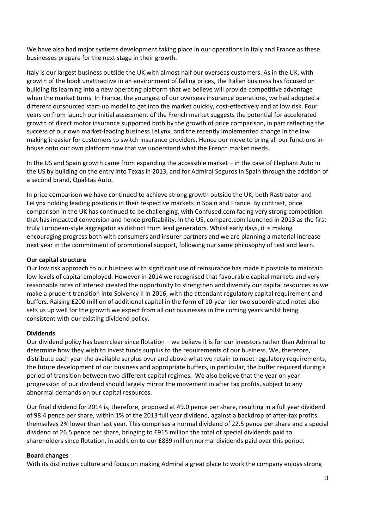We have also had major systems development taking place in our operations in Italy and France as these businesses prepare for the next stage in their growth.

Italy is our largest business outside the UK with almost half our overseas customers. As in the UK, with growth of the book unattractive in an environment of falling prices, the Italian business has focused on building its learning into a new operating platform that we believe will provide competitive advantage when the market turns. In France, the youngest of our overseas insurance operations, we had adopted a different outsourced start-up model to get into the market quickly, cost-effectively and at low risk. Four years on from launch our initial assessment of the French market suggests the potential for accelerated growth of direct motor insurance supported both by the growth of price comparison, in part reflecting the success of our own market-leading business LeLynx, and the recently implemented change in the law making it easier for customers to switch insurance providers. Hence our move to bring all our functions in‐ house onto our own platform now that we understand what the French market needs.

In the US and Spain growth came from expanding the accessible market – in the case of Elephant Auto in the US by building on the entry into Texas in 2013, and for Admiral Seguros in Spain through the addition of a second brand, Qualitas Auto.

In price comparison we have continued to achieve strong growth outside the UK, both Rastreator and LeLynx holding leading positions in their respective markets in Spain and France. By contrast, price comparison in the UK has continued to be challenging, with Confused.com facing very strong competition that has impacted conversion and hence profitability. In the US, compare.com launched in 2013 as the first truly European‐style aggregator as distinct from lead generators. Whilst early days, it is making encouraging progress both with consumers and insurer partners and we are planning a material increase next year in the commitment of promotional support, following our same philosophy of test and learn.

#### **Our capital structure**

Our low risk approach to our business with significant use of reinsurance has made it possible to maintain low levels of capital employed. However in 2014 we recognised that favourable capital markets and very reasonable rates of interest created the opportunity to strengthen and diversify our capital resources as we make a prudent transition into Solvency II in 2016, with the attendant regulatory capital requirement and buffers. Raising £200 million of additional capital in the form of 10‐year tier two subordinated notes also sets us up well for the growth we expect from all our businesses in the coming years whilst being consistent with our existing dividend policy.

#### **Dividends**

Our dividend policy has been clear since flotation – we believe it is for our investors rather than Admiral to determine how they wish to invest funds surplus to the requirements of our business. We, therefore, distribute each year the available surplus over and above what we retain to meet regulatory requirements, the future development of our business and appropriate buffers, in particular, the buffer required during a period of transition between two different capital regimes. We also believe that the year on year progression of our dividend should largely mirror the movement in after tax profits, subject to any abnormal demands on our capital resources.

Our final dividend for 2014 is, therefore, proposed at 49.0 pence per share, resulting in a full year dividend of 98.4 pence per share, within 1% of the 2013 full year dividend, against a backdrop of after‐tax profits themselves 2% lower than last year. This comprises a normal dividend of 22.5 pence per share and a special dividend of 26.5 pence per share, bringing to £915 million the total of special dividends paid to shareholders since flotation, in addition to our £839 million normal dividends paid over this period.

#### **Board changes**

With its distinctive culture and focus on making Admiral a great place to work the company enjoys strong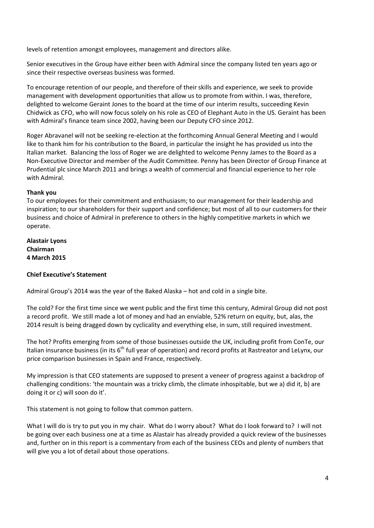levels of retention amongst employees, management and directors alike.

Senior executives in the Group have either been with Admiral since the company listed ten years ago or since their respective overseas business was formed.

To encourage retention of our people, and therefore of their skills and experience, we seek to provide management with development opportunities that allow us to promote from within. I was, therefore, delighted to welcome Geraint Jones to the board at the time of our interim results, succeeding Kevin Chidwick as CFO, who will now focus solely on his role as CEO of Elephant Auto in the US. Geraint has been with Admiral's finance team since 2002, having been our Deputy CFO since 2012.

Roger Abravanel will not be seeking re‐election at the forthcoming Annual General Meeting and I would like to thank him for his contribution to the Board, in particular the insight he has provided us into the Italian market. Balancing the loss of Roger we are delighted to welcome Penny James to the Board as a Non‐Executive Director and member of the Audit Committee. Penny has been Director of Group Finance at Prudential plc since March 2011 and brings a wealth of commercial and financial experience to her role with Admiral.

## **Thank you**

To our employees for their commitment and enthusiasm; to our management for their leadership and inspiration; to our shareholders for their support and confidence; but most of all to our customers for their business and choice of Admiral in preference to others in the highly competitive markets in which we operate.

**Alastair Lyons Chairman 4 March 2015**

#### **Chief Executive's Statement**

Admiral Group's 2014 was the year of the Baked Alaska – hot and cold in a single bite.

The cold? For the first time since we went public and the first time this century, Admiral Group did not post a record profit. We still made a lot of money and had an enviable, 52% return on equity, but, alas, the 2014 result is being dragged down by cyclicality and everything else, in sum, still required investment.

The hot? Profits emerging from some of those businesses outside the UK, including profit from ConTe, our Italian insurance business (in its  $6<sup>th</sup>$  full year of operation) and record profits at Rastreator and LeLynx, our price comparison businesses in Spain and France, respectively.

My impression is that CEO statements are supposed to present a veneer of progress against a backdrop of challenging conditions: 'the mountain was a tricky climb, the climate inhospitable, but we a) did it, b) are doing it or c) will soon do it'.

This statement is not going to follow that common pattern.

What I will do is try to put you in my chair. What do I worry about? What do I look forward to? I will not be going over each business one at a time as Alastair has already provided a quick review of the businesses and, further on in this report is a commentary from each of the business CEOs and plenty of numbers that will give you a lot of detail about those operations.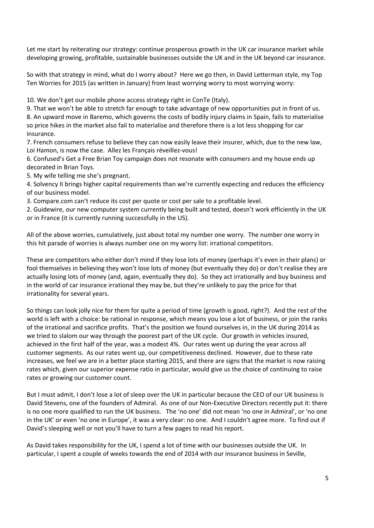Let me start by reiterating our strategy: continue prosperous growth in the UK car insurance market while developing growing, profitable, sustainable businesses outside the UK and in the UK beyond car insurance.

So with that strategy in mind, what do I worry about? Here we go then, in David Letterman style, my Top Ten Worries for 2015 (as written in January) from least worrying worry to most worrying worry:

10. We don't get our mobile phone access strategy right in ConTe (Italy).

9. That we won't be able to stretch far enough to take advantage of new opportunities put in front of us. 8. An upward move in Baremo, which governs the costs of bodily injury claims in Spain, fails to materialise so price hikes in the market also fail to materialise and therefore there is a lot less shopping for car insurance.

7. French consumers refuse to believe they can now easily leave their insurer, which, due to the new law, Loi Hamon, is now the case. Allez les Français réveillez‐vous!

6. Confused's Get a Free Brian Toy campaign does not resonate with consumers and my house ends up decorated in Brian Toys.

5. My wife telling me she's pregnant.

4. Solvency II brings higher capital requirements than we're currently expecting and reduces the efficiency of our business model.

3. Compare.com can't reduce its cost per quote or cost per sale to a profitable level.

2. Guidewire, our new computer system currently being built and tested, doesn't work efficiently in the UK or in France (it is currently running successfully in the US).

All of the above worries, cumulatively, just about total my number one worry. The number one worry in this hit parade of worries is always number one on my worry list: irrational competitors.

These are competitors who either don't mind if they lose lots of money (perhaps it's even in their plans) or fool themselves in believing they won't lose lots of money (but eventually they do) or don't realise they are actually losing lots of money (and, again, eventually they do). So they act irrationally and buy business and in the world of car insurance irrational they may be, but they're unlikely to pay the price for that irrationality for several years.

So things can look jolly nice for them for quite a period of time (growth is good, right?). And the rest of the world is left with a choice: be rational in response, which means you lose a lot of business, or join the ranks of the irrational and sacrifice profits. That's the position we found ourselves in, in the UK during 2014 as we tried to slalom our way through the poorest part of the UK cycle. Our growth in vehicles insured, achieved in the first half of the year, was a modest 4%. Our rates went up during the year across all customer segments. As our rates went up, our competitiveness declined. However, due to these rate increases, we feel we are in a better place starting 2015, and there are signs that the market is now raising rates which, given our superior expense ratio in particular, would give us the choice of continuing to raise rates or growing our customer count.

But I must admit, I don't lose a lot of sleep over the UK in particular because the CEO of our UK business is David Stevens, one of the founders of Admiral. As one of our Non‐Executive Directors recently put it: there is no one more qualified to run the UK business. The 'no one' did not mean 'no one in Admiral', or 'no one in the UK' or even 'no one in Europe', it was a very clear: no one. And I couldn't agree more. To find out if David's sleeping well or not you'll have to turn a few pages to read his report.

As David takes responsibility for the UK, I spend a lot of time with our businesses outside the UK. In particular, I spent a couple of weeks towards the end of 2014 with our insurance business in Seville,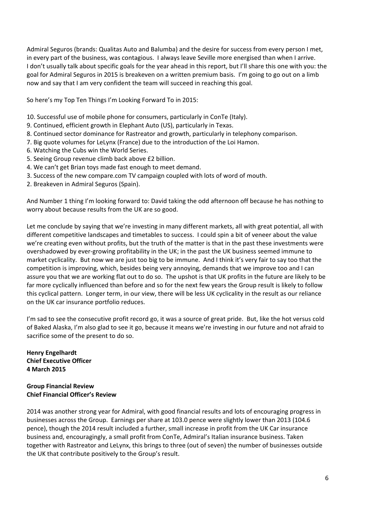Admiral Seguros (brands: Qualitas Auto and Balumba) and the desire for success from every person I met, in every part of the business, was contagious. I always leave Seville more energised than when I arrive. I don't usually talk about specific goals for the year ahead in this report, but I'll share this one with you: the goal for Admiral Seguros in 2015 is breakeven on a written premium basis. I'm going to go out on a limb now and say that I am very confident the team will succeed in reaching this goal.

So here's my Top Ten Things I'm Looking Forward To in 2015:

- 10. Successful use of mobile phone for consumers, particularly in ConTe (Italy).
- 9. Continued, efficient growth in Elephant Auto (US), particularly in Texas.
- 8. Continued sector dominance for Rastreator and growth, particularly in telephony comparison.
- 7. Big quote volumes for LeLynx (France) due to the introduction of the Loi Hamon.
- 6. Watching the Cubs win the World Series.
- 5. Seeing Group revenue climb back above £2 billion.
- 4. We can't get Brian toys made fast enough to meet demand.
- 3. Success of the new compare.com TV campaign coupled with lots of word of mouth.
- 2. Breakeven in Admiral Seguros (Spain).

And Number 1 thing I'm looking forward to: David taking the odd afternoon off because he has nothing to worry about because results from the UK are so good.

Let me conclude by saying that we're investing in many different markets, all with great potential, all with different competitive landscapes and timetables to success. I could spin a bit of veneer about the value we're creating even without profits, but the truth of the matter is that in the past these investments were overshadowed by ever‐growing profitability in the UK; in the past the UK business seemed immune to market cyclicality. But now we are just too big to be immune. And I think it's very fair to say too that the competition is improving, which, besides being very annoying, demands that we improve too and I can assure you that we are working flat out to do so. The upshot is that UK profits in the future are likely to be far more cyclically influenced than before and so for the next few years the Group result is likely to follow this cyclical pattern. Longer term, in our view, there will be less UK cyclicality in the result as our reliance on the UK car insurance portfolio reduces.

I'm sad to see the consecutive profit record go, it was a source of great pride. But, like the hot versus cold of Baked Alaska, I'm also glad to see it go, because it means we're investing in our future and not afraid to sacrifice some of the present to do so.

**Henry Engelhardt Chief Executive Officer 4 March 2015**

## **Group Financial Review Chief Financial Officer's Review**

2014 was another strong year for Admiral, with good financial results and lots of encouraging progress in businesses across the Group. Earnings per share at 103.0 pence were slightly lower than 2013 (104.6 pence), though the 2014 result included a further, small increase in profit from the UK Car insurance business and, encouragingly, a small profit from ConTe, Admiral's Italian insurance business. Taken together with Rastreator and LeLynx, this brings to three (out of seven) the number of businesses outside the UK that contribute positively to the Group's result.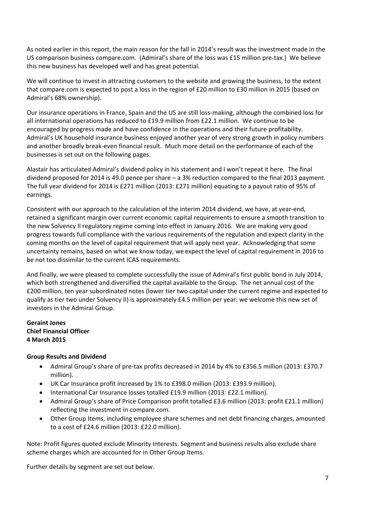As noted earlier in this report, the main reason for the fall in 2014's result was the investment made in the US comparison business compare.com. (Admiral's share of the loss was £15 million pre‐tax.) We believe this new business has developed well and has great potential.

We will continue to invest in attracting customers to the website and growing the business, to the extent that compare.com is expected to post a loss in the region of £20 million to £30 million in 2015 (based on Admiral's 68% ownership).

Our insurance operations in France, Spain and the US are still loss-making, although the combined loss for all international operations has reduced to £19.9 million from £22.1 million. We continue to be encouraged by progress made and have confidence in the operations and their future profitability. Admiral's UK household insurance business enjoyed another year of very strong growth in policy numbers and another broadly break‐even financial result. Much more detail on the performance of each of the businesses is set out on the following pages.

Alastair has articulated Admiral's dividend policy in his statement and I won't repeat it here. The final dividend proposed for 2014 is 49.0 pence per share – a 3% reduction compared to the final 2013 payment. The full year dividend for 2014 is £271 million (2013: £271 million) equating to a payout ratio of 95% of earnings.

Consistent with our approach to the calculation of the interim 2014 dividend, we have, at year‐end, retained a significant margin over current economic capital requirements to ensure a smooth transition to the new Solvency II regulatory regime coming into effect in January 2016. We are making very good progress towards full compliance with the various requirements of the regulation and expect clarity in the coming months on the level of capital requirement that will apply next year. Acknowledging that some uncertainty remains, based on what we know today, we expect the level of capital requirement in 2016 to be not too dissimilar to the current ICAS requirements.

And finally, we were pleased to complete successfully the issue of Admiral's first public bond in July 2014, which both strengthened and diversified the capital available to the Group. The net annual cost of the £200 million, ten year subordinated notes (lower tier two capital under the current regime and expected to qualify as tier two under Solvency II) is approximately £4.5 million per year: we welcome this new set of investors in the Admiral Group.

**Geraint Jones Chief Financial Officer 4 March 2015**

# **Group Results and Dividend**

- Admiral Group's share of pre-tax profits decreased in 2014 by 4% to £356.5 million (2013: £370.7 million).
- UK Car Insurance profit increased by 1% to £398.0 million (2013: £393.9 million).
- International Car Insurance losses totalled £19.9 million (2013: £22.1 million).
- Admiral Group's share of Price Comparison profit totalled £3.6 million (2013: profit £21.1 million) reflecting the investment in compare.com.
- Other Group Items, including employee share schemes and net debt financing charges, amounted to a cost of £24.6 million (2013: £22.0 million).

Note: Profit figures quoted exclude Minority Interests. Segment and business results also exclude share scheme charges which are accounted for in Other Group Items.

Further details by segment are set out below.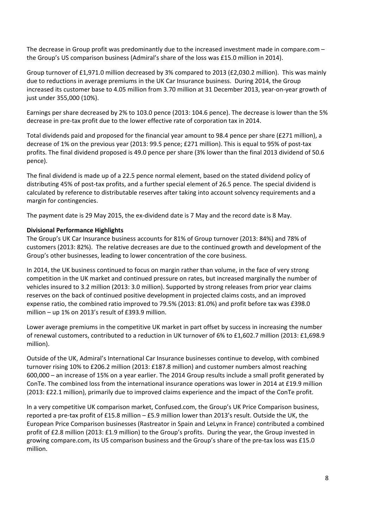The decrease in Group profit was predominantly due to the increased investment made in compare.com – the Group's US comparison business (Admiral's share of the loss was £15.0 million in 2014).

Group turnover of £1,971.0 million decreased by 3% compared to 2013 (£2,030.2 million). This was mainly due to reductions in average premiums in the UK Car Insurance business. During 2014, the Group increased its customer base to 4.05 million from 3.70 million at 31 December 2013, year-on-year growth of just under 355,000 (10%).

Earnings per share decreased by 2% to 103.0 pence (2013: 104.6 pence). The decrease is lower than the 5% decrease in pre‐tax profit due to the lower effective rate of corporation tax in 2014.

Total dividends paid and proposed for the financial year amount to 98.4 pence per share (£271 million), a decrease of 1% on the previous year (2013: 99.5 pence; £271 million). This is equal to 95% of post-tax profits. The final dividend proposed is 49.0 pence per share (3% lower than the final 2013 dividend of 50.6 pence).

The final dividend is made up of a 22.5 pence normal element, based on the stated dividend policy of distributing 45% of post‐tax profits, and a further special element of 26.5 pence. The special dividend is calculated by reference to distributable reserves after taking into account solvency requirements and a margin for contingencies.

The payment date is 29 May 2015, the ex-dividend date is 7 May and the record date is 8 May.

#### **Divisional Performance Highlights**

The Group's UK Car Insurance business accounts for 81% of Group turnover (2013: 84%) and 78% of customers (2013: 82%). The relative decreases are due to the continued growth and development of the Group's other businesses, leading to lower concentration of the core business.

In 2014, the UK business continued to focus on margin rather than volume, in the face of very strong competition in the UK market and continued pressure on rates, but increased marginally the number of vehicles insured to 3.2 million (2013: 3.0 million). Supported by strong releases from prior year claims reserves on the back of continued positive development in projected claims costs, and an improved expense ratio, the combined ratio improved to 79.5% (2013: 81.0%) and profit before tax was £398.0 million – up 1% on 2013's result of £393.9 million.

Lower average premiums in the competitive UK market in part offset by success in increasing the number of renewal customers, contributed to a reduction in UK turnover of 6% to £1,602.7 million (2013: £1,698.9 million).

Outside of the UK, Admiral's International Car Insurance businesses continue to develop, with combined turnover rising 10% to £206.2 million (2013: £187.8 million) and customer numbers almost reaching 600,000 – an increase of 15% on a year earlier. The 2014 Group results include a small profit generated by ConTe. The combined loss from the international insurance operations was lower in 2014 at £19.9 million (2013: £22.1 million), primarily due to improved claims experience and the impact of the ConTe profit.

In a very competitive UK comparison market, Confused.com, the Group's UK Price Comparison business, reported a pre‐tax profit of £15.8 million – £5.9 million lower than 2013's result. Outside the UK, the European Price Comparison businesses (Rastreator in Spain and LeLynx in France) contributed a combined profit of £2.8 million (2013: £1.9 million) to the Group's profits. During the year, the Group invested in growing compare.com, its US comparison business and the Group's share of the pre‐tax loss was £15.0 million.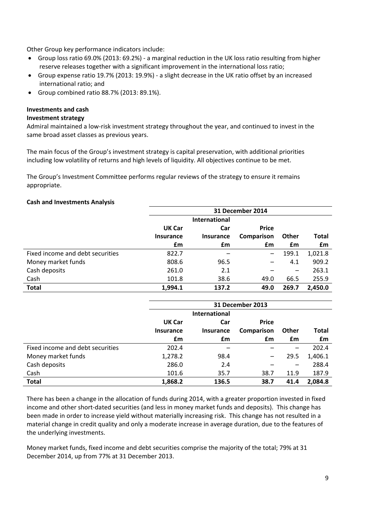Other Group key performance indicators include:

- Group loss ratio 69.0% (2013: 69.2%) ‐ a marginal reduction in the UK loss ratio resulting from higher reserve releases together with a significant improvement in the international loss ratio;
- Group expense ratio 19.7% (2013: 19.9%) ‐ a slight decrease in the UK ratio offset by an increased international ratio; and
- Group combined ratio 88.7% (2013: 89.1%).

## **Investments and cash**

#### **Investment strategy**

Admiral maintained a low‐risk investment strategy throughout the year, and continued to invest in the same broad asset classes as previous years.

The main focus of the Group's investment strategy is capital preservation, with additional priorities including low volatility of returns and high levels of liquidity. All objectives continue to be met.

The Group's Investment Committee performs regular reviews of the strategy to ensure it remains appropriate.

#### **Cash and Investments Analysis**

|                                  | 31 December 2014 |                      |              |                          |         |
|----------------------------------|------------------|----------------------|--------------|--------------------------|---------|
|                                  |                  | <b>International</b> |              |                          |         |
|                                  | UK Car           | Car                  | <b>Price</b> |                          |         |
|                                  | <b>Insurance</b> | <b>Insurance</b>     | Comparison   | Other                    | Total   |
|                                  | £m               | £m                   | £m           | £m                       | £m      |
| Fixed income and debt securities | 822.7            |                      |              | 199.1                    | 1,021.8 |
| Money market funds               | 808.6            | 96.5                 |              | 4.1                      | 909.2   |
| Cash deposits                    | 261.0            | 2.1                  |              | $\overline{\phantom{m}}$ | 263.1   |
| Cash                             | 101.8            | 38.6                 | 49.0         | 66.5                     | 255.9   |
| <b>Total</b>                     | 1,994.1          | 137.2                | 49.0         | 269.7                    | 2,450.0 |

|                                  | <b>31 December 2013</b> |                      |              |              |              |
|----------------------------------|-------------------------|----------------------|--------------|--------------|--------------|
|                                  |                         | <b>International</b> |              |              |              |
|                                  | UK Car                  | Car                  | <b>Price</b> |              |              |
|                                  | <b>Insurance</b>        | <b>Insurance</b>     | Comparison   | <b>Other</b> | <b>Total</b> |
|                                  | £m                      | £m                   | £m           | £m           | £m           |
| Fixed income and debt securities | 202.4                   |                      |              | —            | 202.4        |
| Money market funds               | 1,278.2                 | 98.4                 |              | 29.5         | 1,406.1      |
| Cash deposits                    | 286.0                   | 2.4                  |              | -            | 288.4        |
| Cash                             | 101.6                   | 35.7                 | 38.7         | 11.9         | 187.9        |
| <b>Total</b>                     | 1,868.2                 | 136.5                | 38.7         | 41.4         | 2,084.8      |

There has been a change in the allocation of funds during 2014, with a greater proportion invested in fixed income and other short-dated securities (and less in money market funds and deposits). This change has been made in order to increase yield without materially increasing risk. This change has not resulted in a material change in credit quality and only a moderate increase in average duration, due to the features of the underlying investments.

Money market funds, fixed income and debt securities comprise the majority of the total; 79% at 31 December 2014, up from 77% at 31 December 2013.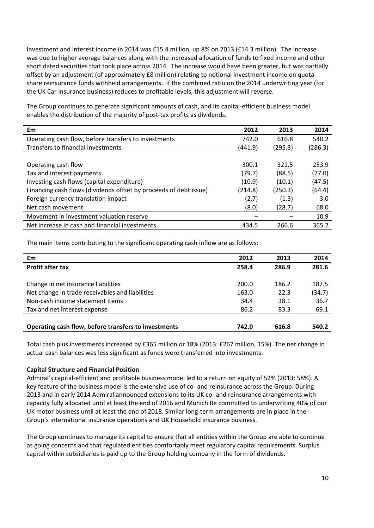Investment and interest income in 2014 was £15.4 million, up 8% on 2013 (£14.3 million). The increase was due to higher average balances along with the increased allocation of funds to fixed income and other short dated securities that took place across 2014. The increase would have been greater, but was partially offset by an adjustment (of approximately £8 million) relating to notional investment income on quota share reinsurance funds withheld arrangements. If the combined ratio on the 2014 underwriting year (for the UK Car Insurance business) reduces to profitable levels, this adjustment will reverse.

The Group continues to generate significant amounts of cash, and its capital‐efficient business model enables the distribution of the majority of post-tax profits as dividends.

| £m                                                                | 2012    | 2013    | 2014    |
|-------------------------------------------------------------------|---------|---------|---------|
| Operating cash flow, before transfers to investments              | 742.0   | 616.8   | 540.2   |
| Transfers to financial investments                                | (441.9) | (295.3) | (286.3) |
|                                                                   |         |         |         |
| Operating cash flow                                               | 300.1   | 321.5   | 253.9   |
| Tax and interest payments                                         | (79.7)  | (88.5)  | (77.0)  |
| Investing cash flows (capital expenditure)                        | (10.9)  | (10.1)  | (47.5)  |
| Financing cash flows (dividends offset by proceeds of debt issue) | (214.8) | (250.3) | (64.4)  |
| Foreign currency translation impact                               | (2.7)   | (1.3)   | 3.0     |
| Net cash movement                                                 | (8.0)   | (28.7)  | 68.0    |
| Movement in investment valuation reserve                          |         |         | 10.9    |
| Net increase in cash and financial investments                    | 434.5   | 266.6   | 365.2   |

The main items contributing to the significant operating cash inflow are as follows:

| £m                                                   | 2012  | 2013  | 2014   |
|------------------------------------------------------|-------|-------|--------|
| <b>Profit after tax</b>                              | 258.4 | 286.9 | 281.6  |
|                                                      |       |       |        |
| Change in net insurance liabilities                  | 200.0 | 186.2 | 187.5  |
| Net change in trade receivables and liabilities      | 163.0 | 22.3  | (34.7) |
| Non-cash income statement items                      | 34.4  | 38.1  | 36.7   |
| Tax and net interest expense                         | 86.2  | 83.3  | 69.1   |
|                                                      |       |       |        |
| Operating cash flow, before transfers to investments | 742.0 | 616.8 | 540.2  |

Total cash plus investments increased by £365 million or 18% (2013: £267 million, 15%). The net change in actual cash balances was less significant as funds were transferred into investments.

# **Capital Structure and Financial Position**

Admiral's capital‐efficient and profitable business model led to a return on equity of 52% (2013: 58%). A key feature of the business model is the extensive use of co- and reinsurance across the Group. During 2013 and in early 2014 Admiral announced extensions to its UK co- and reinsurance arrangements with capacity fully allocated until at least the end of 2016 and Munich Re committed to underwriting 40% of our UK motor business until at least the end of 2018. Similar long‐term arrangements are in place in the Group's international insurance operations and UK Household insurance business.

The Group continues to manage its capital to ensure that all entities within the Group are able to continue as going concerns and that regulated entities comfortably meet regulatory capital requirements. Surplus capital within subsidiaries is paid up to the Group holding company in the form of dividends.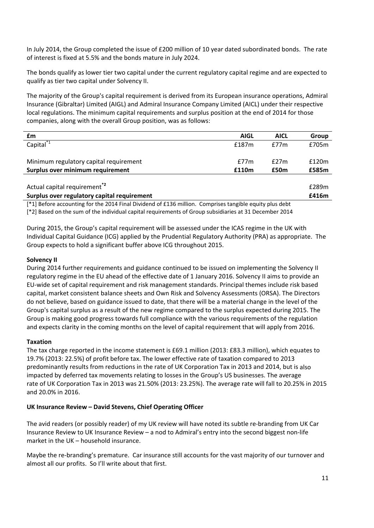In July 2014, the Group completed the issue of £200 million of 10 year dated subordinated bonds. The rate of interest is fixed at 5.5% and the bonds mature in July 2024.

The bonds qualify as lower tier two capital under the current regulatory capital regime and are expected to qualify as tier two capital under Solvency II.

The majority of the Group's capital requirement is derived from its European insurance operations, Admiral Insurance (Gibraltar) Limited (AIGL) and Admiral Insurance Company Limited (AICL) under their respective local regulations. The minimum capital requirements and surplus position at the end of 2014 for those companies, along with the overall Group position, was as follows:

| £m                                          | <b>AIGL</b> | <b>AICL</b> | Group |
|---------------------------------------------|-------------|-------------|-------|
| Capital $1^*$                               | £187m       | E77m        | £705m |
|                                             |             |             |       |
| Minimum regulatory capital requirement      | E77m        | f27m        | £120m |
| Surplus over minimum requirement            | £110m       | £50m        | £585m |
|                                             |             |             |       |
| Actual capital requirement <sup>*2</sup>    |             |             | £289m |
| Surplus over regulatory capital requirement |             |             | £416m |

[\*1] Before accounting for the 2014 Final Dividend of £136 million. Comprises tangible equity plus debt

[\*2] Based on the sum of the individual capital requirements of Group subsidiaries at 31 December 2014

During 2015, the Group's capital requirement will be assessed under the ICAS regime in the UK with Individual Capital Guidance (ICG) applied by the Prudential Regulatory Authority (PRA) as appropriate. The Group expects to hold a significant buffer above ICG throughout 2015.

# **Solvency II**

During 2014 further requirements and guidance continued to be issued on implementing the Solvency II regulatory regime in the EU ahead of the effective date of 1 January 2016. Solvency II aims to provide an EU‐wide set of capital requirement and risk management standards. Principal themes include risk based capital, market consistent balance sheets and Own Risk and Solvency Assessments (ORSA). The Directors do not believe, based on guidance issued to date, that there will be a material change in the level of the Group's capital surplus as a result of the new regime compared to the surplus expected during 2015. The Group is making good progress towards full compliance with the various requirements of the regulation and expects clarity in the coming months on the level of capital requirement that will apply from 2016.

#### **Taxation**

The tax charge reported in the income statement is £69.1 million (2013: £83.3 million), which equates to 19.7% (2013: 22.5%) of profit before tax. The lower effective rate of taxation compared to 2013 predominantly results from reductions in the rate of UK Corporation Tax in 2013 and 2014, but is also impacted by deferred tax movements relating to losses in the Group's US businesses. The average rate of UK Corporation Tax in 2013 was 21.50% (2013: 23.25%). The average rate will fall to 20.25% in 2015 and 20.0% in 2016.

#### **UK Insurance Review – David Stevens, Chief Operating Officer**

The avid readers (or possibly reader) of my UK review will have noted its subtle re‐branding from UK Car Insurance Review to UK Insurance Review – a nod to Admiral's entry into the second biggest non‐life market in the UK – household insurance.

Maybe the re-branding's premature. Car insurance still accounts for the vast majority of our turnover and almost all our profits. So I'll write about that first.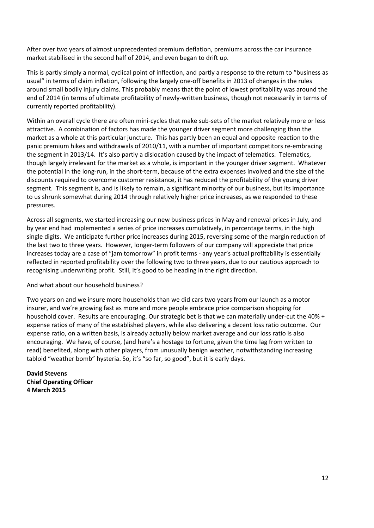After over two years of almost unprecedented premium deflation, premiums across the car insurance market stabilised in the second half of 2014, and even began to drift up.

This is partly simply a normal, cyclical point of inflection, and partly a response to the return to "business as usual" in terms of claim inflation, following the largely one‐off benefits in 2013 of changes in the rules around small bodily injury claims. This probably means that the point of lowest profitability was around the end of 2014 (in terms of ultimate profitability of newly-written business, though not necessarily in terms of currently reported profitability).

Within an overall cycle there are often mini-cycles that make sub-sets of the market relatively more or less attractive. A combination of factors has made the younger driver segment more challenging than the market as a whole at this particular juncture. This has partly been an equal and opposite reaction to the panic premium hikes and withdrawals of 2010/11, with a number of important competitors re‐embracing the segment in 2013/14. It's also partly a dislocation caused by the impact of telematics. Telematics, though largely irrelevant for the market as a whole, is important in the younger driver segment. Whatever the potential in the long‐run, in the short‐term, because of the extra expenses involved and the size of the discounts required to overcome customer resistance, it has reduced the profitability of the young driver segment. This segment is, and is likely to remain, a significant minority of our business, but its importance to us shrunk somewhat during 2014 through relatively higher price increases, as we responded to these pressures.

Across all segments, we started increasing our new business prices in May and renewal prices in July, and by year end had implemented a series of price increases cumulatively, in percentage terms, in the high single digits. We anticipate further price increases during 2015, reversing some of the margin reduction of the last two to three years. However, longer‐term followers of our company will appreciate that price increases today are a case of "jam tomorrow" in profit terms ‐ any year's actual profitability is essentially reflected in reported profitability over the following two to three years, due to our cautious approach to recognising underwriting profit. Still, it's good to be heading in the right direction.

# And what about our household business?

Two years on and we insure more households than we did cars two years from our launch as a motor insurer, and we're growing fast as more and more people embrace price comparison shopping for household cover. Results are encouraging. Our strategic bet is that we can materially under-cut the 40% + expense ratios of many of the established players, while also delivering a decent loss ratio outcome. Our expense ratio, on a written basis, is already actually below market average and our loss ratio is also encouraging. We have, of course, (and here's a hostage to fortune, given the time lag from written to read) benefited, along with other players, from unusually benign weather, notwithstanding increasing tabloid "weather bomb" hysteria. So, it's "so far, so good", but it is early days.

**David Stevens Chief Operating Officer 4 March 2015**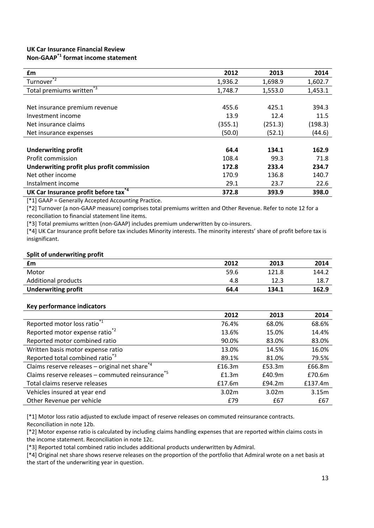## **UK Car Insurance Financial Review Non‐GAAP\*1 format income statement**

| £m                                         | 2012    | 2013    | 2014    |
|--------------------------------------------|---------|---------|---------|
| 2*.<br>Turnover                            | 1,936.2 | 1,698.9 | 1,602.7 |
| Total premiums written <sup>*3</sup>       | 1,748.7 | 1,553.0 | 1,453.1 |
|                                            |         |         |         |
| Net insurance premium revenue              | 455.6   | 425.1   | 394.3   |
| Investment income                          | 13.9    | 12.4    | 11.5    |
| Net insurance claims                       | (355.1) | (251.3) | (198.3) |
| Net insurance expenses                     | (50.0)  | (52.1)  | (44.6)  |
|                                            |         |         |         |
| <b>Underwriting profit</b>                 | 64.4    | 134.1   | 162.9   |
| Profit commission                          | 108.4   | 99.3    | 71.8    |
| Underwriting profit plus profit commission | 172.8   | 233.4   | 234.7   |
| Net other income                           | 170.9   | 136.8   | 140.7   |
| Instalment income                          | 29.1    | 23.7    | 22.6    |
| UK Car Insurance profit before tax         | 372.8   | 393.9   | 398.0   |

[\*1] GAAP = Generally Accepted Accounting Practice.

[\*2] Turnover (a non‐GAAP measure) comprises total premiums written and Other Revenue. Refer to note 12 for a reconciliation to financial statement line items.

[\*3] Total premiums written (non-GAAP) includes premium underwritten by co-insurers.

[\*4] UK Car Insurance profit before tax includes Minority interests. The minority interests' share of profit before tax is insignificant.

## **Split of underwriting profit**

| £m                         | 2012 | 2013  | 2014  |
|----------------------------|------|-------|-------|
| Motor                      | 59.6 | 121.8 | 144.2 |
| <b>Additional products</b> | 4.8  | 12.3  | 18.7  |
| <b>Underwriting profit</b> | 64.4 | 134.1 | 162.9 |

#### **Key performance indicators**

|                                                                           | 2012              | 2013              | 2014    |
|---------------------------------------------------------------------------|-------------------|-------------------|---------|
| Reported motor loss ratio <sup>*1</sup>                                   | 76.4%             | 68.0%             | 68.6%   |
| Reported motor expense ratio <sup>*2</sup>                                | 13.6%             | 15.0%             | 14.4%   |
| Reported motor combined ratio                                             | 90.0%             | 83.0%             | 83.0%   |
| Written basis motor expense ratio                                         | 13.0%             | 14.5%             | 16.0%   |
| Reported total combined ratio <sup>*3</sup>                               | 89.1%             | 81.0%             | 79.5%   |
| Claims reserve releases - original net share <sup><math>*4</math></sup>   | £16.3m            | £53.3m            | £66.8m  |
| Claims reserve releases – commuted reinsurance <sup><math>*5</math></sup> | £1.3m             | £40.9m            | £70.6m  |
| Total claims reserve releases                                             | £17.6m            | £94.2m            | £137.4m |
| Vehicles insured at year end                                              | 3.02 <sub>m</sub> | 3.02 <sub>m</sub> | 3.15m   |
| Other Revenue per vehicle                                                 | £79               | £67               | £67     |

[\*1] Motor loss ratio adjusted to exclude impact of reserve releases on commuted reinsurance contracts. Reconciliation in note 12b.

[\*2] Motor expense ratio is calculated by including claims handling expenses that are reported within claims costs in the income statement. Reconciliation in note 12c.

[\*3] Reported total combined ratio includes additional products underwritten by Admiral.

[\*4] Original net share shows reserve releases on the proportion of the portfolio that Admiral wrote on a net basis at the start of the underwriting year in question.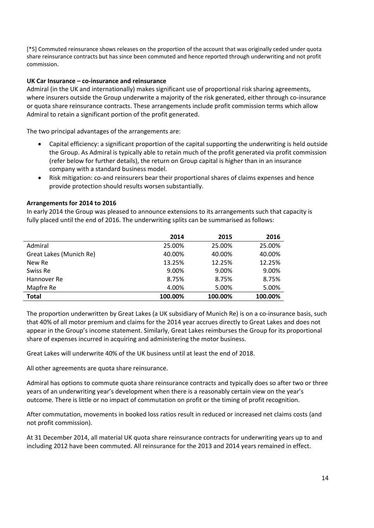[\*5] Commuted reinsurance shows releases on the proportion of the account that was originally ceded under quota share reinsurance contracts but has since been commuted and hence reported through underwriting and not profit commission.

## **UK Car Insurance – co‐insurance and reinsurance**

Admiral (in the UK and internationally) makes significant use of proportional risk sharing agreements, where insurers outside the Group underwrite a majority of the risk generated, either through co-insurance or quota share reinsurance contracts. These arrangements include profit commission terms which allow Admiral to retain a significant portion of the profit generated.

The two principal advantages of the arrangements are:

- Capital efficiency: a significant proportion of the capital supporting the underwriting is held outside the Group. As Admiral is typically able to retain much of the profit generated via profit commission (refer below for further details), the return on Group capital is higher than in an insurance company with a standard business model.
- Risk mitigation: co-and reinsurers bear their proportional shares of claims expenses and hence provide protection should results worsen substantially.

#### **Arrangements for 2014 to 2016**

In early 2014 the Group was pleased to announce extensions to its arrangements such that capacity is fully placed until the end of 2016. The underwriting splits can be summarised as follows:

|                         | 2014    | 2015    | 2016    |
|-------------------------|---------|---------|---------|
| Admiral                 | 25.00%  | 25.00%  | 25.00%  |
| Great Lakes (Munich Re) | 40.00%  | 40.00%  | 40.00%  |
| New Re                  | 13.25%  | 12.25%  | 12.25%  |
| Swiss Re                | 9.00%   | 9.00%   | 9.00%   |
| Hannover Re             | 8.75%   | 8.75%   | 8.75%   |
| Mapfre Re               | 4.00%   | 5.00%   | 5.00%   |
| <b>Total</b>            | 100.00% | 100.00% | 100.00% |

The proportion underwritten by Great Lakes (a UK subsidiary of Munich Re) is on a co-insurance basis, such that 40% of all motor premium and claims for the 2014 year accrues directly to Great Lakes and does not appear in the Group's income statement. Similarly, Great Lakes reimburses the Group for its proportional share of expenses incurred in acquiring and administering the motor business.

Great Lakes will underwrite 40% of the UK business until at least the end of 2018.

All other agreements are quota share reinsurance.

Admiral has options to commute quota share reinsurance contracts and typically does so after two or three years of an underwriting year's development when there is a reasonably certain view on the year's outcome. There is little or no impact of commutation on profit or the timing of profit recognition.

After commutation, movements in booked loss ratios result in reduced or increased net claims costs (and not profit commission).

At 31 December 2014, all material UK quota share reinsurance contracts for underwriting years up to and including 2012 have been commuted. All reinsurance for the 2013 and 2014 years remained in effect.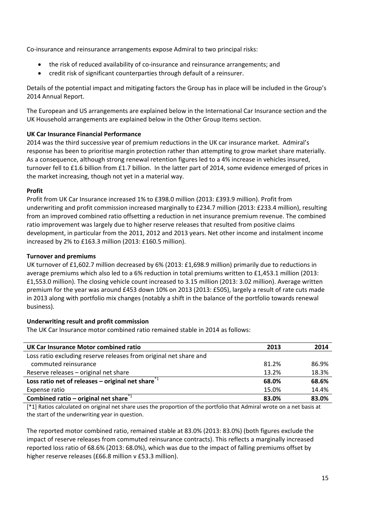Co‐insurance and reinsurance arrangements expose Admiral to two principal risks:

- the risk of reduced availability of co-insurance and reinsurance arrangements; and
- credit risk of significant counterparties through default of a reinsurer.

Details of the potential impact and mitigating factors the Group has in place will be included in the Group's 2014 Annual Report.

The European and US arrangements are explained below in the International Car Insurance section and the UK Household arrangements are explained below in the Other Group Items section.

# **UK Car Insurance Financial Performance**

2014 was the third successive year of premium reductions in the UK car insurance market. Admiral's response has been to prioritise margin protection rather than attempting to grow market share materially. As a consequence, although strong renewal retention figures led to a 4% increase in vehicles insured, turnover fell to £1.6 billion from £1.7 billion. In the latter part of 2014, some evidence emerged of prices in the market increasing, though not yet in a material way.

# **Profit**

Profit from UK Car Insurance increased 1% to £398.0 million (2013: £393.9 million). Profit from underwriting and profit commission increased marginally to £234.7 million (2013: £233.4 million), resulting from an improved combined ratio offsetting a reduction in net insurance premium revenue. The combined ratio improvement was largely due to higher reserve releases that resulted from positive claims development, in particular from the 2011, 2012 and 2013 years. Net other income and instalment income increased by 2% to £163.3 million (2013: £160.5 million).

# **Turnover and premiums**

UK turnover of £1,602.7 million decreased by 6% (2013: £1,698.9 million) primarily due to reductions in average premiums which also led to a 6% reduction in total premiums written to £1,453.1 million (2013: £1,553.0 million). The closing vehicle count increased to 3.15 million (2013: 3.02 million). Average written premium for the year was around £453 down 10% on 2013 (2013: £505), largely a result of rate cuts made in 2013 along with portfolio mix changes (notably a shift in the balance of the portfolio towards renewal business).

# **Underwriting result and profit commission**

The UK Car Insurance motor combined ratio remained stable in 2014 as follows:

| UK Car Insurance Motor combined ratio                                     | 2013  | 2014  |
|---------------------------------------------------------------------------|-------|-------|
| Loss ratio excluding reserve releases from original net share and         |       |       |
| commuted reinsurance                                                      | 81.2% | 86.9% |
| Reserve releases - original net share                                     | 13.2% | 18.3% |
| Loss ratio net of releases – original net share <sup><math>1</math></sup> | 68.0% | 68.6% |
| Expense ratio                                                             | 15.0% | 14.4% |
| Combined ratio – original net share $i1$                                  | 83.0% | 83.0% |
|                                                                           |       |       |

[\*1] Ratios calculated on original net share uses the proportion of the portfolio that Admiral wrote on a net basis at the start of the underwriting year in question.

The reported motor combined ratio, remained stable at 83.0% (2013: 83.0%) (both figures exclude the impact of reserve releases from commuted reinsurance contracts). This reflects a marginally increased reported loss ratio of 68.6% (2013: 68.0%), which was due to the impact of falling premiums offset by higher reserve releases (£66.8 million v £53.3 million).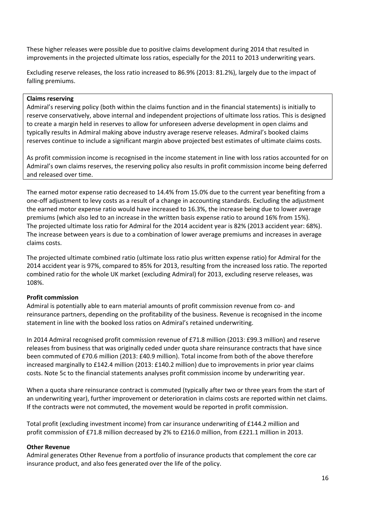These higher releases were possible due to positive claims development during 2014 that resulted in improvements in the projected ultimate loss ratios, especially for the 2011 to 2013 underwriting years.

Excluding reserve releases, the loss ratio increased to 86.9% (2013: 81.2%), largely due to the impact of falling premiums.

#### **Claims reserving**

Admiral's reserving policy (both within the claims function and in the financial statements) is initially to reserve conservatively, above internal and independent projections of ultimate loss ratios. This is designed to create a margin held in reserves to allow for unforeseen adverse development in open claims and typically results in Admiral making above industry average reserve releases. Admiral's booked claims reserves continue to include a significant margin above projected best estimates of ultimate claims costs.

As profit commission income is recognised in the income statement in line with loss ratios accounted for on Admiral's own claims reserves, the reserving policy also results in profit commission income being deferred and released over time.

The earned motor expense ratio decreased to 14.4% from 15.0% due to the current year benefiting from a one‐off adjustment to levy costs as a result of a change in accounting standards. Excluding the adjustment the earned motor expense ratio would have increased to 16.3%, the increase being due to lower average premiums (which also led to an increase in the written basis expense ratio to around 16% from 15%). The projected ultimate loss ratio for Admiral for the 2014 accident year is 82% (2013 accident year: 68%). The increase between years is due to a combination of lower average premiums and increases in average claims costs.

The projected ultimate combined ratio (ultimate loss ratio plus written expense ratio) for Admiral for the 2014 accident year is 97%, compared to 85% for 2013, resulting from the increased loss ratio. The reported combined ratio for the whole UK market (excluding Admiral) for 2013, excluding reserve releases, was 108%.

#### **Profit commission**

Admiral is potentially able to earn material amounts of profit commission revenue from co‐ and reinsurance partners, depending on the profitability of the business. Revenue is recognised in the income statement in line with the booked loss ratios on Admiral's retained underwriting.

In 2014 Admiral recognised profit commission revenue of £71.8 million (2013: £99.3 million) and reserve releases from business that was originally ceded under quota share reinsurance contracts that have since been commuted of £70.6 million (2013: £40.9 million). Total income from both of the above therefore increased marginally to £142.4 million (2013: £140.2 million) due to improvements in prior year claims costs. Note 5c to the financial statements analyses profit commission income by underwriting year.

When a quota share reinsurance contract is commuted (typically after two or three years from the start of an underwriting year), further improvement or deterioration in claims costs are reported within net claims. If the contracts were not commuted, the movement would be reported in profit commission.

Total profit (excluding investment income) from car insurance underwriting of £144.2 million and profit commission of £71.8 million decreased by 2% to £216.0 million, from £221.1 million in 2013.

#### **Other Revenue**

Admiral generates Other Revenue from a portfolio of insurance products that complement the core car insurance product, and also fees generated over the life of the policy.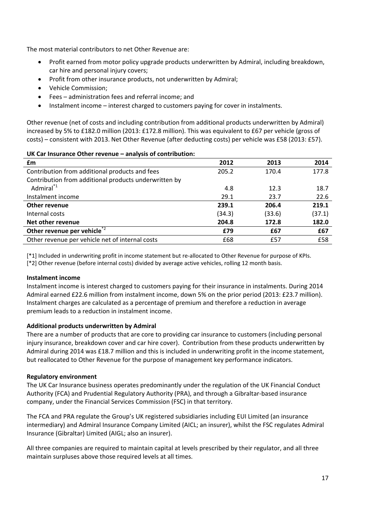The most material contributors to net Other Revenue are:

- Profit earned from motor policy upgrade products underwritten by Admiral, including breakdown, car hire and personal injury covers;
- Profit from other insurance products, not underwritten by Admiral;
- Vehicle Commission;
- Fees administration fees and referral income; and
- Instalment income interest charged to customers paying for cover in instalments.

Other revenue (net of costs and including contribution from additional products underwritten by Admiral) increased by 5% to £182.0 million (2013: £172.8 million). This was equivalent to £67 per vehicle (gross of costs) – consistent with 2013. Net Other Revenue (after deducting costs) per vehicle was £58 (2013: £57).

## **UK Car Insurance Other revenue – analysis of contribution:**

| £m                                                    | 2012   | 2013   | 2014   |
|-------------------------------------------------------|--------|--------|--------|
| Contribution from additional products and fees        | 205.2  | 170.4  | 177.8  |
| Contribution from additional products underwritten by |        |        |        |
| Admiral <sup>*1</sup>                                 | 4.8    | 12.3   | 18.7   |
| Instalment income                                     | 29.1   | 23.7   | 22.6   |
| Other revenue                                         | 239.1  | 206.4  | 219.1  |
| Internal costs                                        | (34.3) | (33.6) | (37.1) |
| Net other revenue                                     | 204.8  | 172.8  | 182.0  |
| Other revenue per vehicle <sup>*2</sup>               | £79    | £67    | £67    |
| Other revenue per vehicle net of internal costs       | £68    | £57    | £58    |

[\*1] Included in underwriting profit in income statement but re-allocated to Other Revenue for purpose of KPIs.

[\*2] Other revenue (before internal costs) divided by average active vehicles, rolling 12 month basis.

#### **Instalment income**

Instalment income is interest charged to customers paying for their insurance in instalments. During 2014 Admiral earned £22.6 million from instalment income, down 5% on the prior period (2013: £23.7 million). Instalment charges are calculated as a percentage of premium and therefore a reduction in average premium leads to a reduction in instalment income.

#### **Additional products underwritten by Admiral**

There are a number of products that are core to providing car insurance to customers (including personal injury insurance, breakdown cover and car hire cover). Contribution from these products underwritten by Admiral during 2014 was £18.7 million and this is included in underwriting profit in the income statement, but reallocated to Other Revenue for the purpose of management key performance indicators.

#### **Regulatory environment**

The UK Car Insurance business operates predominantly under the regulation of the UK Financial Conduct Authority (FCA) and Prudential Regulatory Authority (PRA), and through a Gibraltar‐based insurance company, under the Financial Services Commission (FSC) in that territory.

The FCA and PRA regulate the Group's UK registered subsidiaries including EUI Limited (an insurance intermediary) and Admiral Insurance Company Limited (AICL; an insurer), whilst the FSC regulates Admiral Insurance (Gibraltar) Limited (AIGL; also an insurer).

All three companies are required to maintain capital at levels prescribed by their regulator, and all three maintain surpluses above those required levels at all times.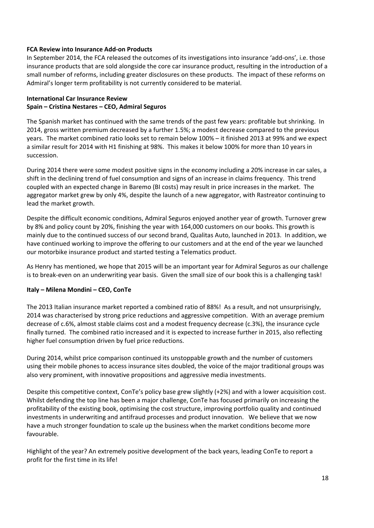## **FCA Review into Insurance Add‐on Products**

In September 2014, the FCA released the outcomes of its investigations into insurance 'add‐ons', i.e. those insurance products that are sold alongside the core car insurance product, resulting in the introduction of a small number of reforms, including greater disclosures on these products. The impact of these reforms on Admiral's longer term profitability is not currently considered to be material.

# **International Car Insurance Review Spain – Cristina Nestares – CEO, Admiral Seguros**

The Spanish market has continued with the same trends of the past few years: profitable but shrinking. In 2014, gross written premium decreased by a further 1.5%; a modest decrease compared to the previous years. The market combined ratio looks set to remain below 100% – it finished 2013 at 99% and we expect a similar result for 2014 with H1 finishing at 98%. This makes it below 100% for more than 10 years in succession.

During 2014 there were some modest positive signs in the economy including a 20% increase in car sales, a shift in the declining trend of fuel consumption and signs of an increase in claims frequency. This trend coupled with an expected change in Baremo (BI costs) may result in price increases in the market. The aggregator market grew by only 4%, despite the launch of a new aggregator, with Rastreator continuing to lead the market growth.

Despite the difficult economic conditions, Admiral Seguros enjoyed another year of growth. Turnover grew by 8% and policy count by 20%, finishing the year with 164,000 customers on our books. This growth is mainly due to the continued success of our second brand, Qualitas Auto, launched in 2013. In addition, we have continued working to improve the offering to our customers and at the end of the year we launched our motorbike insurance product and started testing a Telematics product.

As Henry has mentioned, we hope that 2015 will be an important year for Admiral Seguros as our challenge is to break‐even on an underwriting year basis. Given the small size of our book this is a challenging task!

# **Italy – Milena Mondini – CEO, ConTe**

The 2013 Italian insurance market reported a combined ratio of 88%! As a result, and not unsurprisingly, 2014 was characterised by strong price reductions and aggressive competition. With an average premium decrease of c.6%, almost stable claims cost and a modest frequency decrease (c.3%), the insurance cycle finally turned. The combined ratio increased and it is expected to increase further in 2015, also reflecting higher fuel consumption driven by fuel price reductions.

During 2014, whilst price comparison continued its unstoppable growth and the number of customers using their mobile phones to access insurance sites doubled, the voice of the major traditional groups was also very prominent, with innovative propositions and aggressive media investments.

Despite this competitive context, ConTe's policy base grew slightly (+2%) and with a lower acquisition cost. Whilst defending the top line has been a major challenge, ConTe has focused primarily on increasing the profitability of the existing book, optimising the cost structure, improving portfolio quality and continued investments in underwriting and antifraud processes and product innovation. We believe that we now have a much stronger foundation to scale up the business when the market conditions become more favourable.

Highlight of the year? An extremely positive development of the back years, leading ConTe to report a profit for the first time in its life!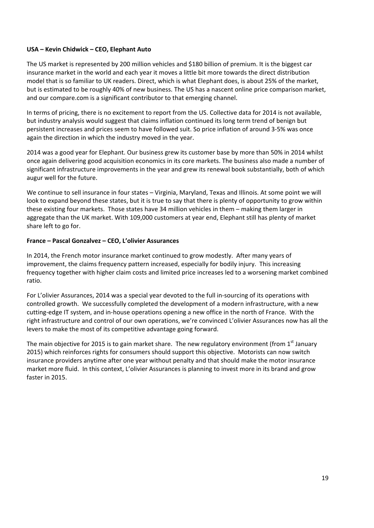#### **USA – Kevin Chidwick – CEO, Elephant Auto**

The US market is represented by 200 million vehicles and \$180 billion of premium. It is the biggest car insurance market in the world and each year it moves a little bit more towards the direct distribution model that is so familiar to UK readers. Direct, which is what Elephant does, is about 25% of the market, but is estimated to be roughly 40% of new business. The US has a nascent online price comparison market, and our compare.com is a significant contributor to that emerging channel.

In terms of pricing, there is no excitement to report from the US. Collective data for 2014 is not available, but industry analysis would suggest that claims inflation continued its long term trend of benign but persistent increases and prices seem to have followed suit. So price inflation of around 3‐5% was once again the direction in which the industry moved in the year.

2014 was a good year for Elephant. Our business grew its customer base by more than 50% in 2014 whilst once again delivering good acquisition economics in its core markets. The business also made a number of significant infrastructure improvements in the year and grew its renewal book substantially, both of which augur well for the future.

We continue to sell insurance in four states – Virginia, Maryland, Texas and Illinois. At some point we will look to expand beyond these states, but it is true to say that there is plenty of opportunity to grow within these existing four markets. Those states have 34 million vehicles in them – making them larger in aggregate than the UK market. With 109,000 customers at year end, Elephant still has plenty of market share left to go for.

## **France – Pascal Gonzalvez – CEO, L'olivier Assurances**

In 2014, the French motor insurance market continued to grow modestly. After many years of improvement, the claims frequency pattern increased, especially for bodily injury. This increasing frequency together with higher claim costs and limited price increases led to a worsening market combined ratio.

For L'olivier Assurances, 2014 was a special year devoted to the full in‐sourcing of its operations with controlled growth. We successfully completed the development of a modern infrastructure, with a new cutting-edge IT system, and in-house operations opening a new office in the north of France. With the right infrastructure and control of our own operations, we're convinced L'olivier Assurances now has all the levers to make the most of its competitive advantage going forward.

The main objective for 2015 is to gain market share. The new regulatory environment (from  $1<sup>st</sup>$  January 2015) which reinforces rights for consumers should support this objective. Motorists can now switch insurance providers anytime after one year without penalty and that should make the motor insurance market more fluid. In this context, L'olivier Assurances is planning to invest more in its brand and grow faster in 2015.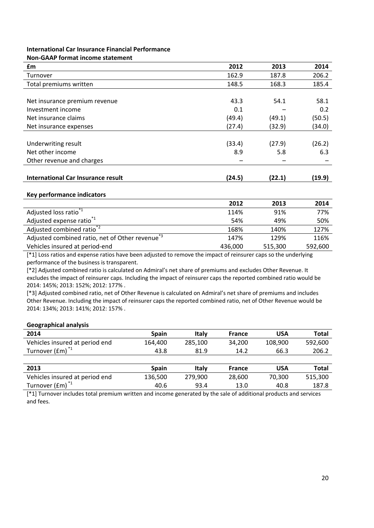## **International Car Insurance Financial Performance**

# **Non‐GAAP format income statement**

| £m                                        | 2012   | 2013   | 2014   |
|-------------------------------------------|--------|--------|--------|
| Turnover                                  | 162.9  | 187.8  | 206.2  |
| Total premiums written                    | 148.5  | 168.3  | 185.4  |
|                                           |        |        |        |
| Net insurance premium revenue             | 43.3   | 54.1   | 58.1   |
| Investment income                         | 0.1    |        | 0.2    |
| Net insurance claims                      | (49.4) | (49.1) | (50.5) |
| Net insurance expenses                    | (27.4) | (32.9) | (34.0) |
|                                           |        |        |        |
| Underwriting result                       | (33.4) | (27.9) | (26.2) |
| Net other income                          | 8.9    | 5.8    | 6.3    |
| Other revenue and charges                 |        |        |        |
|                                           |        |        |        |
| <b>International Car Insurance result</b> | (24.5) | (22.1) | (19.9) |
|                                           |        |        |        |
| Key performance indicators                |        |        |        |
|                                           | ----   | ----   | ----   |

|                                               | 2012    | 2013    | 2014    |
|-----------------------------------------------|---------|---------|---------|
| Adjusted loss ratio <sup>*1</sup>             | 114%    | 91%     | 77%     |
| Adjusted expense ratio <sup>1</sup>           | 54%     | 49%     | 50%     |
| Adjusted combined ratio <sup>2</sup>          | 168%    | 140%    | 127%    |
| Adjusted combined ratio, net of Other revenue | 147%    | 129%    | 116%    |
| Vehicles insured at period-end                | 436,000 | 515,300 | 592,600 |

[\*1] Loss ratios and expense ratios have been adjusted to remove the impact of reinsurer caps so the underlying performance of the business is transparent.

[\*2] Adjusted combined ratio is calculated on Admiral's net share of premiums and excludes Other Revenue. It excludes the impact of reinsurer caps. Including the impact of reinsurer caps the reported combined ratio would be 2014: 145%; 2013: 152%; 2012: 177% .

[\*3] Adjusted combined ratio, net of Other Revenue is calculated on Admiral's net share of premiums and includes Other Revenue. Including the impact of reinsurer caps the reported combined ratio, net of Other Revenue would be 2014: 134%; 2013: 141%; 2012: 157% .

#### **Geographical analysis**

| 2014                           | <b>Spain</b> | Italv   | France | USA     | Total   |
|--------------------------------|--------------|---------|--------|---------|---------|
| Vehicles insured at period end | 164.400      | 285.100 | 34.200 | 108.900 | 592.600 |
| Turnover $(fm)^{1}$            | 43.8         | 81.9    | 14.2   | 66.3    | 206.2   |
|                                |              |         |        |         |         |

| 2013                           | <b>Spain</b> | <b>Italy</b> | <b>France</b> | USA    | Total   |
|--------------------------------|--------------|--------------|---------------|--------|---------|
| Vehicles insured at period end | 136,500      | 279.900      | 28.600        | 70.300 | 515.300 |
| Turnover (£m) <sup>*1</sup>    | 40.6         | 93.4         | 13.0          | 40.8   | 187.8   |
|                                |              |              |               |        |         |

[\*1] Turnover includes total premium written and income generated by the sale of additional products and services and fees.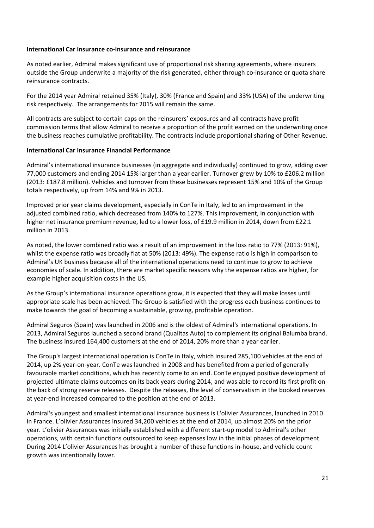#### **International Car Insurance co‐insurance and reinsurance**

As noted earlier, Admiral makes significant use of proportional risk sharing agreements, where insurers outside the Group underwrite a majority of the risk generated, either through co-insurance or quota share reinsurance contracts.

For the 2014 year Admiral retained 35% (Italy), 30% (France and Spain) and 33% (USA) of the underwriting risk respectively. The arrangements for 2015 will remain the same.

All contracts are subject to certain caps on the reinsurers' exposures and all contracts have profit commission terms that allow Admiral to receive a proportion of the profit earned on the underwriting once the business reaches cumulative profitability. The contracts include proportional sharing of Other Revenue.

#### **International Car Insurance Financial Performance**

Admiral's international insurance businesses (in aggregate and individually) continued to grow, adding over 77,000 customers and ending 2014 15% larger than a year earlier. Turnover grew by 10% to £206.2 million (2013: £187.8 million). Vehicles and turnover from these businesses represent 15% and 10% of the Group totals respectively, up from 14% and 9% in 2013.

Improved prior year claims development, especially in ConTe in Italy, led to an improvement in the adjusted combined ratio, which decreased from 140% to 127%. This improvement, in conjunction with higher net insurance premium revenue, led to a lower loss, of £19.9 million in 2014, down from £22.1 million in 2013.

As noted, the lower combined ratio was a result of an improvement in the loss ratio to 77% (2013: 91%), whilst the expense ratio was broadly flat at 50% (2013: 49%). The expense ratio is high in comparison to Admiral's UK business because all of the international operations need to continue to grow to achieve economies of scale. In addition, there are market specific reasons why the expense ratios are higher, for example higher acquisition costs in the US.

As the Group's international insurance operations grow, it is expected that they will make losses until appropriate scale has been achieved. The Group is satisfied with the progress each business continues to make towards the goal of becoming a sustainable, growing, profitable operation.

Admiral Seguros (Spain) was launched in 2006 and is the oldest of Admiral's international operations. In 2013, Admiral Seguros launched a second brand (Qualitas Auto) to complement its original Balumba brand. The business insured 164,400 customers at the end of 2014, 20% more than a year earlier.

The Group's largest international operation is ConTe in Italy, which insured 285,100 vehicles at the end of 2014, up 2% year‐on‐year. ConTe was launched in 2008 and has benefited from a period of generally favourable market conditions, which has recently come to an end. ConTe enjoyed positive development of projected ultimate claims outcomes on its back years during 2014, and was able to record its first profit on the back of strong reserve releases. Despite the releases, the level of conservatism in the booked reserves at year‐end increased compared to the position at the end of 2013.

Admiral's youngest and smallest international insurance business is L'olivier Assurances, launched in 2010 in France. L'olivier Assurances insured 34,200 vehicles at the end of 2014, up almost 20% on the prior year. L'olivier Assurances was initially established with a different start‐up model to Admiral's other operations, with certain functions outsourced to keep expenses low in the initial phases of development. During 2014 L'olivier Assurances has brought a number of these functions in‐house, and vehicle count growth was intentionally lower.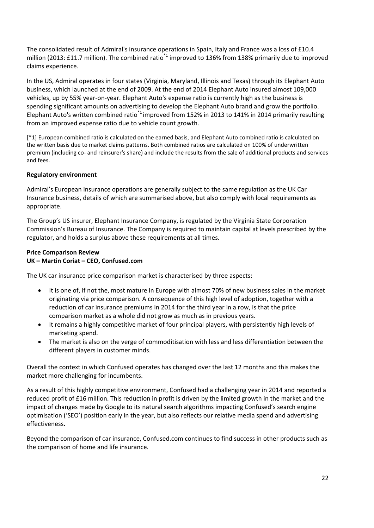The consolidated result of Admiral's insurance operations in Spain, Italy and France was a loss of £10.4 million (2013: £11.7 million). The combined ratio<sup>\*1</sup> improved to 136% from 138% primarily due to improved claims experience.

In the US, Admiral operates in four states (Virginia, Maryland, Illinois and Texas) through its Elephant Auto business, which launched at the end of 2009. At the end of 2014 Elephant Auto insured almost 109,000 vehicles, up by 55% year‐on‐year. Elephant Auto's expense ratio is currently high as the business is spending significant amounts on advertising to develop the Elephant Auto brand and grow the portfolio. Elephant Auto's written combined ratio\*1 improved from 152% in 2013 to 141% in 2014 primarily resulting from an improved expense ratio due to vehicle count growth.

[\*1] European combined ratio is calculated on the earned basis, and Elephant Auto combined ratio is calculated on the written basis due to market claims patterns. Both combined ratios are calculated on 100% of underwritten premium (including co‐ and reinsurer's share) and include the results from the sale of additional products and services and fees.

## **Regulatory environment**

Admiral's European insurance operations are generally subject to the same regulation as the UK Car Insurance business, details of which are summarised above, but also comply with local requirements as appropriate.

The Group's US insurer, Elephant Insurance Company, is regulated by the Virginia State Corporation Commission's Bureau of Insurance. The Company is required to maintain capital at levels prescribed by the regulator, and holds a surplus above these requirements at all times.

# **Price Comparison Review**

# **UK – Martin Coriat – CEO, Confused.com**

The UK car insurance price comparison market is characterised by three aspects:

- It is one of, if not the, most mature in Europe with almost 70% of new business sales in the market originating via price comparison. A consequence of this high level of adoption, together with a reduction of car insurance premiums in 2014 for the third year in a row, is that the price comparison market as a whole did not grow as much as in previous years.
- It remains a highly competitive market of four principal players, with persistently high levels of marketing spend.
- The market is also on the verge of commoditisation with less and less differentiation between the different players in customer minds.

Overall the context in which Confused operates has changed over the last 12 months and this makes the market more challenging for incumbents.

As a result of this highly competitive environment, Confused had a challenging year in 2014 and reported a reduced profit of £16 million. This reduction in profit is driven by the limited growth in the market and the impact of changes made by Google to its natural search algorithms impacting Confused's search engine optimisation ('SEO') position early in the year, but also reflects our relative media spend and advertising effectiveness.

Beyond the comparison of car insurance, Confused.com continues to find success in other products such as the comparison of home and life insurance.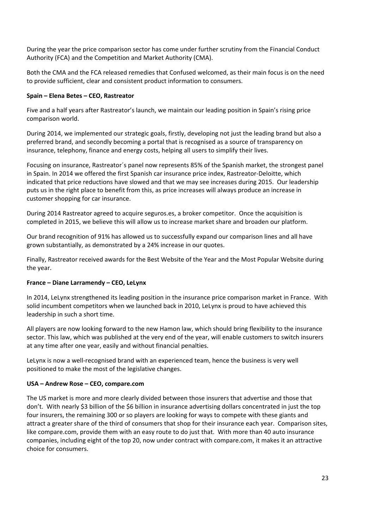During the year the price comparison sector has come under further scrutiny from the Financial Conduct Authority (FCA) and the Competition and Market Authority (CMA).

Both the CMA and the FCA released remedies that Confused welcomed, as their main focus is on the need to provide sufficient, clear and consistent product information to consumers.

#### **Spain – Elena Betes – CEO, Rastreator**

Five and a half years after Rastreator's launch, we maintain our leading position in Spain's rising price comparison world.

During 2014, we implemented our strategic goals, firstly, developing not just the leading brand but also a preferred brand, and secondly becoming a portal that is recognised as a source of transparency on insurance, telephony, finance and energy costs, helping all users to simplify their lives.

Focusing on insurance, Rastreator´s panel now represents 85% of the Spanish market, the strongest panel in Spain. In 2014 we offered the first Spanish car insurance price index, Rastreator‐Deloitte, which indicated that price reductions have slowed and that we may see increases during 2015. Our leadership puts us in the right place to benefit from this, as price increases will always produce an increase in customer shopping for car insurance.

During 2014 Rastreator agreed to acquire seguros.es, a broker competitor. Once the acquisition is completed in 2015, we believe this will allow us to increase market share and broaden our platform.

Our brand recognition of 91% has allowed us to successfully expand our comparison lines and all have grown substantially, as demonstrated by a 24% increase in our quotes.

Finally, Rastreator received awards for the Best Website of the Year and the Most Popular Website during the year.

#### **France – Diane Larramendy – CEO, LeLynx**

In 2014, LeLynx strengthened its leading position in the insurance price comparison market in France. With solid incumbent competitors when we launched back in 2010, LeLynx is proud to have achieved this leadership in such a short time.

All players are now looking forward to the new Hamon law, which should bring flexibility to the insurance sector. This law, which was published at the very end of the year, will enable customers to switch insurers at any time after one year, easily and without financial penalties.

LeLynx is now a well-recognised brand with an experienced team, hence the business is very well positioned to make the most of the legislative changes.

#### **USA – Andrew Rose – CEO, compare.com**

The US market is more and more clearly divided between those insurers that advertise and those that don't. With nearly \$3 billion of the \$6 billion in insurance advertising dollars concentrated in just the top four insurers, the remaining 300 or so players are looking for ways to compete with these giants and attract a greater share of the third of consumers that shop for their insurance each year. Comparison sites, like compare.com, provide them with an easy route to do just that. With more than 40 auto insurance companies, including eight of the top 20, now under contract with compare.com, it makes it an attractive choice for consumers.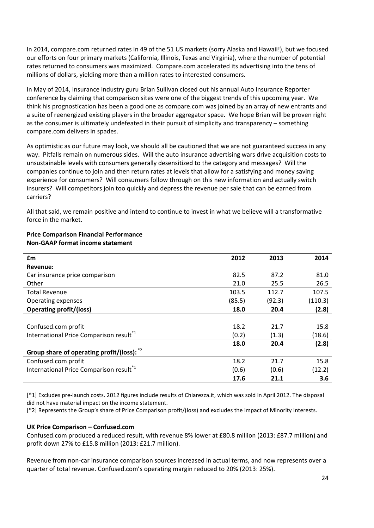In 2014, compare.com returned rates in 49 of the 51 US markets (sorry Alaska and Hawaii!), but we focused our efforts on four primary markets (California, Illinois, Texas and Virginia), where the number of potential rates returned to consumers was maximized. Compare.com accelerated its advertising into the tens of millions of dollars, yielding more than a million rates to interested consumers.

In May of 2014, Insurance Industry guru Brian Sullivan closed out his annual Auto Insurance Reporter conference by claiming that comparison sites were one of the biggest trends of this upcoming year. We think his prognostication has been a good one as compare.com was joined by an array of new entrants and a suite of reenergized existing players in the broader aggregator space. We hope Brian will be proven right as the consumer is ultimately undefeated in their pursuit of simplicity and transparency – something compare.com delivers in spades.

As optimistic as our future may look, we should all be cautioned that we are not guaranteed success in any way. Pitfalls remain on numerous sides. Will the auto insurance advertising wars drive acquisition costs to unsustainable levels with consumers generally desensitized to the category and messages? Will the companies continue to join and then return rates at levels that allow for a satisfying and money saving experience for consumers? Will consumers follow through on this new information and actually switch insurers? Will competitors join too quickly and depress the revenue per sale that can be earned from carriers?

All that said, we remain positive and intend to continue to invest in what we believe will a transformative force in the market.

| £m                                                    | 2012   | 2013   | 2014    |
|-------------------------------------------------------|--------|--------|---------|
| Revenue:                                              |        |        |         |
| Car insurance price comparison                        | 82.5   | 87.2   | 81.0    |
| Other                                                 | 21.0   | 25.5   | 26.5    |
| <b>Total Revenue</b>                                  | 103.5  | 112.7  | 107.5   |
| Operating expenses                                    | (85.5) | (92.3) | (110.3) |
| <b>Operating profit/(loss)</b>                        | 18.0   | 20.4   | (2.8)   |
|                                                       |        |        |         |
| Confused.com profit                                   | 18.2   | 21.7   | 15.8    |
| International Price Comparison result <sup>*1</sup>   | (0.2)  | (1.3)  | (18.6)  |
|                                                       | 18.0   | 20.4   | (2.8)   |
| Group share of operating profit/(loss): $\frac{1}{2}$ |        |        |         |
| Confused.com profit                                   | 18.2   | 21.7   | 15.8    |
| International Price Comparison result <sup>*1</sup>   | (0.6)  | (0.6)  | (12.2)  |
|                                                       | 17.6   | 21.1   | 3.6     |

#### **Price Comparison Financial Performance Non‐GAAP format income statement**

[\*1] Excludes pre‐launch costs. 2012 figures include results of Chiarezza.it, which was sold in April 2012. The disposal did not have material impact on the income statement.

[\*2] Represents the Group's share of Price Comparison profit/(loss) and excludes the impact of Minority Interests.

#### **UK Price Comparison – Confused.com**

Confused.com produced a reduced result, with revenue 8% lower at £80.8 million (2013: £87.7 million) and profit down 27% to £15.8 million (2013: £21.7 million).

Revenue from non-car insurance comparison sources increased in actual terms, and now represents over a quarter of total revenue. Confused.com's operating margin reduced to 20% (2013: 25%).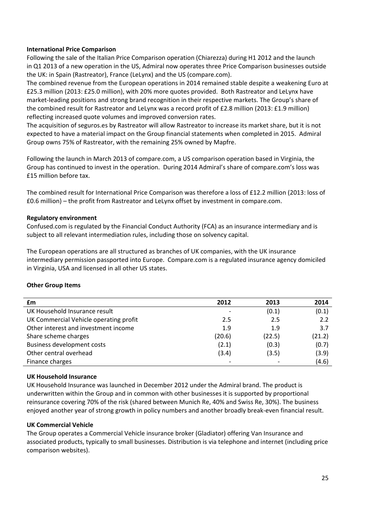#### **International Price Comparison**

Following the sale of the Italian Price Comparison operation (Chiarezza) during H1 2012 and the launch in Q1 2013 of a new operation in the US, Admiral now operates three Price Comparison businesses outside the UK: in Spain (Rastreator), France (LeLynx) and the US (compare.com).

The combined revenue from the European operations in 2014 remained stable despite a weakening Euro at £25.3 million (2013: £25.0 million), with 20% more quotes provided. Both Rastreator and LeLynx have market‐leading positions and strong brand recognition in their respective markets. The Group's share of the combined result for Rastreator and LeLynx was a record profit of £2.8 million (2013: £1.9 million) reflecting increased quote volumes and improved conversion rates.

The acquisition of seguros.es by Rastreator will allow Rastreator to increase its market share, but it is not expected to have a material impact on the Group financial statements when completed in 2015. Admiral Group owns 75% of Rastreator, with the remaining 25% owned by Mapfre.

Following the launch in March 2013 of compare.com, a US comparison operation based in Virginia, the Group has continued to invest in the operation. During 2014 Admiral's share of compare.com's loss was £15 million before tax.

The combined result for International Price Comparison was therefore a loss of £12.2 million (2013: loss of £0.6 million) – the profit from Rastreator and LeLynx offset by investment in compare.com.

## **Regulatory environment**

Confused.com is regulated by the Financial Conduct Authority (FCA) as an insurance intermediary and is subject to all relevant intermediation rules, including those on solvency capital.

The European operations are all structured as branches of UK companies, with the UK insurance intermediary permission passported into Europe. Compare.com is a regulated insurance agency domiciled in Virginia, USA and licensed in all other US states.

#### **Other Group Items**

| £m                                     | 2012   | 2013   | 2014   |
|----------------------------------------|--------|--------|--------|
| UK Household Insurance result          |        | (0.1)  | (0.1)  |
| UK Commercial Vehicle operating profit | 2.5    | 2.5    | 2.2    |
| Other interest and investment income   | 1.9    | 1.9    | 3.7    |
| Share scheme charges                   | (20.6) | (22.5) | (21.2) |
| <b>Business development costs</b>      | (2.1)  | (0.3)  | (0.7)  |
| Other central overhead                 | (3.4)  | (3.5)  | (3.9)  |
| Finance charges                        |        |        | (4.6)  |

#### **UK Household Insurance**

UK Household Insurance was launched in December 2012 under the Admiral brand. The product is underwritten within the Group and in common with other businesses it is supported by proportional reinsurance covering 70% of the risk (shared between Munich Re, 40% and Swiss Re, 30%). The business enjoyed another year of strong growth in policy numbers and another broadly break‐even financial result.

# **UK Commercial Vehicle**

The Group operates a Commercial Vehicle insurance broker (Gladiator) offering Van Insurance and associated products, typically to small businesses. Distribution is via telephone and internet (including price comparison websites).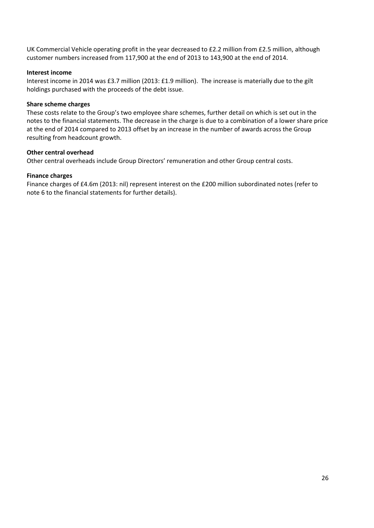UK Commercial Vehicle operating profit in the year decreased to £2.2 million from £2.5 million, although customer numbers increased from 117,900 at the end of 2013 to 143,900 at the end of 2014.

#### **Interest income**

Interest income in 2014 was £3.7 million (2013: £1.9 million). The increase is materially due to the gilt holdings purchased with the proceeds of the debt issue.

#### **Share scheme charges**

These costs relate to the Group's two employee share schemes, further detail on which is set out in the notes to the financial statements. The decrease in the charge is due to a combination of a lower share price at the end of 2014 compared to 2013 offset by an increase in the number of awards across the Group resulting from headcount growth.

#### **Other central overhead**

Other central overheads include Group Directors' remuneration and other Group central costs.

## **Finance charges**

Finance charges of £4.6m (2013: nil) represent interest on the £200 million subordinated notes (refer to note 6 to the financial statements for further details).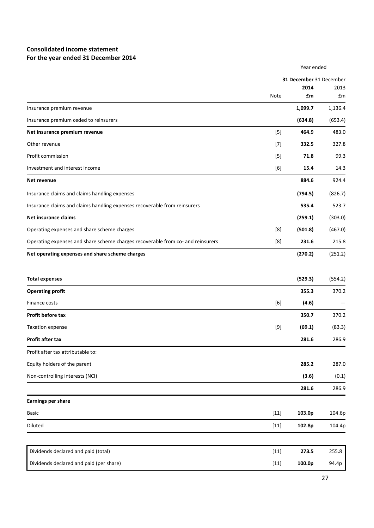# **Consolidated income statement For the year ended 31 December 2014**

|                                                                                 | Year ended |                         |         |
|---------------------------------------------------------------------------------|------------|-------------------------|---------|
|                                                                                 |            | 31 December 31 December |         |
|                                                                                 |            | 2014                    | 2013    |
|                                                                                 | Note       | £m                      | £m      |
| Insurance premium revenue                                                       |            | 1,099.7                 | 1,136.4 |
| Insurance premium ceded to reinsurers                                           |            | (634.8)                 | (653.4) |
| Net insurance premium revenue                                                   | $[5]$      | 464.9                   | 483.0   |
| Other revenue                                                                   | $[7]$      | 332.5                   | 327.8   |
| Profit commission                                                               | $[5]$      | 71.8                    | 99.3    |
| Investment and interest income                                                  | [6]        | 15.4                    | 14.3    |
| Net revenue                                                                     |            | 884.6                   | 924.4   |
| Insurance claims and claims handling expenses                                   |            | (794.5)                 | (826.7) |
| Insurance claims and claims handling expenses recoverable from reinsurers       |            | 535.4                   | 523.7   |
| <b>Net insurance claims</b>                                                     |            | (259.1)                 | (303.0) |
| Operating expenses and share scheme charges                                     | [8]        | (501.8)                 | (467.0) |
| Operating expenses and share scheme charges recoverable from co- and reinsurers | [8]        | 231.6                   | 215.8   |
| Net operating expenses and share scheme charges                                 |            | (270.2)                 | (251.2) |
| <b>Total expenses</b>                                                           |            | (529.3)                 | (554.2) |
| <b>Operating profit</b>                                                         |            | 355.3                   | 370.2   |
| Finance costs                                                                   | [6]        | (4.6)                   |         |
| Profit before tax                                                               |            | 350.7                   | 370.2   |
| Taxation expense                                                                | $[9]$      | (69.1)                  | (83.3)  |
| <b>Profit after tax</b>                                                         |            | 281.6                   | 286.9   |
| Profit after tax attributable to:                                               |            |                         |         |
| Equity holders of the parent                                                    |            | 285.2                   | 287.0   |
| Non-controlling interests (NCI)                                                 |            | (3.6)                   | (0.1)   |
|                                                                                 |            | 281.6                   | 286.9   |
| <b>Earnings per share</b>                                                       |            |                         |         |
| <b>Basic</b>                                                                    | $[11]$     | 103.0p                  | 104.6p  |
| <b>Diluted</b>                                                                  | $[11]$     | 102.8p                  | 104.4p  |
|                                                                                 |            |                         |         |
| Dividends declared and paid (total)                                             | $[11]$     | 273.5                   | 255.8   |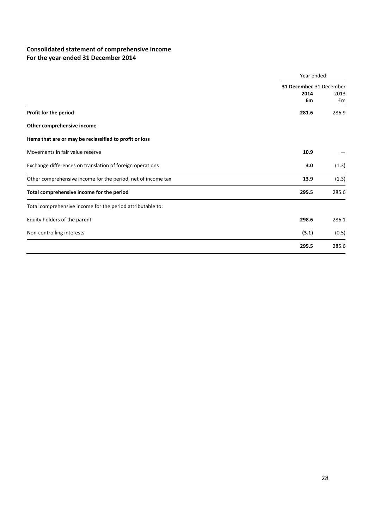# **Consolidated statement of comprehensive income For the year ended 31 December 2014**

|                                                              | Year ended<br>31 December 31 December |       |
|--------------------------------------------------------------|---------------------------------------|-------|
|                                                              |                                       |       |
|                                                              | 2014                                  | 2013  |
|                                                              | £m                                    | Em    |
| Profit for the period                                        | 281.6                                 | 286.9 |
| Other comprehensive income                                   |                                       |       |
| Items that are or may be reclassified to profit or loss      |                                       |       |
| Movements in fair value reserve                              | 10.9                                  |       |
| Exchange differences on translation of foreign operations    | 3.0                                   | (1.3) |
| Other comprehensive income for the period, net of income tax | 13.9                                  | (1.3) |
| Total comprehensive income for the period                    | 295.5                                 | 285.6 |
| Total comprehensive income for the period attributable to:   |                                       |       |
| Equity holders of the parent                                 | 298.6                                 | 286.1 |
| Non-controlling interests                                    | (3.1)                                 | (0.5) |
|                                                              | 295.5                                 | 285.6 |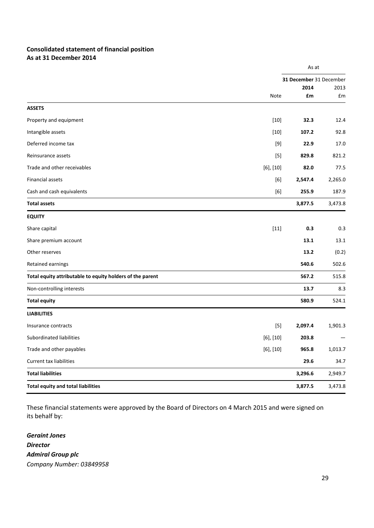## **Consolidated statement of financial position As at 31 December 2014**

|                                                           |                | As at                   |         |
|-----------------------------------------------------------|----------------|-------------------------|---------|
|                                                           |                | 31 December 31 December | 2013    |
|                                                           |                | 2014                    |         |
|                                                           | Note           | £m                      | £m      |
| <b>ASSETS</b>                                             |                |                         |         |
| Property and equipment                                    | $[10]$         | 32.3                    | 12.4    |
| Intangible assets                                         | $[10]$         | 107.2                   | 92.8    |
| Deferred income tax                                       | $[9]$          | 22.9                    | 17.0    |
| Reinsurance assets                                        | $[5]$          | 829.8                   | 821.2   |
| Trade and other receivables                               | $[6]$ , $[10]$ | 82.0                    | 77.5    |
| <b>Financial assets</b>                                   | [6]            | 2,547.4                 | 2,265.0 |
| Cash and cash equivalents                                 | $[6]$          | 255.9                   | 187.9   |
| <b>Total assets</b>                                       |                | 3,877.5                 | 3,473.8 |
| <b>EQUITY</b>                                             |                |                         |         |
| Share capital                                             | $[11]$         | 0.3                     | 0.3     |
| Share premium account                                     |                | 13.1                    | 13.1    |
| Other reserves                                            |                | 13.2                    | (0.2)   |
| Retained earnings                                         |                | 540.6                   | 502.6   |
| Total equity attributable to equity holders of the parent |                | 567.2                   | 515.8   |
| Non-controlling interests                                 |                | 13.7                    | 8.3     |
| <b>Total equity</b>                                       |                | 580.9                   | 524.1   |
| <b>LIABILITIES</b>                                        |                |                         |         |
| Insurance contracts                                       | $[5]$          | 2,097.4                 | 1,901.3 |
| Subordinated liabilities                                  | $[6]$ , $[10]$ | 203.8                   |         |
| Trade and other payables                                  | $[6]$ , $[10]$ | 965.8                   | 1,013.7 |
| <b>Current tax liabilities</b>                            |                | 29.6                    | 34.7    |
| <b>Total liabilities</b>                                  |                | 3,296.6                 | 2,949.7 |
| <b>Total equity and total liabilities</b>                 |                | 3,877.5                 | 3,473.8 |

These financial statements were approved by the Board of Directors on 4 March 2015 and were signed on its behalf by:

*Geraint Jones Director Admiral Group plc Company Number: 03849958*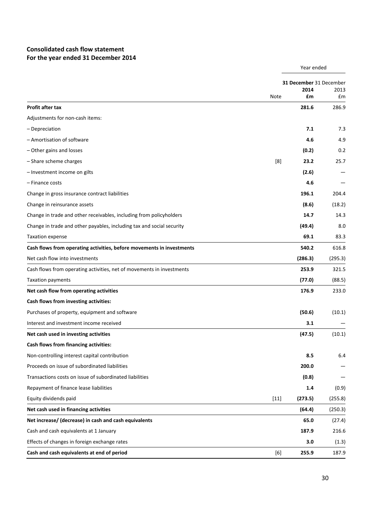# **Consolidated cash flow statement For the year ended 31 December 2014**

|                                                                       |        | Year ended              |         |  |
|-----------------------------------------------------------------------|--------|-------------------------|---------|--|
|                                                                       |        | 31 December 31 December |         |  |
|                                                                       |        | 2014                    | 2013    |  |
| <b>Profit after tax</b>                                               | Note   | £m                      | £m      |  |
|                                                                       |        | 281.6                   | 286.9   |  |
| Adjustments for non-cash items:                                       |        |                         |         |  |
| - Depreciation                                                        |        | 7.1                     | 7.3     |  |
| - Amortisation of software                                            |        | 4.6                     | 4.9     |  |
| - Other gains and losses                                              |        | (0.2)                   | 0.2     |  |
| - Share scheme charges                                                | [8]    | 23.2                    | 25.7    |  |
| - Investment income on gilts                                          |        | (2.6)                   |         |  |
| - Finance costs                                                       |        | 4.6                     |         |  |
| Change in gross insurance contract liabilities                        |        | 196.1                   | 204.4   |  |
| Change in reinsurance assets                                          |        | (8.6)                   | (18.2)  |  |
| Change in trade and other receivables, including from policyholders   |        | 14.7                    | 14.3    |  |
| Change in trade and other payables, including tax and social security |        | (49.4)                  | 8.0     |  |
| Taxation expense                                                      |        | 69.1                    | 83.3    |  |
| Cash flows from operating activities, before movements in investments |        | 540.2                   | 616.8   |  |
| Net cash flow into investments                                        |        | (286.3)                 | (295.3) |  |
| Cash flows from operating activities, net of movements in investments |        | 253.9                   | 321.5   |  |
| Taxation payments                                                     |        | (77.0)                  | (88.5)  |  |
| Net cash flow from operating activities                               |        | 176.9                   | 233.0   |  |
| Cash flows from investing activities:                                 |        |                         |         |  |
| Purchases of property, equipment and software                         |        | (50.6)                  | (10.1)  |  |
| Interest and investment income received                               |        | 3.1                     |         |  |
| Net cash used in investing activities                                 |        | (47.5)                  | (10.1)  |  |
| Cash flows from financing activities:                                 |        |                         |         |  |
| Non-controlling interest capital contribution                         |        | 8.5                     | 6.4     |  |
| Proceeds on issue of subordinated liabilities                         |        | 200.0                   |         |  |
| Transactions costs on issue of subordinated liabilities               |        | (0.8)                   |         |  |
| Repayment of finance lease liabilities                                |        | 1.4                     | (0.9)   |  |
| Equity dividends paid                                                 | $[11]$ | (273.5)                 | (255.8) |  |
| Net cash used in financing activities                                 |        | (64.4)                  | (250.3) |  |
| Net increase/ (decrease) in cash and cash equivalents                 |        | 65.0                    | (27.4)  |  |
| Cash and cash equivalents at 1 January                                |        | 187.9                   | 216.6   |  |
| Effects of changes in foreign exchange rates                          |        | 3.0                     | (1.3)   |  |
| Cash and cash equivalents at end of period                            | $[6]$  | 255.9                   | 187.9   |  |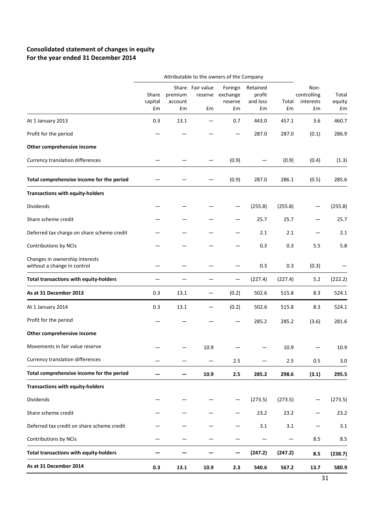# **Consolidated statement of changes in equity For the year ended 31 December 2014**

| Total<br>equity<br>£m<br>460.7<br>286.9 |
|-----------------------------------------|
|                                         |
|                                         |
|                                         |
|                                         |
| (1.3)                                   |
| 285.6                                   |
|                                         |
| (255.8)                                 |
| 25.7                                    |
| 2.1                                     |
| 5.8                                     |
|                                         |
| (222.2)                                 |
| 524.1                                   |
| 524.1                                   |
| 281.6                                   |
|                                         |
| 10.9                                    |
| $3.0\,$                                 |
| 295.5                                   |
|                                         |
| (273.5)                                 |
| 23.2                                    |
| 3.1                                     |
| 8.5                                     |
| (238.7)                                 |
| 580.9                                   |
|                                         |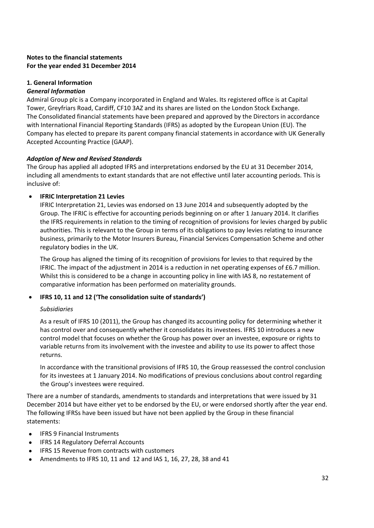## **Notes to the financial statements For the year ended 31 December 2014**

# **1. General Information**

# *General Information*

Admiral Group plc is a Company incorporated in England and Wales. Its registered office is at Capital Tower, Greyfriars Road, Cardiff, CF10 3AZ and its shares are listed on the London Stock Exchange. The Consolidated financial statements have been prepared and approved by the Directors in accordance with International Financial Reporting Standards (IFRS) as adopted by the European Union (EU). The Company has elected to prepare its parent company financial statements in accordance with UK Generally Accepted Accounting Practice (GAAP).

# *Adoption of New and Revised Standards*

The Group has applied all adopted IFRS and interpretations endorsed by the EU at 31 December 2014, including all amendments to extant standards that are not effective until later accounting periods. This is inclusive of:

# **IFRIC Interpretation 21 Levies**

IFRIC Interpretation 21, Levies was endorsed on 13 June 2014 and subsequently adopted by the Group. The IFRIC is effective for accounting periods beginning on or after 1 January 2014. It clarifies the IFRS requirements in relation to the timing of recognition of provisions for levies charged by public authorities. This is relevant to the Group in terms of its obligations to pay levies relating to insurance business, primarily to the Motor Insurers Bureau, Financial Services Compensation Scheme and other regulatory bodies in the UK.

The Group has aligned the timing of its recognition of provisions for levies to that required by the IFRIC. The impact of the adjustment in 2014 is a reduction in net operating expenses of £6.7 million. Whilst this is considered to be a change in accounting policy in line with IAS 8, no restatement of comparative information has been performed on materiality grounds.

# **IFRS 10, 11 and 12 ('The consolidation suite of standards')**

# *Subsidiaries*

As a result of IFRS 10 (2011), the Group has changed its accounting policy for determining whether it has control over and consequently whether it consolidates its investees. IFRS 10 introduces a new control model that focuses on whether the Group has power over an investee, exposure or rights to variable returns from its involvement with the investee and ability to use its power to affect those returns.

In accordance with the transitional provisions of IFRS 10, the Group reassessed the control conclusion for its investees at 1 January 2014. No modifications of previous conclusions about control regarding the Group's investees were required.

There are a number of standards, amendments to standards and interpretations that were issued by 31 December 2014 but have either yet to be endorsed by the EU, or were endorsed shortly after the year end. The following IFRSs have been issued but have not been applied by the Group in these financial statements:

- IFRS 9 Financial Instruments
- IFRS 14 Regulatory Deferral Accounts
- IFRS 15 Revenue from contracts with customers
- Amendments to IFRS 10, 11 and 12 and IAS 1, 16, 27, 28, 38 and 41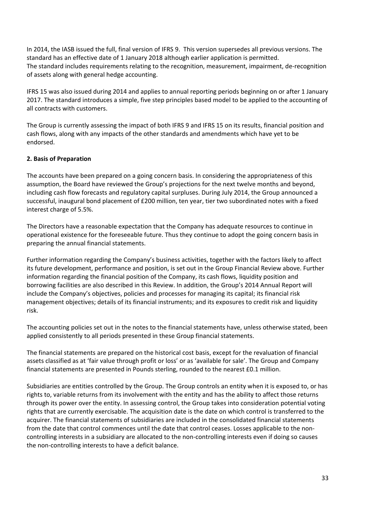In 2014, the IASB issued the full, final version of IFRS 9. This version supersedes all previous versions. The standard has an effective date of 1 January 2018 although earlier application is permitted. The standard includes requirements relating to the recognition, measurement, impairment, de‐recognition of assets along with general hedge accounting.

IFRS 15 was also issued during 2014 and applies to annual reporting periods beginning on or after 1 January 2017. The standard introduces a simple, five step principles based model to be applied to the accounting of all contracts with customers.

The Group is currently assessing the impact of both IFRS 9 and IFRS 15 on its results, financial position and cash flows, along with any impacts of the other standards and amendments which have yet to be endorsed.

# **2. Basis of Preparation**

The accounts have been prepared on a going concern basis. In considering the appropriateness of this assumption, the Board have reviewed the Group's projections for the next twelve months and beyond, including cash flow forecasts and regulatory capital surpluses. During July 2014, the Group announced a successful, inaugural bond placement of £200 million, ten year, tier two subordinated notes with a fixed interest charge of 5.5%.

The Directors have a reasonable expectation that the Company has adequate resources to continue in operational existence for the foreseeable future. Thus they continue to adopt the going concern basis in preparing the annual financial statements.

Further information regarding the Company's business activities, together with the factors likely to affect its future development, performance and position, is set out in the Group Financial Review above. Further information regarding the financial position of the Company, its cash flows, liquidity position and borrowing facilities are also described in this Review. In addition, the Group's 2014 Annual Report will include the Company's objectives, policies and processes for managing its capital; its financial risk management objectives; details of its financial instruments; and its exposures to credit risk and liquidity risk.

The accounting policies set out in the notes to the financial statements have, unless otherwise stated, been applied consistently to all periods presented in these Group financial statements.

The financial statements are prepared on the historical cost basis, except for the revaluation of financial assets classified as at 'fair value through profit or loss' or as 'available for sale'. The Group and Company financial statements are presented in Pounds sterling, rounded to the nearest £0.1 million.

Subsidiaries are entities controlled by the Group. The Group controls an entity when it is exposed to, or has rights to, variable returns from its involvement with the entity and has the ability to affect those returns through its power over the entity. In assessing control, the Group takes into consideration potential voting rights that are currently exercisable. The acquisition date is the date on which control is transferred to the acquirer. The financial statements of subsidiaries are included in the consolidated financial statements from the date that control commences until the date that control ceases. Losses applicable to the noncontrolling interests in a subsidiary are allocated to the non‐controlling interests even if doing so causes the non‐controlling interests to have a deficit balance.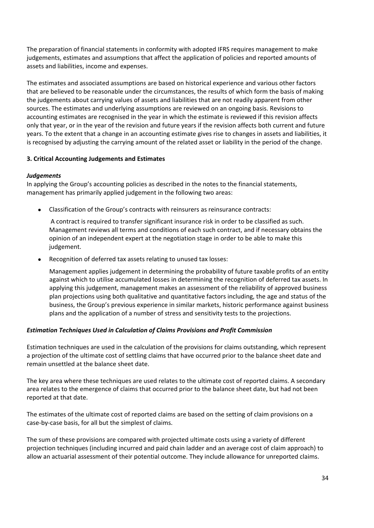The preparation of financial statements in conformity with adopted IFRS requires management to make judgements, estimates and assumptions that affect the application of policies and reported amounts of assets and liabilities, income and expenses.

The estimates and associated assumptions are based on historical experience and various other factors that are believed to be reasonable under the circumstances, the results of which form the basis of making the judgements about carrying values of assets and liabilities that are not readily apparent from other sources. The estimates and underlying assumptions are reviewed on an ongoing basis. Revisions to accounting estimates are recognised in the year in which the estimate is reviewed if this revision affects only that year, or in the year of the revision and future years if the revision affects both current and future years. To the extent that a change in an accounting estimate gives rise to changes in assets and liabilities, it is recognised by adjusting the carrying amount of the related asset or liability in the period of the change.

# **3. Critical Accounting Judgements and Estimates**

## *Judgements*

In applying the Group's accounting policies as described in the notes to the financial statements, management has primarily applied judgement in the following two areas:

Classification of the Group's contracts with reinsurers as reinsurance contracts:

A contract is required to transfer significant insurance risk in order to be classified as such. Management reviews all terms and conditions of each such contract, and if necessary obtains the opinion of an independent expert at the negotiation stage in order to be able to make this judgement.

Recognition of deferred tax assets relating to unused tax losses:

Management applies judgement in determining the probability of future taxable profits of an entity against which to utilise accumulated losses in determining the recognition of deferred tax assets. In applying this judgement, management makes an assessment of the reliability of approved business plan projections using both qualitative and quantitative factors including, the age and status of the business, the Group's previous experience in similar markets, historic performance against business plans and the application of a number of stress and sensitivity tests to the projections.

#### *Estimation Techniques Used in Calculation of Claims Provisions and Profit Commission*

Estimation techniques are used in the calculation of the provisions for claims outstanding, which represent a projection of the ultimate cost of settling claims that have occurred prior to the balance sheet date and remain unsettled at the balance sheet date.

The key area where these techniques are used relates to the ultimate cost of reported claims. A secondary area relates to the emergence of claims that occurred prior to the balance sheet date, but had not been reported at that date.

The estimates of the ultimate cost of reported claims are based on the setting of claim provisions on a case‐by‐case basis, for all but the simplest of claims.

The sum of these provisions are compared with projected ultimate costs using a variety of different projection techniques (including incurred and paid chain ladder and an average cost of claim approach) to allow an actuarial assessment of their potential outcome. They include allowance for unreported claims.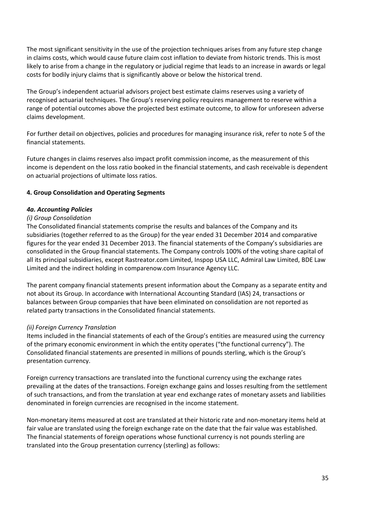The most significant sensitivity in the use of the projection techniques arises from any future step change in claims costs, which would cause future claim cost inflation to deviate from historic trends. This is most likely to arise from a change in the regulatory or judicial regime that leads to an increase in awards or legal costs for bodily injury claims that is significantly above or below the historical trend.

The Group's independent actuarial advisors project best estimate claims reserves using a variety of recognised actuarial techniques. The Group's reserving policy requires management to reserve within a range of potential outcomes above the projected best estimate outcome, to allow for unforeseen adverse claims development.

For further detail on objectives, policies and procedures for managing insurance risk, refer to note 5 of the financial statements.

Future changes in claims reserves also impact profit commission income, as the measurement of this income is dependent on the loss ratio booked in the financial statements, and cash receivable is dependent on actuarial projections of ultimate loss ratios.

## **4. Group Consolidation and Operating Segments**

## *4a. Accounting Policies*

#### *(i) Group Consolidation*

The Consolidated financial statements comprise the results and balances of the Company and its subsidiaries (together referred to as the Group) for the year ended 31 December 2014 and comparative figures for the year ended 31 December 2013. The financial statements of the Company's subsidiaries are consolidated in the Group financial statements. The Company controls 100% of the voting share capital of all its principal subsidiaries, except Rastreator.com Limited, Inspop USA LLC, Admiral Law Limited, BDE Law Limited and the indirect holding in comparenow.com Insurance Agency LLC.

The parent company financial statements present information about the Company as a separate entity and not about its Group. In accordance with International Accounting Standard (IAS) 24, transactions or balances between Group companies that have been eliminated on consolidation are not reported as related party transactions in the Consolidated financial statements.

#### *(ii) Foreign Currency Translation*

Items included in the financial statements of each of the Group's entities are measured using the currency of the primary economic environment in which the entity operates ("the functional currency"). The Consolidated financial statements are presented in millions of pounds sterling, which is the Group's presentation currency.

Foreign currency transactions are translated into the functional currency using the exchange rates prevailing at the dates of the transactions. Foreign exchange gains and losses resulting from the settlement of such transactions, and from the translation at year end exchange rates of monetary assets and liabilities denominated in foreign currencies are recognised in the income statement.

Non‐monetary items measured at cost are translated at their historic rate and non‐monetary items held at fair value are translated using the foreign exchange rate on the date that the fair value was established. The financial statements of foreign operations whose functional currency is not pounds sterling are translated into the Group presentation currency (sterling) as follows: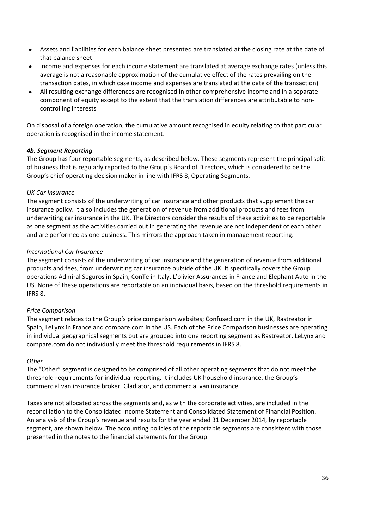- Assets and liabilities for each balance sheet presented are translated at the closing rate at the date of that balance sheet
- Income and expenses for each income statement are translated at average exchange rates (unless this average is not a reasonable approximation of the cumulative effect of the rates prevailing on the transaction dates, in which case income and expenses are translated at the date of the transaction)
- All resulting exchange differences are recognised in other comprehensive income and in a separate component of equity except to the extent that the translation differences are attributable to non‐ controlling interests

On disposal of a foreign operation, the cumulative amount recognised in equity relating to that particular operation is recognised in the income statement.

## *4b. Segment Reporting*

The Group has four reportable segments, as described below. These segments represent the principal split of business that is regularly reported to the Group's Board of Directors, which is considered to be the Group's chief operating decision maker in line with IFRS 8, Operating Segments.

## *UK Car Insurance*

The segment consists of the underwriting of car insurance and other products that supplement the car insurance policy. It also includes the generation of revenue from additional products and fees from underwriting car insurance in the UK. The Directors consider the results of these activities to be reportable as one segment as the activities carried out in generating the revenue are not independent of each other and are performed as one business. This mirrors the approach taken in management reporting.

## *International Car Insurance*

The segment consists of the underwriting of car insurance and the generation of revenue from additional products and fees, from underwriting car insurance outside of the UK. It specifically covers the Group operations Admiral Seguros in Spain, ConTe in Italy, L'olivier Assurances in France and Elephant Auto in the US. None of these operations are reportable on an individual basis, based on the threshold requirements in IFRS 8.

# *Price Comparison*

The segment relates to the Group's price comparison websites; Confused.com in the UK, Rastreator in Spain, LeLynx in France and compare.com in the US. Each of the Price Comparison businesses are operating in individual geographical segments but are grouped into one reporting segment as Rastreator, LeLynx and compare.com do not individually meet the threshold requirements in IFRS 8.

#### *Other*

The "Other" segment is designed to be comprised of all other operating segments that do not meet the threshold requirements for individual reporting. It includes UK household insurance, the Group's commercial van insurance broker, Gladiator, and commercial van insurance.

Taxes are not allocated across the segments and, as with the corporate activities, are included in the reconciliation to the Consolidated Income Statement and Consolidated Statement of Financial Position. An analysis of the Group's revenue and results for the year ended 31 December 2014, by reportable segment, are shown below. The accounting policies of the reportable segments are consistent with those presented in the notes to the financial statements for the Group.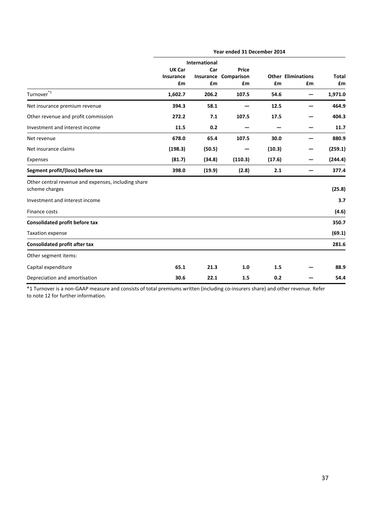|                                                     |                  | International |                             |        |                           |              |
|-----------------------------------------------------|------------------|---------------|-----------------------------|--------|---------------------------|--------------|
|                                                     | <b>UK Car</b>    | Car           | Price                       |        |                           |              |
|                                                     | <b>Insurance</b> |               | <b>Insurance Comparison</b> |        | <b>Other Eliminations</b> | <b>Total</b> |
|                                                     | £m               | £m            | £m                          | £m     | £m                        | £m           |
| $\mathsf{Turnover}^{*_1}$                           | 1,602.7          | 206.2         | 107.5                       | 54.6   |                           | 1,971.0      |
| Net insurance premium revenue                       | 394.3            | 58.1          |                             | 12.5   |                           | 464.9        |
| Other revenue and profit commission                 | 272.2            | 7.1           | 107.5                       | 17.5   |                           | 404.3        |
| Investment and interest income                      | 11.5             | 0.2           |                             |        |                           | 11.7         |
| Net revenue                                         | 678.0            | 65.4          | 107.5                       | 30.0   |                           | 880.9        |
| Net insurance claims                                | (198.3)          | (50.5)        |                             | (10.3) |                           | (259.1)      |
| Expenses                                            | (81.7)           | (34.8)        | (110.3)                     | (17.6) |                           | (244.4)      |
| Segment profit/(loss) before tax                    | 398.0            | (19.9)        | (2.8)                       | 2.1    |                           | 377.4        |
| Other central revenue and expenses, including share |                  |               |                             |        |                           |              |
| scheme charges                                      |                  |               |                             |        |                           | (25.8)       |
| Investment and interest income                      |                  |               |                             |        |                           | 3.7          |
| Finance costs                                       |                  |               |                             |        |                           | (4.6)        |
| <b>Consolidated profit before tax</b>               |                  |               |                             |        |                           | 350.7        |
| <b>Taxation expense</b>                             |                  |               |                             |        |                           | (69.1)       |
| <b>Consolidated profit after tax</b>                |                  |               |                             |        |                           | 281.6        |
| Other segment items:                                |                  |               |                             |        |                           |              |
| Capital expenditure                                 | 65.1             | 21.3          | 1.0                         | 1.5    |                           | 88.9         |
| Depreciation and amortisation                       | 30.6             | 22.1          | 1.5                         | 0.2    |                           | 54.4         |

**Year ended 31 December 2014**

\*1 Turnover is a non‐GAAP measure and consists of total premiums written (including co‐insurers share) and other revenue. Refer to note 12 for further information.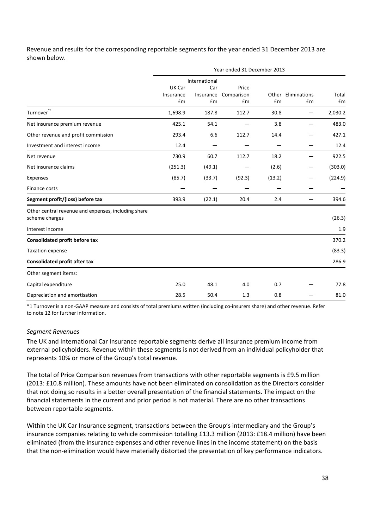Revenue and results for the corresponding reportable segments for the year ended 31 December 2013 are shown below.

|                                                                       |           |               | Year ended 31 December 2013 |        |                    |         |  |  |  |
|-----------------------------------------------------------------------|-----------|---------------|-----------------------------|--------|--------------------|---------|--|--|--|
|                                                                       |           | International |                             |        |                    |         |  |  |  |
|                                                                       | UK Car    | Car           | Price                       |        |                    |         |  |  |  |
|                                                                       | Insurance | Insurance     | Comparison                  |        | Other Eliminations | Total   |  |  |  |
|                                                                       | £m        | £m            | £m                          | £m     | £m                 | £m      |  |  |  |
| $\ensuremath{\text{Turnover}}^\ensuremath{{}^{\ast 1}}$               | 1,698.9   | 187.8         | 112.7                       | 30.8   |                    | 2,030.2 |  |  |  |
| Net insurance premium revenue                                         | 425.1     | 54.1          |                             | 3.8    |                    | 483.0   |  |  |  |
| Other revenue and profit commission                                   | 293.4     | 6.6           | 112.7                       | 14.4   |                    | 427.1   |  |  |  |
| Investment and interest income                                        | 12.4      |               |                             |        |                    | 12.4    |  |  |  |
| Net revenue                                                           | 730.9     | 60.7          | 112.7                       | 18.2   |                    | 922.5   |  |  |  |
| Net insurance claims                                                  | (251.3)   | (49.1)        |                             | (2.6)  |                    | (303.0) |  |  |  |
| Expenses                                                              | (85.7)    | (33.7)        | (92.3)                      | (13.2) |                    | (224.9) |  |  |  |
| Finance costs                                                         |           |               |                             |        |                    |         |  |  |  |
| Segment profit/(loss) before tax                                      | 393.9     | (22.1)        | 20.4                        | 2.4    |                    | 394.6   |  |  |  |
| Other central revenue and expenses, including share<br>scheme charges |           |               |                             |        |                    | (26.3)  |  |  |  |
| Interest income                                                       |           |               |                             |        |                    | 1.9     |  |  |  |
| Consolidated profit before tax                                        |           |               |                             |        |                    | 370.2   |  |  |  |
| <b>Taxation expense</b>                                               |           |               |                             |        |                    | (83.3)  |  |  |  |
| <b>Consolidated profit after tax</b>                                  |           |               |                             |        |                    | 286.9   |  |  |  |
| Other segment items:                                                  |           |               |                             |        |                    |         |  |  |  |
| Capital expenditure                                                   | 25.0      | 48.1          | 4.0                         | 0.7    |                    | 77.8    |  |  |  |
| Depreciation and amortisation                                         | 28.5      | 50.4          | 1.3                         | 0.8    |                    | 81.0    |  |  |  |

\*1 Turnover is a non‐GAAP measure and consists of total premiums written (including co‐insurers share) and other revenue. Refer to note 12 for further information.

#### *Segment Revenues*

The UK and International Car Insurance reportable segments derive all insurance premium income from external policyholders. Revenue within these segments is not derived from an individual policyholder that represents 10% or more of the Group's total revenue.

The total of Price Comparison revenues from transactions with other reportable segments is £9.5 million (2013: £10.8 million). These amounts have not been eliminated on consolidation as the Directors consider that not doing so results in a better overall presentation of the financial statements. The impact on the financial statements in the current and prior period is not material. There are no other transactions between reportable segments.

Within the UK Car Insurance segment, transactions between the Group's intermediary and the Group's insurance companies relating to vehicle commission totalling £13.3 million (2013: £18.4 million) have been eliminated (from the insurance expenses and other revenue lines in the income statement) on the basis that the non‐elimination would have materially distorted the presentation of key performance indicators.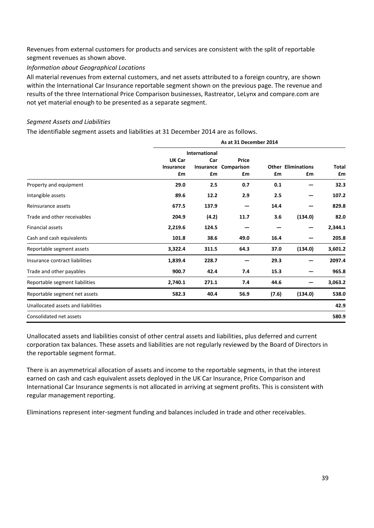Revenues from external customers for products and services are consistent with the split of reportable segment revenues as shown above.

#### *Information about Geographical Locations*

All material revenues from external customers, and net assets attributed to a foreign country, are shown within the International Car Insurance reportable segment shown on the previous page. The revenue and results of the three International Price Comparison businesses, Rastreator, LeLynx and compare.com are not yet material enough to be presented as a separate segment.

## *Segment Assets and Liabilities*

The identifiable segment assets and liabilities at 31 December 2014 are as follows.

|                                    | As at 31 December 2014 |                      |                             |       |                           |              |  |
|------------------------------------|------------------------|----------------------|-----------------------------|-------|---------------------------|--------------|--|
|                                    |                        | <b>International</b> |                             |       |                           |              |  |
|                                    | UK Car                 | Car                  | Price                       |       |                           |              |  |
|                                    | <b>Insurance</b>       |                      | <b>Insurance Comparison</b> |       | <b>Other Eliminations</b> | <b>Total</b> |  |
|                                    | £m                     | £m                   | £m                          | £m    | £m                        | £m           |  |
| Property and equipment             | 29.0                   | 2.5                  | 0.7                         | 0.1   |                           | 32.3         |  |
| Intangible assets                  | 89.6                   | 12.2                 | 2.9                         | 2.5   |                           | 107.2        |  |
| Reinsurance assets                 | 677.5                  | 137.9                |                             | 14.4  |                           | 829.8        |  |
| Trade and other receivables        | 204.9                  | (4.2)                | 11.7                        | 3.6   | (134.0)                   | 82.0         |  |
| <b>Financial assets</b>            | 2,219.6                | 124.5                |                             |       | –                         | 2,344.1      |  |
| Cash and cash equivalents          | 101.8                  | 38.6                 | 49.0                        | 16.4  |                           | 205.8        |  |
| Reportable segment assets          | 3,322.4                | 311.5                | 64.3                        | 37.0  | (134.0)                   | 3,601.2      |  |
| Insurance contract liabilities     | 1,839.4                | 228.7                |                             | 29.3  |                           | 2097.4       |  |
| Trade and other payables           | 900.7                  | 42.4                 | 7.4                         | 15.3  |                           | 965.8        |  |
| Reportable segment liabilities     | 2,740.1                | 271.1                | 7.4                         | 44.6  |                           | 3,063.2      |  |
| Reportable segment net assets      | 582.3                  | 40.4                 | 56.9                        | (7.6) | (134.0)                   | 538.0        |  |
| Unallocated assets and liabilities |                        |                      |                             |       |                           | 42.9         |  |
| Consolidated net assets            |                        |                      |                             |       |                           | 580.9        |  |

Unallocated assets and liabilities consist of other central assets and liabilities, plus deferred and current corporation tax balances. These assets and liabilities are not regularly reviewed by the Board of Directors in the reportable segment format.

There is an asymmetrical allocation of assets and income to the reportable segments, in that the interest earned on cash and cash equivalent assets deployed in the UK Car Insurance, Price Comparison and International Car Insurance segments is not allocated in arriving at segment profits. This is consistent with regular management reporting.

Eliminations represent inter‐segment funding and balances included in trade and other receivables.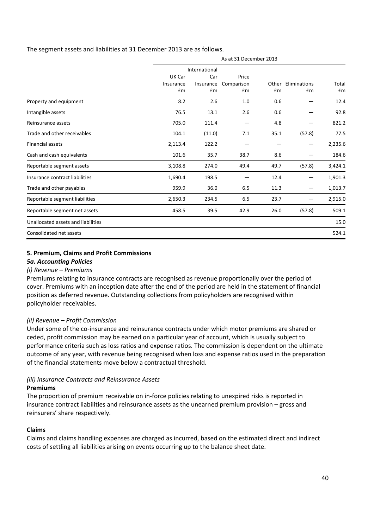#### The segment assets and liabilities at 31 December 2013 are as follows.

|                                    |           | As at 31 December 2013 |            |      |                    |         |  |
|------------------------------------|-----------|------------------------|------------|------|--------------------|---------|--|
|                                    |           | International          |            |      |                    |         |  |
|                                    | UK Car    | Car                    | Price      |      |                    |         |  |
|                                    | Insurance | Insurance              | Comparison |      | Other Eliminations | Total   |  |
|                                    | £m        | £m                     | £m         | £m   | £m                 | £m      |  |
| Property and equipment             | 8.2       | 2.6                    | 1.0        | 0.6  |                    | 12.4    |  |
| Intangible assets                  | 76.5      | 13.1                   | 2.6        | 0.6  |                    | 92.8    |  |
| Reinsurance assets                 | 705.0     | 111.4                  |            | 4.8  |                    | 821.2   |  |
| Trade and other receivables        | 104.1     | (11.0)                 | 7.1        | 35.1 | (57.8)             | 77.5    |  |
| <b>Financial assets</b>            | 2,113.4   | 122.2                  |            |      |                    | 2,235.6 |  |
| Cash and cash equivalents          | 101.6     | 35.7                   | 38.7       | 8.6  |                    | 184.6   |  |
| Reportable segment assets          | 3,108.8   | 274.0                  | 49.4       | 49.7 | (57.8)             | 3,424.1 |  |
| Insurance contract liabilities     | 1,690.4   | 198.5                  |            | 12.4 |                    | 1,901.3 |  |
| Trade and other payables           | 959.9     | 36.0                   | 6.5        | 11.3 |                    | 1,013.7 |  |
| Reportable segment liabilities     | 2,650.3   | 234.5                  | 6.5        | 23.7 |                    | 2,915.0 |  |
| Reportable segment net assets      | 458.5     | 39.5                   | 42.9       | 26.0 | (57.8)             | 509.1   |  |
| Unallocated assets and liabilities |           |                        |            |      |                    | 15.0    |  |
| Consolidated net assets            |           |                        |            |      |                    | 524.1   |  |
|                                    |           |                        |            |      |                    |         |  |

## **5. Premium, Claims and Profit Commissions**

#### *5a. Accounting Policies*

#### *(i) Revenue – Premiums*

Premiums relating to insurance contracts are recognised as revenue proportionally over the period of cover. Premiums with an inception date after the end of the period are held in the statement of financial position as deferred revenue. Outstanding collections from policyholders are recognised within policyholder receivables.

#### *(ii) Revenue – Profit Commission*

Under some of the co-insurance and reinsurance contracts under which motor premiums are shared or ceded, profit commission may be earned on a particular year of account, which is usually subject to performance criteria such as loss ratios and expense ratios. The commission is dependent on the ultimate outcome of any year, with revenue being recognised when loss and expense ratios used in the preparation of the financial statements move below a contractual threshold.

#### *(iii) Insurance Contracts and Reinsurance Assets*

#### **Premiums**

The proportion of premium receivable on in-force policies relating to unexpired risks is reported in insurance contract liabilities and reinsurance assets as the unearned premium provision – gross and reinsurers' share respectively.

#### **Claims**

Claims and claims handling expenses are charged as incurred, based on the estimated direct and indirect costs of settling all liabilities arising on events occurring up to the balance sheet date.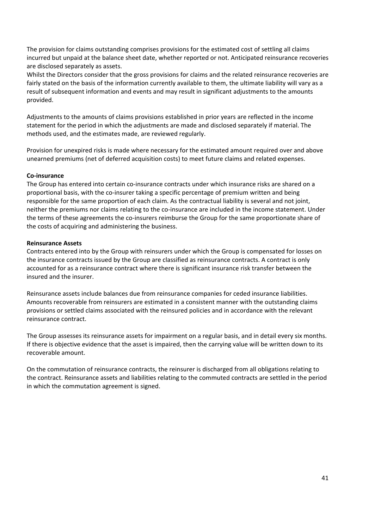The provision for claims outstanding comprises provisions for the estimated cost of settling all claims incurred but unpaid at the balance sheet date, whether reported or not. Anticipated reinsurance recoveries are disclosed separately as assets.

Whilst the Directors consider that the gross provisions for claims and the related reinsurance recoveries are fairly stated on the basis of the information currently available to them, the ultimate liability will vary as a result of subsequent information and events and may result in significant adjustments to the amounts provided.

Adjustments to the amounts of claims provisions established in prior years are reflected in the income statement for the period in which the adjustments are made and disclosed separately if material. The methods used, and the estimates made, are reviewed regularly.

Provision for unexpired risks is made where necessary for the estimated amount required over and above unearned premiums (net of deferred acquisition costs) to meet future claims and related expenses.

#### **Co‐insurance**

The Group has entered into certain co-insurance contracts under which insurance risks are shared on a proportional basis, with the co-insurer taking a specific percentage of premium written and being responsible for the same proportion of each claim. As the contractual liability is several and not joint, neither the premiums nor claims relating to the co-insurance are included in the income statement. Under the terms of these agreements the co-insurers reimburse the Group for the same proportionate share of the costs of acquiring and administering the business.

#### **Reinsurance Assets**

Contracts entered into by the Group with reinsurers under which the Group is compensated for losses on the insurance contracts issued by the Group are classified as reinsurance contracts. A contract is only accounted for as a reinsurance contract where there is significant insurance risk transfer between the insured and the insurer.

Reinsurance assets include balances due from reinsurance companies for ceded insurance liabilities. Amounts recoverable from reinsurers are estimated in a consistent manner with the outstanding claims provisions or settled claims associated with the reinsured policies and in accordance with the relevant reinsurance contract.

The Group assesses its reinsurance assets for impairment on a regular basis, and in detail every six months. If there is objective evidence that the asset is impaired, then the carrying value will be written down to its recoverable amount.

On the commutation of reinsurance contracts, the reinsurer is discharged from all obligations relating to the contract. Reinsurance assets and liabilities relating to the commuted contracts are settled in the period in which the commutation agreement is signed.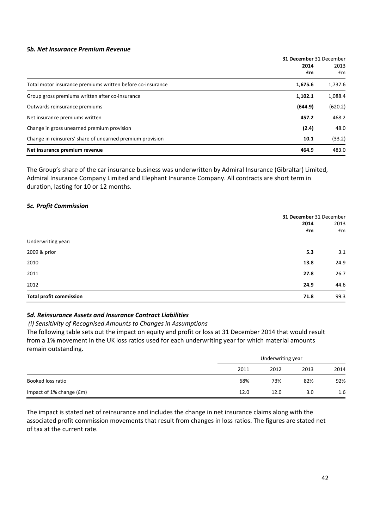#### *5b. Net Insurance Premium Revenue*

|                                                            | 31 December 31 December |         |
|------------------------------------------------------------|-------------------------|---------|
|                                                            | 2014                    | 2013    |
|                                                            | £m                      | £m      |
| Total motor insurance premiums written before co-insurance | 1,675.6                 | 1,737.6 |
| Group gross premiums written after co-insurance            | 1,102.1                 | 1,088.4 |
| Outwards reinsurance premiums                              | (644.9)                 | (620.2) |
| Net insurance premiums written                             | 457.2                   | 468.2   |
| Change in gross unearned premium provision                 | (2.4)                   | 48.0    |
| Change in reinsurers' share of unearned premium provision  | 10.1                    | (33.2)  |
| Net insurance premium revenue                              | 464.9                   | 483.0   |

The Group's share of the car insurance business was underwritten by Admiral Insurance (Gibraltar) Limited, Admiral Insurance Company Limited and Elephant Insurance Company. All contracts are short term in duration, lasting for 10 or 12 months.

#### *5c. Profit Commission*

|                                | 31 December 31 December |      |  |
|--------------------------------|-------------------------|------|--|
|                                | 2014                    | 2013 |  |
|                                | £m                      | £m   |  |
| Underwriting year:             |                         |      |  |
| 2009 & prior                   | 5.3                     | 3.1  |  |
| 2010                           | 13.8                    | 24.9 |  |
| 2011                           | 27.8                    | 26.7 |  |
| 2012                           | 24.9                    | 44.6 |  |
| <b>Total profit commission</b> | 71.8                    | 99.3 |  |

# *5d. Reinsurance Assets and Insurance Contract Liabilities*

#### *(i) Sensitivity of Recognised Amounts to Changes in Assumptions*

The following table sets out the impact on equity and profit or loss at 31 December 2014 that would result from a 1% movement in the UK loss ratios used for each underwriting year for which material amounts remain outstanding.

|                          |      | Underwriting year |      |      |  |  |
|--------------------------|------|-------------------|------|------|--|--|
|                          | 2011 | 2012              | 2013 | 2014 |  |  |
| Booked loss ratio        | 68%  | 73%               | 82%  | 92%  |  |  |
| Impact of 1% change (£m) | 12.0 | 12.0              | 3.0  | 1.6  |  |  |

The impact is stated net of reinsurance and includes the change in net insurance claims along with the associated profit commission movements that result from changes in loss ratios. The figures are stated net of tax at the current rate.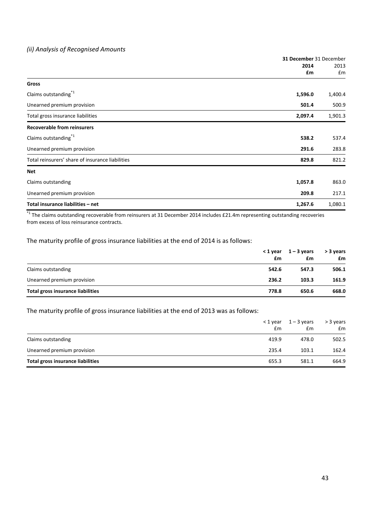# *(ii) Analysis of Recognised Amounts*

|                                                  | 31 December 31 December |         |
|--------------------------------------------------|-------------------------|---------|
|                                                  | 2014                    | 2013    |
|                                                  | £m                      | £m      |
| Gross                                            |                         |         |
| Claims outstanding <sup>*1</sup>                 | 1,596.0                 | 1,400.4 |
| Unearned premium provision                       | 501.4                   | 500.9   |
| Total gross insurance liabilities                | 2,097.4                 | 1,901.3 |
| <b>Recoverable from reinsurers</b>               |                         |         |
| Claims outstanding <sup>*1</sup>                 | 538.2                   | 537.4   |
| Unearned premium provision                       | 291.6                   | 283.8   |
| Total reinsurers' share of insurance liabilities | 829.8                   | 821.2   |
| <b>Net</b>                                       |                         |         |
| Claims outstanding                               | 1,057.8                 | 863.0   |
| Unearned premium provision                       | 209.8                   | 217.1   |
| Total insurance liabilities - net                | 1,267.6                 | 1,080.1 |

\*1 The claims outstanding recoverable from reinsurers at 31 December 2014 includes £21.4m representing outstanding recoveries from excess of loss reinsurance contracts.

# The maturity profile of gross insurance liabilities at the end of 2014 is as follows:

|                                   | < 1 year<br>£m | 1 – 3 years<br>£m | > 3 years<br>£m |
|-----------------------------------|----------------|-------------------|-----------------|
| Claims outstanding                | 542.6          | 547.3             | 506.1           |
| Unearned premium provision        | 236.2          | 103.3             | 161.9           |
| Total gross insurance liabilities | 778.8          | 650.6             | 668.0           |

## The maturity profile of gross insurance liabilities at the end of 2013 was as follows:

|                                   | < 1 year<br>Em | $1 - 3$ years<br>Em | > 3 years<br>£m |
|-----------------------------------|----------------|---------------------|-----------------|
| Claims outstanding                | 419.9          | 478.0               | 502.5           |
| Unearned premium provision        | 235.4          | 103.1               | 162.4           |
| Total gross insurance liabilities | 655.3          | 581.1               | 664.9           |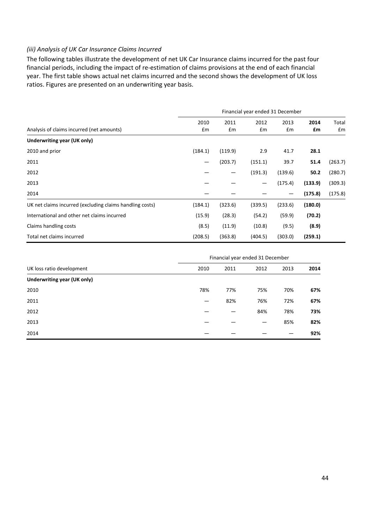#### *(iii) Analysis of UK Car Insurance Claims Incurred*

The following tables illustrate the development of net UK Car Insurance claims incurred for the past four financial periods, including the impact of re‐estimation of claims provisions at the end of each financial year. The first table shows actual net claims incurred and the second shows the development of UK loss ratios. Figures are presented on an underwriting year basis.

|                                                          |            | Financial year ended 31 December |            |            |            |             |  |
|----------------------------------------------------------|------------|----------------------------------|------------|------------|------------|-------------|--|
| Analysis of claims incurred (net amounts)                | 2010<br>£m | 2011<br>£m                       | 2012<br>£m | 2013<br>£m | 2014<br>£m | Total<br>£m |  |
| Underwriting year (UK only)                              |            |                                  |            |            |            |             |  |
| 2010 and prior                                           | (184.1)    | (119.9)                          | 2.9        | 41.7       | 28.1       |             |  |
| 2011                                                     |            | (203.7)                          | (151.1)    | 39.7       | 51.4       | (263.7)     |  |
| 2012                                                     |            |                                  | (191.3)    | (139.6)    | 50.2       | (280.7)     |  |
| 2013                                                     |            |                                  | —          | (175.4)    | (133.9)    | (309.3)     |  |
| 2014                                                     |            |                                  |            |            | (175.8)    | (175.8)     |  |
| UK net claims incurred (excluding claims handling costs) | (184.1)    | (323.6)                          | (339.5)    | (233.6)    | (180.0)    |             |  |
| International and other net claims incurred              | (15.9)     | (28.3)                           | (54.2)     | (59.9)     | (70.2)     |             |  |
| Claims handling costs                                    | (8.5)      | (11.9)                           | (10.8)     | (9.5)      | (8.9)      |             |  |
| Total net claims incurred                                | (208.5)    | (363.8)                          | (404.5)    | (303.0)    | (259.1)    |             |  |

|                             | Financial year ended 31 December |      |      |      |      |  |
|-----------------------------|----------------------------------|------|------|------|------|--|
| UK loss ratio development   | 2010                             | 2011 | 2012 | 2013 | 2014 |  |
| Underwriting year (UK only) |                                  |      |      |      |      |  |
| 2010                        | 78%                              | 77%  | 75%  | 70%  | 67%  |  |
| 2011                        |                                  | 82%  | 76%  | 72%  | 67%  |  |
| 2012                        |                                  |      | 84%  | 78%  | 73%  |  |
| 2013                        |                                  |      | —    | 85%  | 82%  |  |
| 2014                        |                                  |      |      |      | 92%  |  |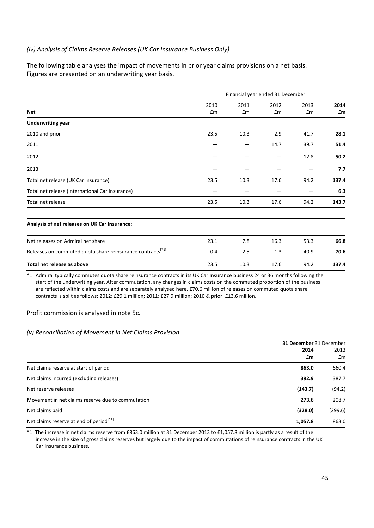## *(iv) Analysis of Claims Reserve Releases (UK Car Insurance Business Only)*

The following table analyses the impact of movements in prior year claims provisions on a net basis. Figures are presented on an underwriting year basis.

|                                                            |            |            | Financial year ended 31 December |            |            |
|------------------------------------------------------------|------------|------------|----------------------------------|------------|------------|
| <b>Net</b>                                                 | 2010<br>£m | 2011<br>£m | 2012<br>£m                       | 2013<br>£m | 2014<br>£m |
| <b>Underwriting year</b>                                   |            |            |                                  |            |            |
| 2010 and prior                                             | 23.5       | 10.3       | 2.9                              | 41.7       | 28.1       |
| 2011                                                       |            |            | 14.7                             | 39.7       | 51.4       |
| 2012                                                       |            |            |                                  | 12.8       | 50.2       |
| 2013                                                       |            |            |                                  |            | 7.7        |
| Total net release (UK Car Insurance)                       | 23.5       | 10.3       | 17.6                             | 94.2       | 137.4      |
| Total net release (International Car Insurance)            |            |            |                                  |            | 6.3        |
| Total net release                                          | 23.5       | 10.3       | 17.6                             | 94.2       | 143.7      |
| Analysis of net releases on UK Car Insurance:              |            |            |                                  |            |            |
| Net releases on Admiral net share                          | 23.1       | 7.8        | 16.3                             | 53.3       | 66.8       |
| Releases on commuted quota share reinsurance contracts[*1] | 0.4        | 2.5        | 1.3                              | 40.9       | 70.6       |
| Total net release as above                                 | 23.5       | 10.3       | 17.6                             | 94.2       | 137.4      |

\*1 Admiral typically commutes quota share reinsurance contracts in its UK Car Insurance business 24 or 36 months following the start of the underwriting year. After commutation, any changes in claims costs on the commuted proportion of the business are reflected within claims costs and are separately analysed here. £70.6 million of releases on commuted quota share contracts is split as follows: 2012: £29.1 million; 2011: £27.9 million; 2010 & prior: £13.6 million.

Profit commission is analysed in note 5c.

#### *(v) Reconciliation of Movement in Net Claims Provision*

|                                                     | 31 December 31 December |         |
|-----------------------------------------------------|-------------------------|---------|
|                                                     | 2014                    | 2013    |
|                                                     | £m                      | £m      |
| Net claims reserve at start of period               | 863.0                   | 660.4   |
| Net claims incurred (excluding releases)            | 392.9                   | 387.7   |
| Net reserve releases                                | (143.7)                 | (94.2)  |
| Movement in net claims reserve due to commutation   | 273.6                   | 208.7   |
| Net claims paid                                     | (328.0)                 | (299.6) |
| Net claims reserve at end of period <sup>[*1]</sup> | 1,057.8                 | 863.0   |

\*1 The increase in net claims reserve from £863.0 million at 31 December 2013 to £1,057.8 million is partly as a result of the increase in the size of gross claims reserves but largely due to the impact of commutations of reinsurance contracts in the UK Car Insurance business.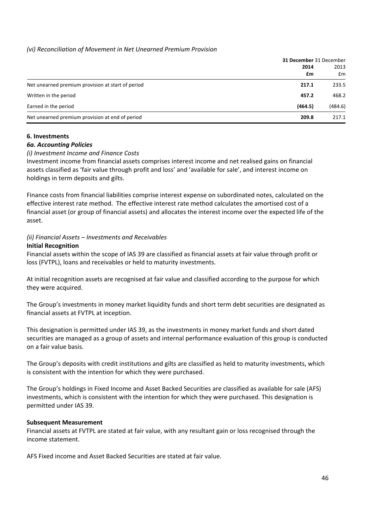#### *(vi) Reconciliation of Movement in Net Unearned Premium Provision*

|                                                   | 31 December 31 December |         |
|---------------------------------------------------|-------------------------|---------|
|                                                   | 2014                    | 2013    |
|                                                   | £m                      | £m      |
| Net unearned premium provision at start of period | 217.1                   | 233.5   |
| Written in the period                             | 457.2                   | 468.2   |
| Earned in the period                              | (464.5)                 | (484.6) |
| Net unearned premium provision at end of period   | 209.8                   | 217.1   |

#### **6. Investments**

#### *6a. Accounting Policies*

#### *(i) Investment Income and Finance Costs*

Investment income from financial assets comprises interest income and net realised gains on financial assets classified as 'fair value through profit and loss' and 'available for sale', and interest income on holdings in term deposits and gilts.

Finance costs from financial liabilities comprise interest expense on subordinated notes, calculated on the effective interest rate method. The effective interest rate method calculates the amortised cost of a financial asset (or group of financial assets) and allocates the interest income over the expected life of the asset.

# *(ii) Financial Assets – Investments and Receivables*

#### **Initial Recognition**

Financial assets within the scope of IAS 39 are classified as financial assets at fair value through profit or loss (FVTPL), loans and receivables or held to maturity investments.

At initial recognition assets are recognised at fair value and classified according to the purpose for which they were acquired.

The Group's investments in money market liquidity funds and short term debt securities are designated as financial assets at FVTPL at inception.

This designation is permitted under IAS 39, as the investments in money market funds and short dated securities are managed as a group of assets and internal performance evaluation of this group is conducted on a fair value basis.

The Group's deposits with credit institutions and gilts are classified as held to maturity investments, which is consistent with the intention for which they were purchased.

The Group's holdings in Fixed Income and Asset Backed Securities are classified as available for sale (AFS) investments, which is consistent with the intention for which they were purchased. This designation is permitted under IAS 39.

#### **Subsequent Measurement**

Financial assets at FVTPL are stated at fair value, with any resultant gain or loss recognised through the income statement.

AFS Fixed income and Asset Backed Securities are stated at fair value.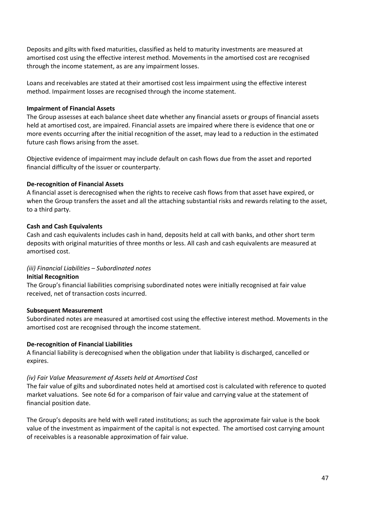Deposits and gilts with fixed maturities, classified as held to maturity investments are measured at amortised cost using the effective interest method. Movements in the amortised cost are recognised through the income statement, as are any impairment losses.

Loans and receivables are stated at their amortised cost less impairment using the effective interest method. Impairment losses are recognised through the income statement.

#### **Impairment of Financial Assets**

The Group assesses at each balance sheet date whether any financial assets or groups of financial assets held at amortised cost, are impaired. Financial assets are impaired where there is evidence that one or more events occurring after the initial recognition of the asset, may lead to a reduction in the estimated future cash flows arising from the asset.

Objective evidence of impairment may include default on cash flows due from the asset and reported financial difficulty of the issuer or counterparty.

## **De‐recognition of Financial Assets**

A financial asset is derecognised when the rights to receive cash flows from that asset have expired, or when the Group transfers the asset and all the attaching substantial risks and rewards relating to the asset, to a third party.

# **Cash and Cash Equivalents**

Cash and cash equivalents includes cash in hand, deposits held at call with banks, and other short term deposits with original maturities of three months or less. All cash and cash equivalents are measured at amortised cost.

# *(iii) Financial Liabilities – Subordinated notes*

#### **Initial Recognition**

The Group's financial liabilities comprising subordinated notes were initially recognised at fair value received, net of transaction costs incurred.

#### **Subsequent Measurement**

Subordinated notes are measured at amortised cost using the effective interest method. Movements in the amortised cost are recognised through the income statement.

# **De‐recognition of Financial Liabilities**

A financial liability is derecognised when the obligation under that liability is discharged, cancelled or expires.

# *(iv) Fair Value Measurement of Assets held at Amortised Cost*

The fair value of gilts and subordinated notes held at amortised cost is calculated with reference to quoted market valuations. See note 6d for a comparison of fair value and carrying value at the statement of financial position date.

The Group's deposits are held with well rated institutions; as such the approximate fair value is the book value of the investment as impairment of the capital is not expected. The amortised cost carrying amount of receivables is a reasonable approximation of fair value.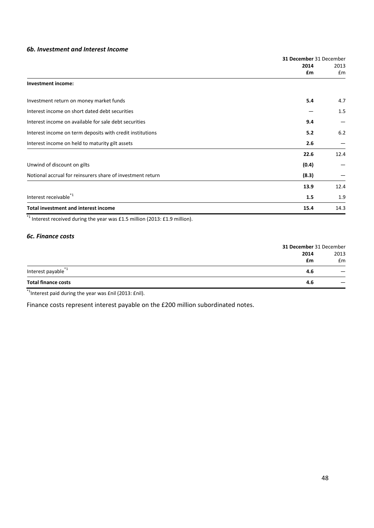#### *6b. Investment and Interest Income*

|                                                            | 31 December 31 December |      |
|------------------------------------------------------------|-------------------------|------|
|                                                            | 2014                    | 2013 |
|                                                            | £m                      | £m   |
| <b>Investment income:</b>                                  |                         |      |
| Investment return on money market funds                    | 5.4                     | 4.7  |
| Interest income on short dated debt securities             |                         | 1.5  |
| Interest income on available for sale debt securities      | 9.4                     |      |
| Interest income on term deposits with credit institutions  | 5.2                     | 6.2  |
| Interest income on held to maturity gilt assets            | 2.6                     |      |
|                                                            | 22.6                    | 12.4 |
| Unwind of discount on gilts                                | (0.4)                   |      |
| Notional accrual for reinsurers share of investment return | (8.3)                   |      |
|                                                            | 13.9                    | 12.4 |
| Interest receivable <sup>*1</sup>                          | 1.5                     | 1.9  |
| <b>Total investment and interest income</b>                | 15.4                    | 14.3 |
|                                                            |                         |      |

 $*$ <sup>1</sup> Interest received during the year was £1.5 million (2013: £1.9 million).

#### *6c. Finance costs*

|                                | 31 December 31 December |            |
|--------------------------------|-------------------------|------------|
|                                | 2014<br>£m              | 2013<br>£m |
| Interest payable <sup>*1</sup> | 4.6                     |            |
| <b>Total finance costs</b>     | 4.6                     |            |

\*<sup>1</sup>Interest paid during the year was £nil (2013: £nil).

Finance costs represent interest payable on the £200 million subordinated notes.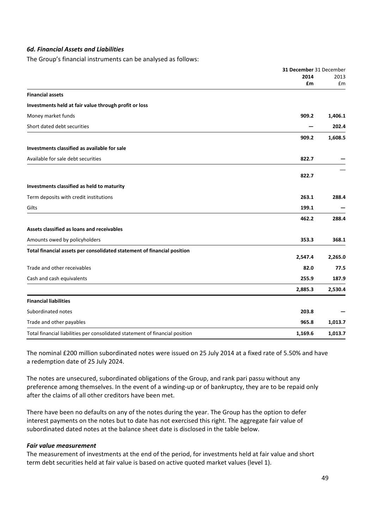## *6d. Financial Assets and Liabilities*

The Group's financial instruments can be analysed as follows:

|                                                                              | 31 December 31 December |         |
|------------------------------------------------------------------------------|-------------------------|---------|
|                                                                              | 2014                    | 2013    |
|                                                                              | £m                      | £m      |
| <b>Financial assets</b>                                                      |                         |         |
| Investments held at fair value through profit or loss                        |                         |         |
| Money market funds                                                           | 909.2                   | 1,406.1 |
| Short dated debt securities                                                  |                         | 202.4   |
|                                                                              | 909.2                   | 1,608.5 |
| Investments classified as available for sale                                 |                         |         |
| Available for sale debt securities                                           | 822.7                   |         |
|                                                                              | 822.7                   |         |
| Investments classified as held to maturity                                   |                         |         |
| Term deposits with credit institutions                                       | 263.1                   | 288.4   |
| Gilts                                                                        | 199.1                   |         |
|                                                                              | 462.2                   | 288.4   |
| Assets classified as loans and receivables                                   |                         |         |
| Amounts owed by policyholders                                                | 353.3                   | 368.1   |
| Total financial assets per consolidated statement of financial position      |                         |         |
|                                                                              | 2,547.4                 | 2,265.0 |
| Trade and other receivables                                                  | 82.0                    | 77.5    |
| Cash and cash equivalents                                                    | 255.9                   | 187.9   |
|                                                                              | 2,885.3                 | 2,530.4 |
| <b>Financial liabilities</b>                                                 |                         |         |
| Subordinated notes                                                           | 203.8                   |         |
| Trade and other payables                                                     | 965.8                   | 1,013.7 |
| Total financial liabilities per consolidated statement of financial position | 1,169.6                 | 1,013.7 |

The nominal £200 million subordinated notes were issued on 25 July 2014 at a fixed rate of 5.50% and have a redemption date of 25 July 2024.

The notes are unsecured, subordinated obligations of the Group, and rank pari passu without any preference among themselves. In the event of a winding-up or of bankruptcy, they are to be repaid only after the claims of all other creditors have been met.

There have been no defaults on any of the notes during the year. The Group has the option to defer interest payments on the notes but to date has not exercised this right. The aggregate fair value of subordinated dated notes at the balance sheet date is disclosed in the table below.

#### *Fair value measurement*

The measurement of investments at the end of the period, for investments held at fair value and short term debt securities held at fair value is based on active quoted market values (level 1).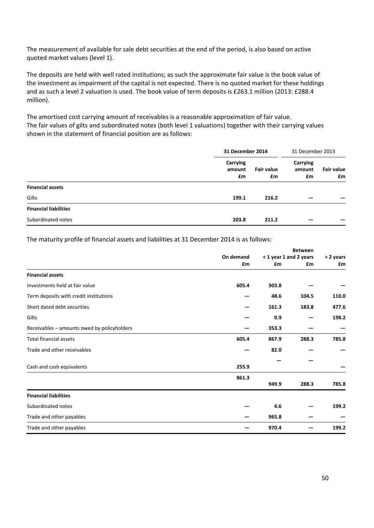The measurement of available for sale debt securities at the end of the period, is also based on active quoted market values (level 1).

The deposits are held with well rated institutions; as such the approximate fair value is the book value of the investment as impairment of the capital is not expected. There is no quoted market for these holdings and as such a level 2 valuation is used. The book value of term deposits is £263.1 million (2013: £288.4 million).

The amortised cost carrying amount of receivables is a reasonable approximation of fair value. The fair values of gilts and subordinated notes (both level 1 valuations) together with their carrying values shown in the statement of financial position are as follows:

|                              |                                 | 31 December 2014        |                                 | 31 December 2013        |  |
|------------------------------|---------------------------------|-------------------------|---------------------------------|-------------------------|--|
|                              | <b>Carrying</b><br>amount<br>£m | <b>Fair value</b><br>£m | <b>Carrying</b><br>amount<br>£m | <b>Fair value</b><br>£m |  |
| <b>Financial assets</b>      |                                 |                         |                                 |                         |  |
| Gilts                        | 199.1                           | 216.2                   |                                 |                         |  |
| <b>Financial liabilities</b> |                                 |                         |                                 |                         |  |
| Subordinated notes           | 203.8                           | 211.2                   |                                 |                         |  |

The maturity profile of financial assets and liabilities at 31 December 2014 is as follows:

|                                             | <b>Between</b> |                        |       |           |
|---------------------------------------------|----------------|------------------------|-------|-----------|
|                                             | On demand      | < 1 year 1 and 2 years |       | > 2 years |
|                                             | £m             | £m                     | £m    | £m        |
| <b>Financial assets</b>                     |                |                        |       |           |
| Investments held at fair value              | 605.4          | 303.8                  |       |           |
| Term deposits with credit institutions      |                | 48.6                   | 104.5 | 110.0     |
| Short dated debt securities                 |                | 161.3                  | 183.8 | 477.6     |
| Gilts                                       |                | 0.9                    |       | 198.2     |
| Receivables - amounts owed by policyholders |                | 353.3                  |       |           |
| <b>Total financial assets</b>               | 605.4          | 867.9                  | 288.3 | 785.8     |
| Trade and other receivables                 |                | 82.0                   |       |           |
|                                             |                |                        |       |           |
| Cash and cash equivalents                   | 255.9          |                        |       |           |
|                                             | 861.3          |                        |       |           |
|                                             |                | 949.9                  | 288.3 | 785.8     |
| <b>Financial liabilities</b>                |                |                        |       |           |
| Subordinated notes                          |                | 4.6                    |       | 199.2     |
| Trade and other payables                    |                | 965.8                  |       |           |
| Trade and other payables                    |                | 970.4                  |       | 199.2     |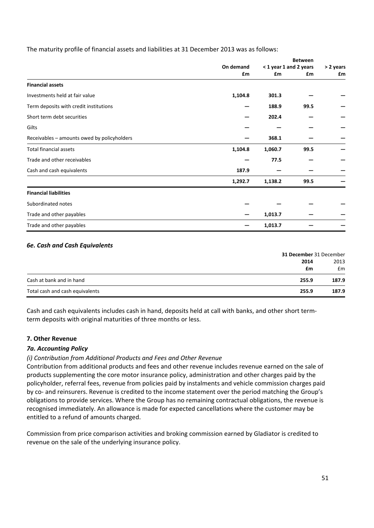The maturity profile of financial assets and liabilities at 31 December 2013 was as follows:

|                                             |           | <b>Between</b>         |      |           |
|---------------------------------------------|-----------|------------------------|------|-----------|
|                                             | On demand | < 1 year 1 and 2 years |      | > 2 years |
|                                             | £m        | £m                     | £m   | £m        |
| <b>Financial assets</b>                     |           |                        |      |           |
| Investments held at fair value              | 1,104.8   | 301.3                  |      |           |
| Term deposits with credit institutions      |           | 188.9                  | 99.5 |           |
| Short term debt securities                  |           | 202.4                  |      |           |
| Gilts                                       |           |                        |      |           |
| Receivables - amounts owed by policyholders |           | 368.1                  |      |           |
| <b>Total financial assets</b>               | 1,104.8   | 1,060.7                | 99.5 |           |
| Trade and other receivables                 |           | 77.5                   |      |           |
| Cash and cash equivalents                   | 187.9     |                        |      |           |
|                                             | 1,292.7   | 1,138.2                | 99.5 |           |
| <b>Financial liabilities</b>                |           |                        |      |           |
| Subordinated notes                          |           |                        |      |           |
| Trade and other payables                    |           | 1,013.7                |      |           |
| Trade and other payables                    |           | 1,013.7                |      |           |

#### *6e. Cash and Cash Equivalents*

|                                 | 31 December 31 December |       |
|---------------------------------|-------------------------|-------|
|                                 | 2014                    | 2013  |
|                                 | £m                      | £m    |
| Cash at bank and in hand        | 255.9                   | 187.9 |
| Total cash and cash equivalents | 255.9                   | 187.9 |

Cash and cash equivalents includes cash in hand, deposits held at call with banks, and other short term‐ term deposits with original maturities of three months or less.

#### **7. Other Revenue**

#### *7a. Accounting Policy*

#### *(i) Contribution from Additional Products and Fees and Other Revenue*

Contribution from additional products and fees and other revenue includes revenue earned on the sale of products supplementing the core motor insurance policy, administration and other charges paid by the policyholder, referral fees, revenue from policies paid by instalments and vehicle commission charges paid by co‐ and reinsurers. Revenue is credited to the income statement over the period matching the Group's obligations to provide services. Where the Group has no remaining contractual obligations, the revenue is recognised immediately. An allowance is made for expected cancellations where the customer may be entitled to a refund of amounts charged.

Commission from price comparison activities and broking commission earned by Gladiator is credited to revenue on the sale of the underlying insurance policy.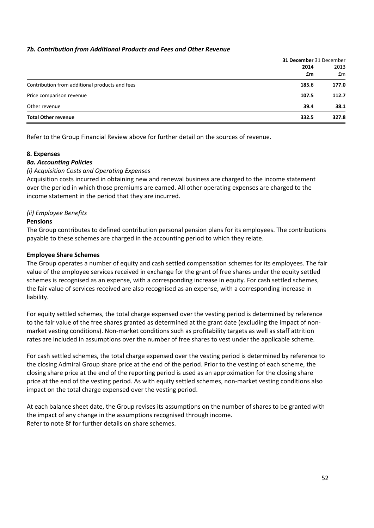#### *7b. Contribution from Additional Products and Fees and Other Revenue*

|                                                |       | 31 December 31 December |  |  |
|------------------------------------------------|-------|-------------------------|--|--|
|                                                | 2014  | 2013                    |  |  |
|                                                | £m    | £m                      |  |  |
| Contribution from additional products and fees | 185.6 | 177.0                   |  |  |
| Price comparison revenue                       | 107.5 | 112.7                   |  |  |
| Other revenue                                  | 39.4  | 38.1                    |  |  |
| <b>Total Other revenue</b>                     | 332.5 | 327.8                   |  |  |

Refer to the Group Financial Review above for further detail on the sources of revenue.

#### **8. Expenses**

## *8a. Accounting Policies*

## *(i) Acquisition Costs and Operating Expenses*

Acquisition costs incurred in obtaining new and renewal business are charged to the income statement over the period in which those premiums are earned. All other operating expenses are charged to the income statement in the period that they are incurred.

## *(ii) Employee Benefits*

## **Pensions**

The Group contributes to defined contribution personal pension plans for its employees. The contributions payable to these schemes are charged in the accounting period to which they relate.

## **Employee Share Schemes**

The Group operates a number of equity and cash settled compensation schemes for its employees. The fair value of the employee services received in exchange for the grant of free shares under the equity settled schemes is recognised as an expense, with a corresponding increase in equity. For cash settled schemes, the fair value of services received are also recognised as an expense, with a corresponding increase in liability.

For equity settled schemes, the total charge expensed over the vesting period is determined by reference to the fair value of the free shares granted as determined at the grant date (excluding the impact of nonmarket vesting conditions). Non-market conditions such as profitability targets as well as staff attrition rates are included in assumptions over the number of free shares to vest under the applicable scheme.

For cash settled schemes, the total charge expensed over the vesting period is determined by reference to the closing Admiral Group share price at the end of the period. Prior to the vesting of each scheme, the closing share price at the end of the reporting period is used as an approximation for the closing share price at the end of the vesting period. As with equity settled schemes, non‐market vesting conditions also impact on the total charge expensed over the vesting period.

At each balance sheet date, the Group revises its assumptions on the number of shares to be granted with the impact of any change in the assumptions recognised through income. Refer to note 8f for further details on share schemes.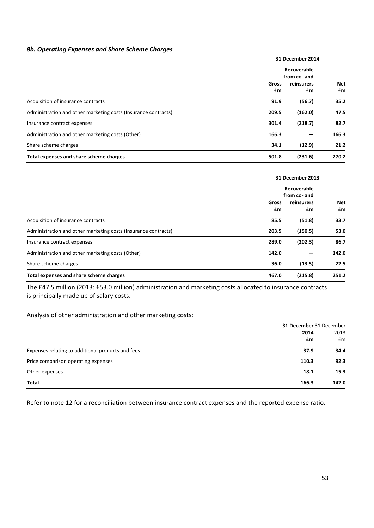## *8b. Operating Expenses and Share Scheme Charges*

|                                                                |                             | 31 December 2014 |                  |  |  |
|----------------------------------------------------------------|-----------------------------|------------------|------------------|--|--|
|                                                                | Recoverable<br>from co- and |                  |                  |  |  |
|                                                                | Gross<br>£m                 | reinsurers<br>£m | <b>Net</b><br>£m |  |  |
| Acquisition of insurance contracts                             | 91.9                        | (56.7)           | 35.2             |  |  |
| Administration and other marketing costs (Insurance contracts) | 209.5                       | (162.0)          | 47.5             |  |  |
| Insurance contract expenses                                    | 301.4                       | (218.7)          | 82.7             |  |  |
| Administration and other marketing costs (Other)               | 166.3                       |                  | 166.3            |  |  |
| Share scheme charges                                           | 34.1                        | (12.9)           | 21.2             |  |  |
| Total expenses and share scheme charges                        | 501.8                       | (231.6)          | 270.2            |  |  |

|                                                                |             | 31 December 2013                                |                  |  |
|----------------------------------------------------------------|-------------|-------------------------------------------------|------------------|--|
|                                                                | Gross<br>£m | Recoverable<br>from co- and<br>reinsurers<br>£m | <b>Net</b><br>£m |  |
| Acquisition of insurance contracts                             | 85.5        | (51.8)                                          | 33.7             |  |
| Administration and other marketing costs (Insurance contracts) | 203.5       | (150.5)                                         | 53.0             |  |
| Insurance contract expenses                                    | 289.0       | (202.3)                                         | 86.7             |  |
| Administration and other marketing costs (Other)               | 142.0       |                                                 | 142.0            |  |
| Share scheme charges                                           | 36.0        | (13.5)                                          | 22.5             |  |
| Total expenses and share scheme charges                        | 467.0       | (215.8)                                         | 251.2            |  |

The £47.5 million (2013: £53.0 million) administration and marketing costs allocated to insurance contracts is principally made up of salary costs.

Analysis of other administration and other marketing costs:

|                                                   |       | 31 December 31 December |  |  |
|---------------------------------------------------|-------|-------------------------|--|--|
|                                                   | 2014  | 2013                    |  |  |
|                                                   | £m    | £m                      |  |  |
| Expenses relating to additional products and fees | 37.9  | 34.4                    |  |  |
| Price comparison operating expenses               | 110.3 | 92.3                    |  |  |
| Other expenses                                    | 18.1  | 15.3                    |  |  |
| <b>Total</b>                                      | 166.3 | 142.0                   |  |  |

Refer to note 12 for a reconciliation between insurance contract expenses and the reported expense ratio.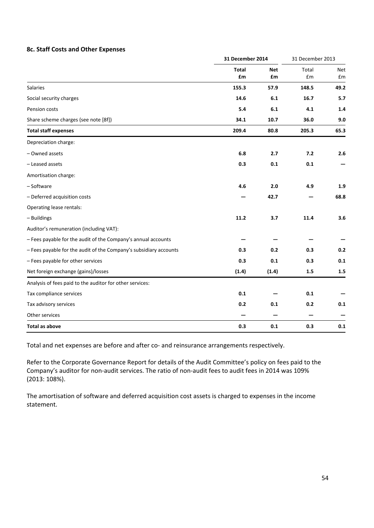#### **8c. Staff Costs and Other Expenses**

|                                                                   | 31 December 2014 |            | 31 December 2013 |            |
|-------------------------------------------------------------------|------------------|------------|------------------|------------|
|                                                                   | <b>Total</b>     | <b>Net</b> | Total            | <b>Net</b> |
|                                                                   | £m               | £m         | £m               | £m         |
| Salaries                                                          | 155.3            | 57.9       | 148.5            | 49.2       |
| Social security charges                                           | 14.6             | 6.1        | 16.7             | 5.7        |
| Pension costs                                                     | 5.4              | 6.1        | 4.1              | 1.4        |
| Share scheme charges (see note [8f])                              | 34.1             | 10.7       | 36.0             | 9.0        |
| <b>Total staff expenses</b>                                       | 209.4            | 80.8       | 205.3            | 65.3       |
| Depreciation charge:                                              |                  |            |                  |            |
| - Owned assets                                                    | 6.8              | 2.7        | 7.2              | 2.6        |
| - Leased assets                                                   | 0.3              | 0.1        | 0.1              |            |
| Amortisation charge:                                              |                  |            |                  |            |
| - Software                                                        | 4.6              | 2.0        | 4.9              | 1.9        |
| - Deferred acquisition costs                                      |                  | 42.7       |                  | 68.8       |
| Operating lease rentals:                                          |                  |            |                  |            |
| - Buildings                                                       | 11.2             | 3.7        | 11.4             | 3.6        |
| Auditor's remuneration (including VAT):                           |                  |            |                  |            |
| - Fees payable for the audit of the Company's annual accounts     |                  |            |                  |            |
| - Fees payable for the audit of the Company's subsidiary accounts | 0.3              | 0.2        | 0.3              | 0.2        |
| - Fees payable for other services                                 | 0.3              | 0.1        | 0.3              | 0.1        |
| Net foreign exchange (gains)/losses                               | (1.4)            | (1.4)      | 1.5              | 1.5        |
| Analysis of fees paid to the auditor for other services:          |                  |            |                  |            |
| Tax compliance services                                           | 0.1              |            | 0.1              |            |
| Tax advisory services                                             | 0.2              | 0.1        | 0.2              | 0.1        |
| Other services                                                    |                  |            |                  |            |
| <b>Total as above</b>                                             | 0.3              | 0.1        | 0.3              | 0.1        |

Total and net expenses are before and after co‐ and reinsurance arrangements respectively.

Refer to the Corporate Governance Report for details of the Audit Committee's policy on fees paid to the Company's auditor for non‐audit services. The ratio of non‐audit fees to audit fees in 2014 was 109% (2013: 108%).

The amortisation of software and deferred acquisition cost assets is charged to expenses in the income statement.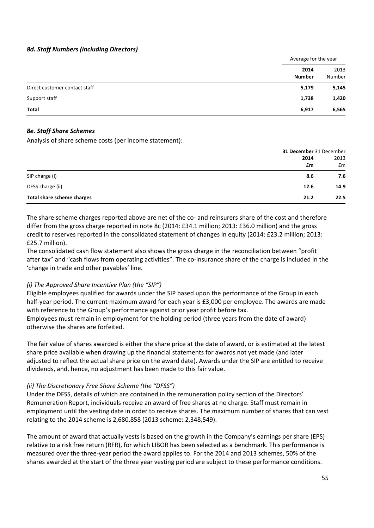## *8d. Staff Numbers (including Directors)*

|                               |                       | Average for the year |  |
|-------------------------------|-----------------------|----------------------|--|
|                               | 2014<br><b>Number</b> | 2013<br>Number       |  |
| Direct customer contact staff | 5,179                 | 5,145                |  |
| Support staff                 | 1,738                 | 1,420                |  |
| Total                         | 6,917                 | 6,565                |  |

# *8e. Staff Share Schemes*

Analysis of share scheme costs (per income statement):

|                            | 31 December 31 December |            |
|----------------------------|-------------------------|------------|
|                            | 2014<br>£m              | 2013<br>£m |
| SIP charge (i)             | 8.6                     | 7.6        |
| DFSS charge (ii)           | 12.6                    | 14.9       |
| Total share scheme charges | 21.2                    | 22.5       |

The share scheme charges reported above are net of the co- and reinsurers share of the cost and therefore differ from the gross charge reported in note 8c (2014: £34.1 million; 2013: £36.0 million) and the gross credit to reserves reported in the consolidated statement of changes in equity (2014: £23.2 million; 2013: £25.7 million).

The consolidated cash flow statement also shows the gross charge in the reconciliation between "profit after tax" and "cash flows from operating activities". The co-insurance share of the charge is included in the 'change in trade and other payables' line.

# *(i) The Approved Share Incentive Plan (the "SIP")*

Eligible employees qualified for awards under the SIP based upon the performance of the Group in each half-year period. The current maximum award for each year is £3,000 per employee. The awards are made with reference to the Group's performance against prior year profit before tax. Employees must remain in employment for the holding period (three years from the date of award) otherwise the shares are forfeited.

The fair value of shares awarded is either the share price at the date of award, or is estimated at the latest share price available when drawing up the financial statements for awards not yet made (and later adjusted to reflect the actual share price on the award date). Awards under the SIP are entitled to receive dividends, and, hence, no adjustment has been made to this fair value.

# *(ii) The Discretionary Free Share Scheme (the "DFSS")*

Under the DFSS, details of which are contained in the remuneration policy section of the Directors' Remuneration Report, individuals receive an award of free shares at no charge. Staff must remain in employment until the vesting date in order to receive shares. The maximum number of shares that can vest relating to the 2014 scheme is 2,680,858 (2013 scheme: 2,348,549).

The amount of award that actually vests is based on the growth in the Company's earnings per share (EPS) relative to a risk free return (RFR), for which LIBOR has been selected as a benchmark. This performance is measured over the three‐year period the award applies to. For the 2014 and 2013 schemes, 50% of the shares awarded at the start of the three year vesting period are subject to these performance conditions.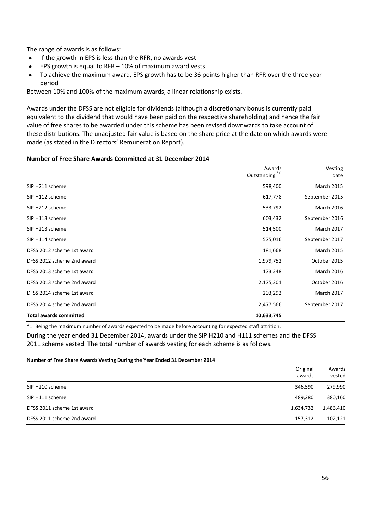The range of awards is as follows:

- If the growth in EPS is less than the RFR, no awards vest
- EPS growth is equal to RFR 10% of maximum award vests
- To achieve the maximum award, EPS growth has to be 36 points higher than RFR over the three year period

Between 10% and 100% of the maximum awards, a linear relationship exists.

Awards under the DFSS are not eligible for dividends (although a discretionary bonus is currently paid equivalent to the dividend that would have been paid on the respective shareholding) and hence the fair value of free shares to be awarded under this scheme has been revised downwards to take account of these distributions. The unadjusted fair value is based on the share price at the date on which awards were made (as stated in the Directors' Remuneration Report).

#### **Number of Free Share Awards Committed at 31 December 2014**

|                               | Awards<br>Outstanding[*1] | Vesting<br>date   |
|-------------------------------|---------------------------|-------------------|
| SIP H211 scheme               | 598,400                   | <b>March 2015</b> |
| SIP H112 scheme               | 617,778                   | September 2015    |
| SIP H212 scheme               | 533,792                   | March 2016        |
| SIP H113 scheme               | 603,432                   | September 2016    |
| SIP H213 scheme               | 514,500                   | March 2017        |
| SIP H114 scheme               | 575,016                   | September 2017    |
| DFSS 2012 scheme 1st award    | 181,668                   | <b>March 2015</b> |
| DFSS 2012 scheme 2nd award    | 1,979,752                 | October 2015      |
| DFSS 2013 scheme 1st award    | 173,348                   | <b>March 2016</b> |
| DFSS 2013 scheme 2nd award    | 2,175,201                 | October 2016      |
| DFSS 2014 scheme 1st award    | 203,292                   | March 2017        |
| DFSS 2014 scheme 2nd award    | 2,477,566                 | September 2017    |
| <b>Total awards committed</b> | 10,633,745                |                   |

\*1 Being the maximum number of awards expected to be made before accounting for expected staff attrition.

During the year ended 31 December 2014, awards under the SIP H210 and H111 schemes and the DFSS 2011 scheme vested. The total number of awards vesting for each scheme is as follows.

#### **Number of Free Share Awards Vesting During the Year Ended 31 December 2014**

|                            | Original<br>awards | Awards<br>vested |
|----------------------------|--------------------|------------------|
| SIP H210 scheme            | 346,590            | 279,990          |
| SIP H111 scheme            | 489.280            | 380,160          |
| DFSS 2011 scheme 1st award | 1,634,732          | 1,486,410        |
| DFSS 2011 scheme 2nd award | 157,312            | 102,121          |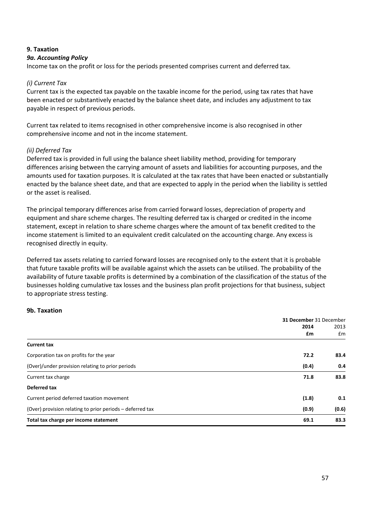## **9. Taxation**

#### *9a. Accounting Policy*

Income tax on the profit or loss for the periods presented comprises current and deferred tax.

## *(i) Current Tax*

Current tax is the expected tax payable on the taxable income for the period, using tax rates that have been enacted or substantively enacted by the balance sheet date, and includes any adjustment to tax payable in respect of previous periods.

Current tax related to items recognised in other comprehensive income is also recognised in other comprehensive income and not in the income statement.

## *(ii) Deferred Tax*

Deferred tax is provided in full using the balance sheet liability method, providing for temporary differences arising between the carrying amount of assets and liabilities for accounting purposes, and the amounts used for taxation purposes. It is calculated at the tax rates that have been enacted or substantially enacted by the balance sheet date, and that are expected to apply in the period when the liability is settled or the asset is realised.

The principal temporary differences arise from carried forward losses, depreciation of property and equipment and share scheme charges. The resulting deferred tax is charged or credited in the income statement, except in relation to share scheme charges where the amount of tax benefit credited to the income statement is limited to an equivalent credit calculated on the accounting charge. Any excess is recognised directly in equity.

Deferred tax assets relating to carried forward losses are recognised only to the extent that it is probable that future taxable profits will be available against which the assets can be utilised. The probability of the availability of future taxable profits is determined by a combination of the classification of the status of the businesses holding cumulative tax losses and the business plan profit projections for that business, subject to appropriate stress testing.

#### **9b. Taxation**

|                                                           | 31 December 31 December |       |  |
|-----------------------------------------------------------|-------------------------|-------|--|
|                                                           | 2014                    | 2013  |  |
|                                                           | £m                      | £m    |  |
| <b>Current tax</b>                                        |                         |       |  |
| Corporation tax on profits for the year                   | 72.2                    | 83.4  |  |
| (Over)/under provision relating to prior periods          | (0.4)                   | 0.4   |  |
| Current tax charge                                        | 71.8                    | 83.8  |  |
| Deferred tax                                              |                         |       |  |
| Current period deferred taxation movement                 | (1.8)                   | 0.1   |  |
| (Over) provision relating to prior periods – deferred tax | (0.9)                   | (0.6) |  |
| Total tax charge per income statement                     | 69.1                    | 83.3  |  |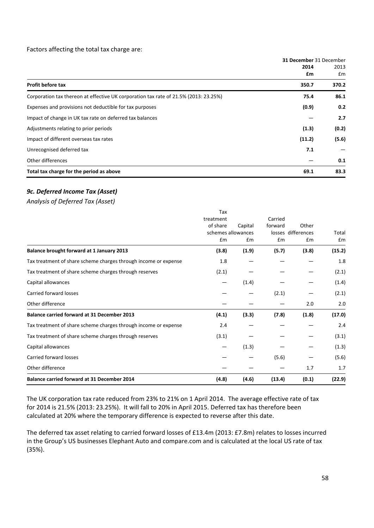#### Factors affecting the total tax charge are:

|                                                                                      | <b>31 December</b> 31 December |               |  |
|--------------------------------------------------------------------------------------|--------------------------------|---------------|--|
|                                                                                      | 2014                           | 2013          |  |
|                                                                                      | £m                             | $\mathsf{fm}$ |  |
| <b>Profit before tax</b>                                                             | 350.7                          | 370.2         |  |
| Corporation tax thereon at effective UK corporation tax rate of 21.5% (2013: 23.25%) | 75.4                           | 86.1          |  |
| Expenses and provisions not deductible for tax purposes                              | (0.9)                          | 0.2           |  |
| Impact of change in UK tax rate on deferred tax balances                             |                                | 2.7           |  |
| Adjustments relating to prior periods                                                | (1.3)                          | (0.2)         |  |
| Impact of different overseas tax rates                                               | (11.2)                         | (5.6)         |  |
| Unrecognised deferred tax                                                            | 7.1                            |               |  |
| Other differences                                                                    |                                | 0.1           |  |
| Total tax charge for the period as above                                             | 69.1                           | 83.3          |  |

#### *9c. Deferred Income Tax (Asset)*

*Analysis of Deferred Tax (Asset)*

|                                                                 | Tax                |         |         |                    |        |
|-----------------------------------------------------------------|--------------------|---------|---------|--------------------|--------|
|                                                                 | treatment          |         | Carried |                    |        |
|                                                                 | of share           | Capital | forward | Other              |        |
|                                                                 | schemes allowances |         |         | losses differences | Total  |
|                                                                 | £m                 | £m      | Em      | Em                 | Em     |
| Balance brought forward at 1 January 2013                       | (3.8)              | (1.9)   | (5.7)   | (3.8)              | (15.2) |
| Tax treatment of share scheme charges through income or expense | 1.8                |         |         |                    | 1.8    |
| Tax treatment of share scheme charges through reserves          | (2.1)              |         |         |                    | (2.1)  |
| Capital allowances                                              |                    | (1.4)   |         |                    | (1.4)  |
| Carried forward losses                                          |                    |         | (2.1)   |                    | (2.1)  |
| Other difference                                                |                    |         |         | 2.0                | 2.0    |
| <b>Balance carried forward at 31 December 2013</b>              | (4.1)              | (3.3)   | (7.8)   | (1.8)              | (17.0) |
| Tax treatment of share scheme charges through income or expense | 2.4                |         |         |                    | 2.4    |
| Tax treatment of share scheme charges through reserves          | (3.1)              |         |         |                    | (3.1)  |
| Capital allowances                                              |                    | (1.3)   |         |                    | (1.3)  |
| <b>Carried forward losses</b>                                   |                    |         | (5.6)   |                    | (5.6)  |
| Other difference                                                |                    |         |         | 1.7                | 1.7    |
| <b>Balance carried forward at 31 December 2014</b>              | (4.8)              | (4.6)   | (13.4)  | (0.1)              | (22.9) |

The UK corporation tax rate reduced from 23% to 21% on 1 April 2014. The average effective rate of tax for 2014 is 21.5% (2013: 23.25%). It will fall to 20% in April 2015. Deferred tax has therefore been calculated at 20% where the temporary difference is expected to reverse after this date.

The deferred tax asset relating to carried forward losses of £13.4m (2013: £7.8m) relates to losses incurred in the Group's US businesses Elephant Auto and compare.com and is calculated at the local US rate of tax (35%).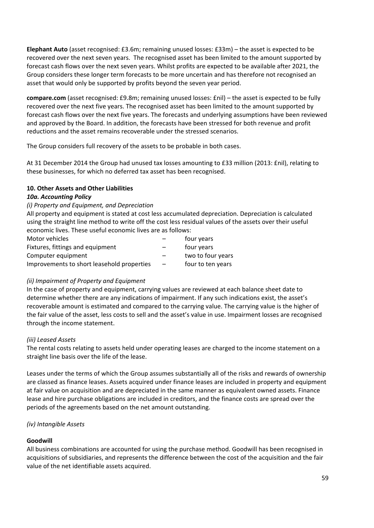**Elephant Auto** (asset recognised: £3.6m; remaining unused losses: £33m) – the asset is expected to be recovered over the next seven years. The recognised asset has been limited to the amount supported by forecast cash flows over the next seven years. Whilst profits are expected to be available after 2021, the Group considers these longer term forecasts to be more uncertain and has therefore not recognised an asset that would only be supported by profits beyond the seven year period.

**compare.com** (asset recognised: £9.8m; remaining unused losses: £nil) – the asset is expected to be fully recovered over the next five years. The recognised asset has been limited to the amount supported by forecast cash flows over the next five years. The forecasts and underlying assumptions have been reviewed and approved by the Board. In addition, the forecasts have been stressed for both revenue and profit reductions and the asset remains recoverable under the stressed scenarios.

The Group considers full recovery of the assets to be probable in both cases.

At 31 December 2014 the Group had unused tax losses amounting to £33 million (2013: £nil), relating to these businesses, for which no deferred tax asset has been recognised.

# **10. Other Assets and Other Liabilities**

# *10a. Accounting Policy*

## *(i) Property and Equipment, and Depreciation*

All property and equipment is stated at cost less accumulated depreciation. Depreciation is calculated using the straight line method to write off the cost less residual values of the assets over their useful economic lives. These useful economic lives are as follows:

| Motor vehicles                             | four years        |
|--------------------------------------------|-------------------|
| Fixtures, fittings and equipment           | four years        |
| Computer equipment                         | two to four years |
| Improvements to short leasehold properties | four to ten years |

# *(ii) Impairment of Property and Equipment*

In the case of property and equipment, carrying values are reviewed at each balance sheet date to determine whether there are any indications of impairment. If any such indications exist, the asset's recoverable amount is estimated and compared to the carrying value. The carrying value is the higher of the fair value of the asset, less costs to sell and the asset's value in use. Impairment losses are recognised through the income statement.

#### *(iii) Leased Assets*

The rental costs relating to assets held under operating leases are charged to the income statement on a straight line basis over the life of the lease.

Leases under the terms of which the Group assumes substantially all of the risks and rewards of ownership are classed as finance leases. Assets acquired under finance leases are included in property and equipment at fair value on acquisition and are depreciated in the same manner as equivalent owned assets. Finance lease and hire purchase obligations are included in creditors, and the finance costs are spread over the periods of the agreements based on the net amount outstanding.

# *(iv) Intangible Assets*

# **Goodwill**

All business combinations are accounted for using the purchase method. Goodwill has been recognised in acquisitions of subsidiaries, and represents the difference between the cost of the acquisition and the fair value of the net identifiable assets acquired.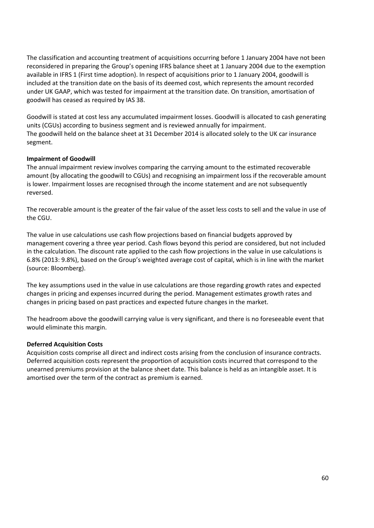The classification and accounting treatment of acquisitions occurring before 1 January 2004 have not been reconsidered in preparing the Group's opening IFRS balance sheet at 1 January 2004 due to the exemption available in IFRS 1 (First time adoption). In respect of acquisitions prior to 1 January 2004, goodwill is included at the transition date on the basis of its deemed cost, which represents the amount recorded under UK GAAP, which was tested for impairment at the transition date. On transition, amortisation of goodwill has ceased as required by IAS 38.

Goodwill is stated at cost less any accumulated impairment losses. Goodwill is allocated to cash generating units (CGUs) according to business segment and is reviewed annually for impairment. The goodwill held on the balance sheet at 31 December 2014 is allocated solely to the UK car insurance segment.

## **Impairment of Goodwill**

The annual impairment review involves comparing the carrying amount to the estimated recoverable amount (by allocating the goodwill to CGUs) and recognising an impairment loss if the recoverable amount is lower. Impairment losses are recognised through the income statement and are not subsequently reversed.

The recoverable amount is the greater of the fair value of the asset less costs to sell and the value in use of the CGU.

The value in use calculations use cash flow projections based on financial budgets approved by management covering a three year period. Cash flows beyond this period are considered, but not included in the calculation. The discount rate applied to the cash flow projections in the value in use calculations is 6.8% (2013: 9.8%), based on the Group's weighted average cost of capital, which is in line with the market (source: Bloomberg).

The key assumptions used in the value in use calculations are those regarding growth rates and expected changes in pricing and expenses incurred during the period. Management estimates growth rates and changes in pricing based on past practices and expected future changes in the market.

The headroom above the goodwill carrying value is very significant, and there is no foreseeable event that would eliminate this margin.

#### **Deferred Acquisition Costs**

Acquisition costs comprise all direct and indirect costs arising from the conclusion of insurance contracts. Deferred acquisition costs represent the proportion of acquisition costs incurred that correspond to the unearned premiums provision at the balance sheet date. This balance is held as an intangible asset. It is amortised over the term of the contract as premium is earned.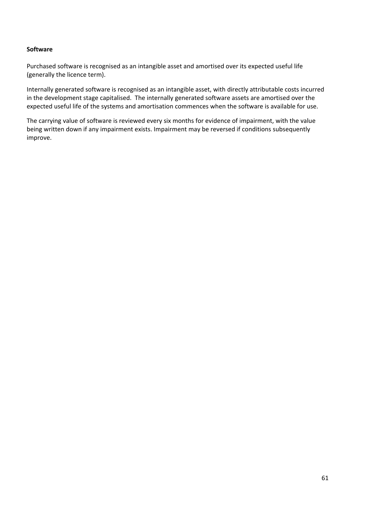#### **Software**

Purchased software is recognised as an intangible asset and amortised over its expected useful life (generally the licence term).

Internally generated software is recognised as an intangible asset, with directly attributable costs incurred in the development stage capitalised. The internally generated software assets are amortised over the expected useful life of the systems and amortisation commences when the software is available for use.

The carrying value of software is reviewed every six months for evidence of impairment, with the value being written down if any impairment exists. Impairment may be reversed if conditions subsequently improve.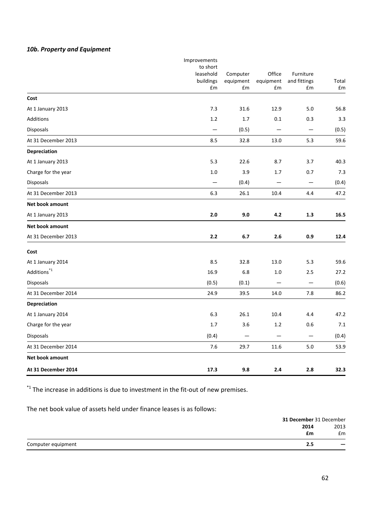# *10b. Property and Equipment*

|                         | Improvements          |                          |           |                          |       |
|-------------------------|-----------------------|--------------------------|-----------|--------------------------|-------|
|                         | to short<br>leasehold | Computer                 | Office    | Furniture                |       |
|                         | buildings             | equipment                | equipment | and fittings             | Total |
|                         | £m                    | £m                       | £m        | £m                       | £m    |
| Cost                    |                       |                          |           |                          |       |
| At 1 January 2013       | 7.3                   | 31.6                     | 12.9      | $5.0\,$                  | 56.8  |
| Additions               | 1.2                   | 1.7                      | 0.1       | 0.3                      | 3.3   |
| <b>Disposals</b>        |                       | (0.5)                    |           |                          | (0.5) |
| At 31 December 2013     | 8.5                   | 32.8                     | 13.0      | 5.3                      | 59.6  |
| Depreciation            |                       |                          |           |                          |       |
| At 1 January 2013       | 5.3                   | 22.6                     | 8.7       | 3.7                      | 40.3  |
| Charge for the year     | 1.0                   | 3.9                      | 1.7       | 0.7                      | 7.3   |
| Disposals               |                       | (0.4)                    |           | $\overline{\phantom{m}}$ | (0.4) |
| At 31 December 2013     | 6.3                   | 26.1                     | 10.4      | 4.4                      | 47.2  |
| Net book amount         |                       |                          |           |                          |       |
| At 1 January 2013       | $2.0\,$               | 9.0                      | 4.2       | 1.3                      | 16.5  |
| <b>Net book amount</b>  |                       |                          |           |                          |       |
| At 31 December 2013     | 2.2                   | 6.7                      | 2.6       | 0.9                      | 12.4  |
| Cost                    |                       |                          |           |                          |       |
| At 1 January 2014       | 8.5                   | 32.8                     | 13.0      | 5.3                      | 59.6  |
| Additions <sup>*1</sup> | 16.9                  | 6.8                      | 1.0       | 2.5                      | 27.2  |
| Disposals               | (0.5)                 | (0.1)                    |           |                          | (0.6) |
| At 31 December 2014     | 24.9                  | 39.5                     | 14.0      | 7.8                      | 86.2  |
| Depreciation            |                       |                          |           |                          |       |
| At 1 January 2014       | $6.3\,$               | 26.1                     | 10.4      | 4.4                      | 47.2  |
| Charge for the year     | 1.7                   | 3.6                      | 1.2       | 0.6                      | 7.1   |
| Disposals               | (0.4)                 | $\overline{\phantom{0}}$ |           |                          | (0.4) |
| At 31 December 2014     | 7.6                   | 29.7                     | 11.6      | $5.0\,$                  | 53.9  |
| Net book amount         |                       |                          |           |                          |       |
| At 31 December 2014     | 17.3                  | 9.8                      | 2.4       | 2.8                      | 32.3  |

 $*$ <sup>1</sup> The increase in additions is due to investment in the fit-out of new premises.

The net book value of assets held under finance leases is as follows:

|                    | 31 December 31 December |                          |
|--------------------|-------------------------|--------------------------|
|                    | 2014                    | 2013                     |
|                    | £m                      | Em                       |
| Computer equipment | 2.5                     | $\overline{\phantom{m}}$ |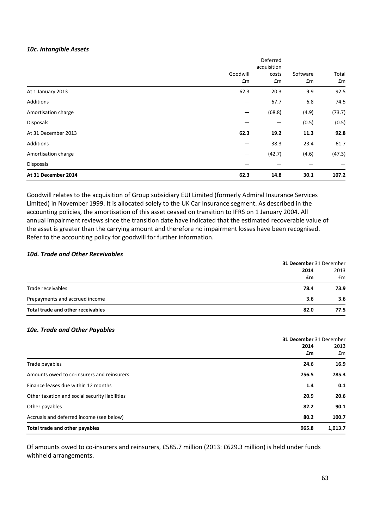#### *10c. Intangible Assets*

|                     | Goodwill<br>£m           | acquisition<br>costs<br>£m | Software<br>£m | Total<br>£m |
|---------------------|--------------------------|----------------------------|----------------|-------------|
| At 1 January 2013   | 62.3                     | 20.3                       | 9.9            | 92.5        |
| Additions           |                          | 67.7                       | 6.8            | 74.5        |
| Amortisation charge | —                        | (68.8)                     | (4.9)          | (73.7)      |
| Disposals           |                          |                            | (0.5)          | (0.5)       |
| At 31 December 2013 | 62.3                     | 19.2                       | 11.3           | 92.8        |
| Additions           |                          | 38.3                       | 23.4           | 61.7        |
| Amortisation charge | $\overline{\phantom{m}}$ | (42.7)                     | (4.6)          | (47.3)      |
| Disposals           |                          |                            |                |             |
| At 31 December 2014 | 62.3                     | 14.8                       | 30.1           | 107.2       |

Goodwill relates to the acquisition of Group subsidiary EUI Limited (formerly Admiral Insurance Services Limited) in November 1999. It is allocated solely to the UK Car Insurance segment. As described in the accounting policies, the amortisation of this asset ceased on transition to IFRS on 1 January 2004. All annual impairment reviews since the transition date have indicated that the estimated recoverable value of the asset is greater than the carrying amount and therefore no impairment losses have been recognised. Refer to the accounting policy for goodwill for further information.

#### *10d. Trade and Other Receivables*

|                                   | 31 December 31 December |      |  |
|-----------------------------------|-------------------------|------|--|
|                                   | 2014                    | 2013 |  |
|                                   | £m                      | £m   |  |
| Trade receivables                 | 78.4                    | 73.9 |  |
| Prepayments and accrued income    | 3.6                     | 3.6  |  |
| Total trade and other receivables | 82.0                    | 77.5 |  |

#### *10e. Trade and Other Payables*

|                                                | 31 December 31 December |         |  |
|------------------------------------------------|-------------------------|---------|--|
|                                                | 2014                    |         |  |
|                                                | £m                      | £m      |  |
| Trade payables                                 | 24.6                    | 16.9    |  |
| Amounts owed to co-insurers and reinsurers     | 756.5                   | 785.3   |  |
| Finance leases due within 12 months            | 1.4                     | 0.1     |  |
| Other taxation and social security liabilities | 20.9                    | 20.6    |  |
| Other payables                                 | 82.2                    | 90.1    |  |
| Accruals and deferred income (see below)       | 80.2                    | 100.7   |  |
| Total trade and other payables                 | 965.8                   | 1,013.7 |  |

Of amounts owed to co-insurers and reinsurers, £585.7 million (2013: £629.3 million) is held under funds withheld arrangements.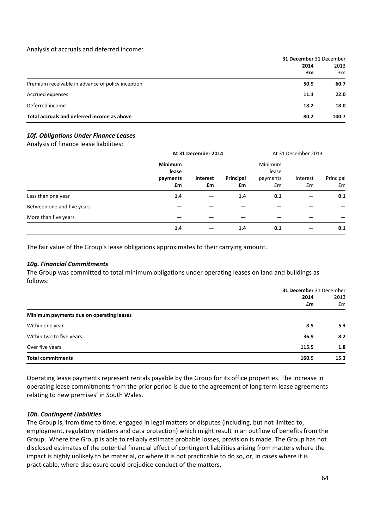#### Analysis of accruals and deferred income:

|                                                   | 31 December 31 December |       |
|---------------------------------------------------|-------------------------|-------|
|                                                   | 2014                    | 2013  |
|                                                   | £m                      | £m    |
| Premium receivable in advance of policy inception | 50.9                    | 60.7  |
| Accrued expenses                                  | 11.1                    | 22.0  |
| Deferred income                                   | 18.2                    | 18.0  |
| Total accruals and deferred income as above       | 80.2                    | 100.7 |

# *10f. Obligations Under Finance Leases*

Analysis of finance lease liabilities:

|                            | At 31 December 2014                       |                       | At 31 December 2013 |                                           |                |                 |
|----------------------------|-------------------------------------------|-----------------------|---------------------|-------------------------------------------|----------------|-----------------|
|                            | <b>Minimum</b><br>lease<br>payments<br>£m | <b>Interest</b><br>£m | Principal<br>£m     | <b>Minimum</b><br>lease<br>payments<br>£m | Interest<br>£m | Principal<br>£m |
| Less than one year         | 1.4                                       |                       | 1.4                 | 0.1                                       |                | 0.1             |
| Between one and five years |                                           |                       |                     |                                           |                |                 |
| More than five years       |                                           |                       |                     |                                           |                |                 |
|                            | 1.4                                       |                       | 1.4                 | 0.1                                       |                | 0.1             |

The fair value of the Group's lease obligations approximates to their carrying amount.

#### *10g. Financial Commitments*

The Group was committed to total minimum obligations under operating leases on land and buildings as follows:

|                                          | 31 December 31 December |      |  |
|------------------------------------------|-------------------------|------|--|
|                                          | 2014                    |      |  |
|                                          | £m                      | £m   |  |
| Minimum payments due on operating leases |                         |      |  |
| Within one year                          | 8.5                     | 5.3  |  |
| Within two to five years                 | 36.9                    | 8.2  |  |
| Over five years                          | 115.5                   | 1.8  |  |
| <b>Total commitments</b>                 | 160.9                   | 15.3 |  |

Operating lease payments represent rentals payable by the Group for its office properties. The increase in operating lease commitments from the prior period is due to the agreement of long term lease agreements relating to new premises' in South Wales.

#### *10h. Contingent Liabilities*

The Group is, from time to time, engaged in legal matters or disputes (including, but not limited to, employment, regulatory matters and data protection) which might result in an outflow of benefits from the Group. Where the Group is able to reliably estimate probable losses, provision is made. The Group has not disclosed estimates of the potential financial effect of contingent liabilities arising from matters where the impact is highly unlikely to be material, or where it is not practicable to do so, or, in cases where it is practicable, where disclosure could prejudice conduct of the matters.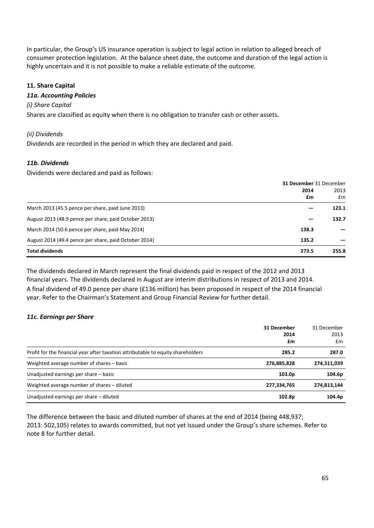In particular, the Group's US insurance operation is subject to legal action in relation to alleged breach of consumer protection legislation. At the balance sheet date, the outcome and duration of the legal action is highly uncertain and it is not possible to make a reliable estimate of the outcome.

## **11. Share Capital**

#### *11a. Accounting Policies*

#### *(i) Share Capital*

Shares are classified as equity when there is no obligation to transfer cash or other assets.

#### *(ii) Dividends*

Dividends are recorded in the period in which they are declared and paid.

## *11b. Dividends*

Dividends were declared and paid as follows:

|                                                       | 31 December 31 December |       |  |
|-------------------------------------------------------|-------------------------|-------|--|
|                                                       | 2014                    |       |  |
|                                                       | £m                      | Em    |  |
| March 2013 (45.5 pence per share, paid June 2013)     |                         | 123.1 |  |
| August 2013 (48.9 pence per share, paid October 2013) | —                       | 132.7 |  |
| March 2014 (50.6 pence per share, paid May 2014)      | 138.3                   |       |  |
| August 2014 (49.4 pence per share, paid October 2014) | 135.2                   |       |  |
| <b>Total dividends</b>                                | 273.5                   | 255.8 |  |

The dividends declared in March represent the final dividends paid in respect of the 2012 and 2013 financial years. The dividends declared in August are interim distributions in respect of 2013 and 2014. A final dividend of 49.0 pence per share (£136 million) has been proposed in respect of the 2014 financial year. Refer to the Chairman's Statement and Group Financial Review for further detail.

#### *11c. Earnings per Share*

|                                                                                  | 31 December<br>2014<br>£m | 31 December<br>2013<br>Em |
|----------------------------------------------------------------------------------|---------------------------|---------------------------|
| Profit for the financial year after taxation attributable to equity shareholders | 285.2                     | 287.0                     |
| Weighted average number of shares – basic                                        | 276,885,828               | 274,311,039               |
| Unadjusted earnings per share - basic                                            | 103.0p                    | 104.6p                    |
| Weighted average number of shares – diluted                                      | 277,334,765               | 274,813,144               |
| Unadjusted earnings per share – diluted                                          | 102.8p                    | 104.4p                    |

The difference between the basic and diluted number of shares at the end of 2014 (being 448,937; 2013: 502,105) relates to awards committed, but not yet issued under the Group's share schemes. Refer to note 8 for further detail.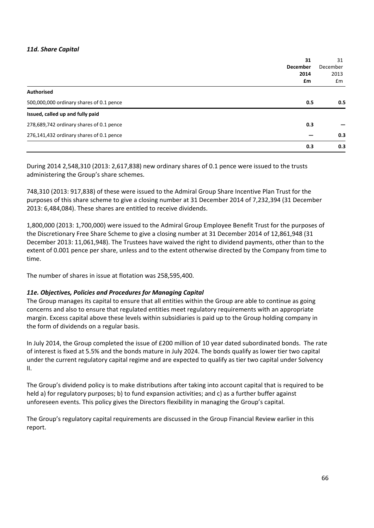#### *11d. Share Capital*

|                                          | 31              | 31       |
|------------------------------------------|-----------------|----------|
|                                          | <b>December</b> | December |
|                                          | 2014            | 2013     |
|                                          | £m              | Em       |
| <b>Authorised</b>                        |                 |          |
| 500,000,000 ordinary shares of 0.1 pence | 0.5             | 0.5      |
| Issued, called up and fully paid         |                 |          |
| 278,689,742 ordinary shares of 0.1 pence | 0.3             |          |
| 276,141,432 ordinary shares of 0.1 pence | 0.3             |          |
|                                          | 0.3             | 0.3      |

During 2014 2,548,310 (2013: 2,617,838) new ordinary shares of 0.1 pence were issued to the trusts administering the Group's share schemes.

748,310 (2013: 917,838) of these were issued to the Admiral Group Share Incentive Plan Trust for the purposes of this share scheme to give a closing number at 31 December 2014 of 7,232,394 (31 December 2013: 6,484,084). These shares are entitled to receive dividends.

1,800,000 (2013: 1,700,000) were issued to the Admiral Group Employee Benefit Trust for the purposes of the Discretionary Free Share Scheme to give a closing number at 31 December 2014 of 12,861,948 (31 December 2013: 11,061,948). The Trustees have waived the right to dividend payments, other than to the extent of 0.001 pence per share, unless and to the extent otherwise directed by the Company from time to time.

The number of shares in issue at flotation was 258,595,400.

#### *11e. Objectives, Policies and Procedures for Managing Capital*

The Group manages its capital to ensure that all entities within the Group are able to continue as going concerns and also to ensure that regulated entities meet regulatory requirements with an appropriate margin. Excess capital above these levels within subsidiaries is paid up to the Group holding company in the form of dividends on a regular basis.

In July 2014, the Group completed the issue of £200 million of 10 year dated subordinated bonds. The rate of interest is fixed at 5.5% and the bonds mature in July 2024. The bonds qualify as lower tier two capital under the current regulatory capital regime and are expected to qualify as tier two capital under Solvency II.

The Group's dividend policy is to make distributions after taking into account capital that is required to be held a) for regulatory purposes; b) to fund expansion activities; and c) as a further buffer against unforeseen events. This policy gives the Directors flexibility in managing the Group's capital.

The Group's regulatory capital requirements are discussed in the Group Financial Review earlier in this report.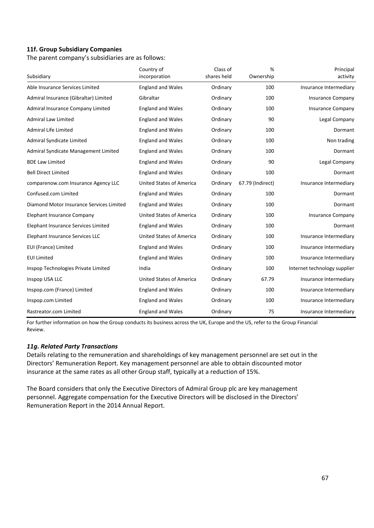## **11f. Group Subsidiary Companies**

The parent company's subsidiaries are as follows:

| Subsidiary                               | Country of<br>incorporation     | Class of<br>shares held | %<br>Ownership   | Principal<br>activity        |
|------------------------------------------|---------------------------------|-------------------------|------------------|------------------------------|
| Able Insurance Services Limited          | <b>England and Wales</b>        | Ordinary                | 100              | Insurance Intermediary       |
| Admiral Insurance (Gibraltar) Limited    | Gibraltar                       | Ordinary                | 100              | <b>Insurance Company</b>     |
| Admiral Insurance Company Limited        | <b>England and Wales</b>        | Ordinary                | 100              | <b>Insurance Company</b>     |
| <b>Admiral Law Limited</b>               | <b>England and Wales</b>        | Ordinary                | 90               | Legal Company                |
| <b>Admiral Life Limited</b>              | <b>England and Wales</b>        | Ordinary                | 100              | Dormant                      |
| Admiral Syndicate Limited                | <b>England and Wales</b>        | Ordinary                | 100              | Non trading                  |
| Admiral Syndicate Management Limited     | <b>England and Wales</b>        | Ordinary                | 100              | Dormant                      |
| <b>BDE Law Limited</b>                   | <b>England and Wales</b>        | Ordinary                | 90               | Legal Company                |
| <b>Bell Direct Limited</b>               | <b>England and Wales</b>        | Ordinary                | 100              | Dormant                      |
| comparenow.com Insurance Agency LLC      | <b>United States of America</b> | Ordinary                | 67.79 (Indirect) | Insurance Intermediary       |
| Confused.com Limited                     | <b>England and Wales</b>        | Ordinary                | 100              | Dormant                      |
| Diamond Motor Insurance Services Limited | <b>England and Wales</b>        | Ordinary                | 100              | Dormant                      |
| Elephant Insurance Company               | <b>United States of America</b> | Ordinary                | 100              | <b>Insurance Company</b>     |
| Elephant Insurance Services Limited      | <b>England and Wales</b>        | Ordinary                | 100              | Dormant                      |
| Elephant Insurance Services LLC          | <b>United States of America</b> | Ordinary                | 100              | Insurance Intermediary       |
| EUI (France) Limited                     | <b>England and Wales</b>        | Ordinary                | 100              | Insurance Intermediary       |
| <b>EUI Limited</b>                       | <b>England and Wales</b>        | Ordinary                | 100              | Insurance Intermediary       |
| Inspop Technologies Private Limited      | India                           | Ordinary                | 100              | Internet technology supplier |
| Inspop USA LLC                           | <b>United States of America</b> | Ordinary                | 67.79            | Insurance Intermediary       |
| Inspop.com (France) Limited              | <b>England and Wales</b>        | Ordinary                | 100              | Insurance Intermediary       |
| Inspop.com Limited                       | <b>England and Wales</b>        | Ordinary                | 100              | Insurance Intermediary       |
| Rastreator.com Limited                   | <b>England and Wales</b>        | Ordinary                | 75               | Insurance Intermediary       |

For further information on how the Group conducts its business across the UK, Europe and the US, refer to the Group Financial Review.

#### *11g. Related Party Transactions*

Details relating to the remuneration and shareholdings of key management personnel are set out in the Directors' Remuneration Report. Key management personnel are able to obtain discounted motor insurance at the same rates as all other Group staff, typically at a reduction of 15%.

The Board considers that only the Executive Directors of Admiral Group plc are key management personnel. Aggregate compensation for the Executive Directors will be disclosed in the Directors' Remuneration Report in the 2014 Annual Report.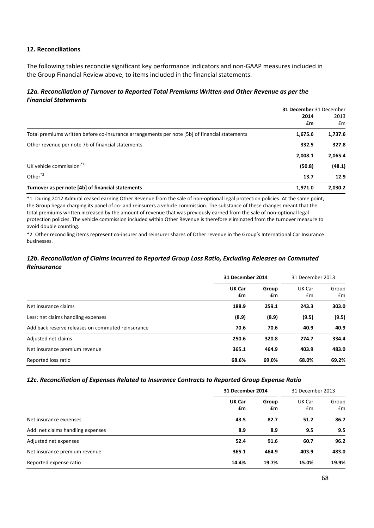#### **12. Reconciliations**

The following tables reconcile significant key performance indicators and non‐GAAP measures included in the Group Financial Review above, to items included in the financial statements.

## *12a. Reconciliation of Turnover to Reported Total Premiums Written and Other Revenue as per the Financial Statements*

|                                                                                               | 31 December 31 December |         |
|-----------------------------------------------------------------------------------------------|-------------------------|---------|
|                                                                                               | 2014                    | 2013    |
|                                                                                               | £m                      | £m      |
| Total premiums written before co-insurance arrangements per note [5b] of financial statements | 1,675.6                 | 1,737.6 |
| Other revenue per note 7b of financial statements                                             | 332.5                   | 327.8   |
|                                                                                               | 2,008.1                 | 2,065.4 |
| UK vehicle commission $[{}^{*1}]$                                                             | (50.8)                  | (48.1)  |
| Other <sup>*2</sup>                                                                           | 13.7                    | 12.9    |
| Turnover as per note [4b] of financial statements                                             | 1,971.0                 | 2,030.2 |

\*1 During 2012 Admiral ceased earning Other Revenue from the sale of non‐optional legal protection policies. At the same point, the Group began charging its panel of co‐ and reinsurers a vehicle commission. The substance of these changes meant that the total premiums written increased by the amount of revenue that was previously earned from the sale of non-optional legal protection policies. The vehicle commission included within Other Revenue is therefore eliminated from the turnover measure to avoid double counting.

\*2 Other reconciling items represent co‐insurer and reinsurer shares of Other revenue in the Group's International Car Insurance businesses.

#### *12b. Reconciliation of Claims Incurred to Reported Group Loss Ratio, Excluding Releases on Commuted Reinsurance*

|                                                   | 31 December 2014 |             | 31 December 2013 |             |
|---------------------------------------------------|------------------|-------------|------------------|-------------|
|                                                   | UK Car<br>£m     | Group<br>£m | UK Car<br>£m     | Group<br>£m |
| Net insurance claims                              | 188.9            | 259.1       | 243.3            | 303.0       |
| Less: net claims handling expenses                | (8.9)            | (8.9)       | (9.5)            | (9.5)       |
| Add back reserve releases on commuted reinsurance | 70.6             | 70.6        | 40.9             | 40.9        |
| Adjusted net claims                               | 250.6            | 320.8       | 274.7            | 334.4       |
| Net insurance premium revenue                     | 365.1            | 464.9       | 403.9            | 483.0       |
| Reported loss ratio                               | 68.6%            | 69.0%       | 68.0%            | 69.2%       |

#### *12c. Reconciliation of Expenses Related to Insurance Contracts to Reported Group Expense Ratio*

|                                   |              | 31 December 2014 |              | 31 December 2013 |  |
|-----------------------------------|--------------|------------------|--------------|------------------|--|
|                                   | UK Car<br>£m | Group<br>£m      | UK Car<br>£m | Group<br>Em      |  |
| Net insurance expenses            | 43.5         | 82.7             | 51.2         | 86.7             |  |
| Add: net claims handling expenses | 8.9          | 8.9              | 9.5          | 9.5              |  |
| Adjusted net expenses             | 52.4         | 91.6             | 60.7         | 96.2             |  |
| Net insurance premium revenue     | 365.1        | 464.9            | 403.9        | 483.0            |  |
| Reported expense ratio            | 14.4%        | 19.7%            | 15.0%        | 19.9%            |  |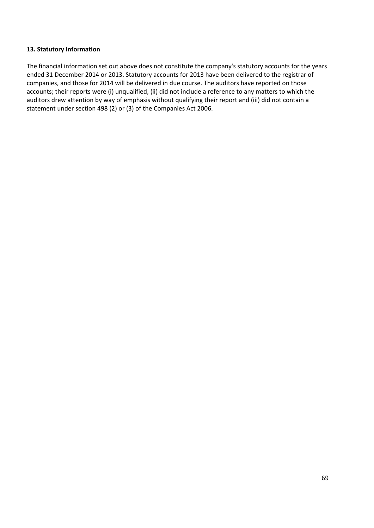#### **13. Statutory Information**

The financial information set out above does not constitute the company's statutory accounts for the years ended 31 December 2014 or 2013. Statutory accounts for 2013 have been delivered to the registrar of companies, and those for 2014 will be delivered in due course. The auditors have reported on those accounts; their reports were (i) unqualified, (ii) did not include a reference to any matters to which the auditors drew attention by way of emphasis without qualifying their report and (iii) did not contain a statement under section 498 (2) or (3) of the Companies Act 2006.